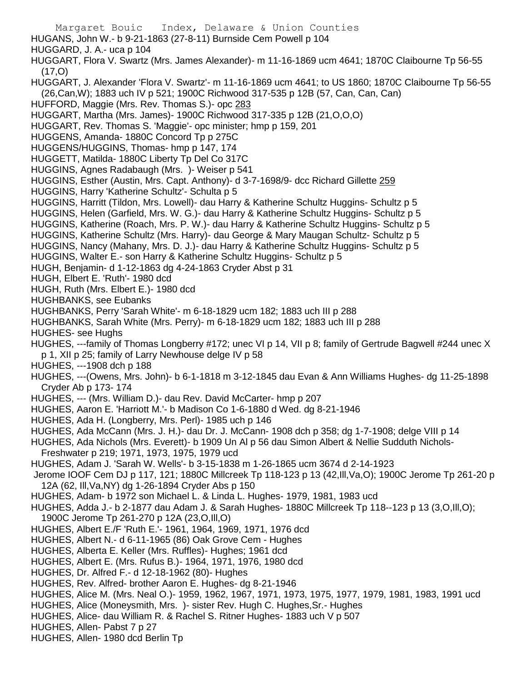Margaret Bouic Index, Delaware & Union Counties HUGANS, John W.- b 9-21-1863 (27-8-11) Burnside Cem Powell p 104 HUGGARD, J. A.- uca p 104 HUGGART, Flora V. Swartz (Mrs. James Alexander)- m 11-16-1869 ucm 4641; 1870C Claibourne Tp 56-55  $(17, 0)$ HUGGART, J. Alexander 'Flora V. Swartz'- m 11-16-1869 ucm 4641; to US 1860; 1870C Claibourne Tp 56-55 (26,Can,W); 1883 uch IV p 521; 1900C Richwood 317-535 p 12B (57, Can, Can, Can) HUFFORD, Maggie (Mrs. Rev. Thomas S.)- opc 283 HUGGART, Martha (Mrs. James)- 1900C Richwood 317-335 p 12B (21,O,O,O) HUGGART, Rev. Thomas S. 'Maggie'- opc minister; hmp p 159, 201 HUGGENS, Amanda- 1880C Concord Tp p 275C HUGGENS/HUGGINS, Thomas- hmp p 147, 174 HUGGETT, Matilda- 1880C Liberty Tp Del Co 317C HUGGINS, Agnes Radabaugh (Mrs. )- Weiser p 541 HUGGINS, Esther (Austin, Mrs. Capt. Anthony)- d 3-7-1698/9- dcc Richard Gillette 259 HUGGINS, Harry 'Katherine Schultz'- Schulta p 5 HUGGINS, Harritt (Tildon, Mrs. Lowell)- dau Harry & Katherine Schultz Huggins- Schultz p 5 HUGGINS, Helen (Garfield, Mrs. W. G.)- dau Harry & Katherine Schultz Huggins- Schultz p 5 HUGGINS, Katherine (Roach, Mrs. P. W.)- dau Harry & Katherine Schultz Huggins- Schultz p 5 HUGGINS, Katherine Schultz (Mrs. Harry)- dau George & Mary Maugan Schultz- Schultz p 5 HUGGINS, Nancy (Mahany, Mrs. D. J.)- dau Harry & Katherine Schultz Huggins- Schultz p 5 HUGGINS, Walter E.- son Harry & Katherine Schultz Huggins- Schultz p 5 HUGH, Benjamin- d 1-12-1863 dg 4-24-1863 Cryder Abst p 31 HUGH, Elbert E. 'Ruth'- 1980 dcd HUGH, Ruth (Mrs. Elbert E.)- 1980 dcd HUGHBANKS, see Eubanks HUGHBANKS, Perry 'Sarah White'- m 6-18-1829 ucm 182; 1883 uch III p 288 HUGHBANKS, Sarah White (Mrs. Perry)- m 6-18-1829 ucm 182; 1883 uch III p 288 HUGHES- see Hughs HUGHES, ---family of Thomas Longberry #172; unec VI p 14, VII p 8; family of Gertrude Bagwell #244 unec X p 1, XII p 25; family of Larry Newhouse delge IV p 58 HUGHES, ---1908 dch p 188 HUGHES, ---(Owens, Mrs. John)- b 6-1-1818 m 3-12-1845 dau Evan & Ann Williams Hughes- dg 11-25-1898 Cryder Ab p 173- 174 HUGHES, --- (Mrs. William D.)- dau Rev. David McCarter- hmp p 207 HUGHES, Aaron E. 'Harriott M.'- b Madison Co 1-6-1880 d Wed. dg 8-21-1946 HUGHES, Ada H. (Longberry, Mrs. Perl)- 1985 uch p 146 HUGHES, Ada McCann (Mrs. J. H.)- dau Dr. J. McCann- 1908 dch p 358; dg 1-7-1908; delge VIII p 14 HUGHES, Ada Nichols (Mrs. Everett)- b 1909 Un Al p 56 dau Simon Albert & Nellie Sudduth Nichols-Freshwater p 219; 1971, 1973, 1975, 1979 ucd HUGHES, Adam J. 'Sarah W. Wells'- b 3-15-1838 m 1-26-1865 ucm 3674 d 2-14-1923 Jerome IOOF Cem DJ p 117, 121; 1880C Millcreek Tp 118-123 p 13 (42,Ill,Va,O); 1900C Jerome Tp 261-20 p 12A (62, Ill,Va,NY) dg 1-26-1894 Cryder Abs p 150 HUGHES, Adam- b 1972 son Michael L. & Linda L. Hughes- 1979, 1981, 1983 ucd HUGHES, Adda J.- b 2-1877 dau Adam J. & Sarah Hughes- 1880C Millcreek Tp 118--123 p 13 (3,O,Ill,O); 1900C Jerome Tp 261-270 p 12A (23,O,Ill,O) HUGHES, Albert E./F 'Ruth E.'- 1961, 1964, 1969, 1971, 1976 dcd HUGHES, Albert N.- d 6-11-1965 (86) Oak Grove Cem - Hughes HUGHES, Alberta E. Keller (Mrs. Ruffles)- Hughes; 1961 dcd HUGHES, Albert E. (Mrs. Rufus B.)- 1964, 1971, 1976, 1980 dcd HUGHES, Dr. Alfred F.- d 12-18-1962 (80)- Hughes HUGHES, Rev. Alfred- brother Aaron E. Hughes- dg 8-21-1946 HUGHES, Alice M. (Mrs. Neal O.)- 1959, 1962, 1967, 1971, 1973, 1975, 1977, 1979, 1981, 1983, 1991 ucd HUGHES, Alice (Moneysmith, Mrs. )- sister Rev. Hugh C. Hughes,Sr.- Hughes HUGHES, Alice- dau William R. & Rachel S. Ritner Hughes- 1883 uch V p 507 HUGHES, Allen- Pabst 7 p 27

HUGHES, Allen- 1980 dcd Berlin Tp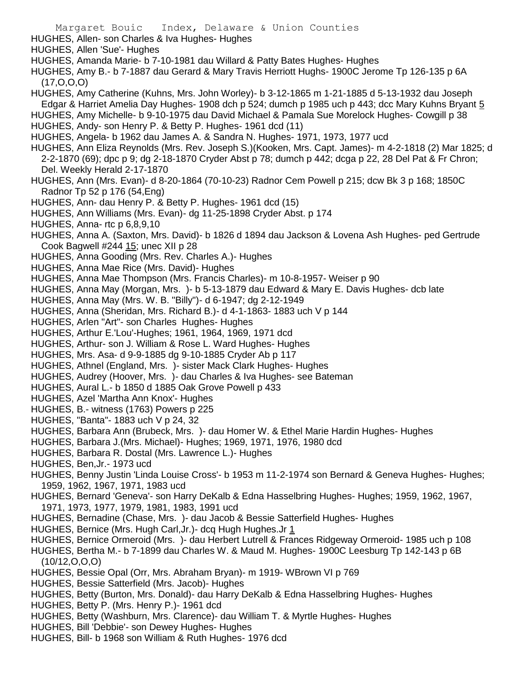HUGHES, Allen- son Charles & Iva Hughes- Hughes

HUGHES, Allen 'Sue'- Hughes

HUGHES, Amanda Marie- b 7-10-1981 dau Willard & Patty Bates Hughes- Hughes

HUGHES, Amy B.- b 7-1887 dau Gerard & Mary Travis Herriott Hughs- 1900C Jerome Tp 126-135 p 6A  $(17, 0.0, 0)$ 

HUGHES, Amy Catherine (Kuhns, Mrs. John Worley)- b 3-12-1865 m 1-21-1885 d 5-13-1932 dau Joseph Edgar & Harriet Amelia Day Hughes- 1908 dch p 524; dumch p 1985 uch p 443; dcc Mary Kuhns Bryant 5

HUGHES, Amy Michelle- b 9-10-1975 dau David Michael & Pamala Sue Morelock Hughes- Cowgill p 38

- HUGHES, Andy- son Henry P. & Betty P. Hughes- 1961 dcd (11)
- HUGHES, Angela- b 1962 dau James A. & Sandra N. Hughes- 1971, 1973, 1977 ucd
- HUGHES, Ann Eliza Reynolds (Mrs. Rev. Joseph S.)(Kooken, Mrs. Capt. James)- m 4-2-1818 (2) Mar 1825; d 2-2-1870 (69); dpc p 9; dg 2-18-1870 Cryder Abst p 78; dumch p 442; dcga p 22, 28 Del Pat & Fr Chron; Del. Weekly Herald 2-17-1870
- HUGHES, Ann (Mrs. Evan)- d 8-20-1864 (70-10-23) Radnor Cem Powell p 215; dcw Bk 3 p 168; 1850C Radnor Tp 52 p 176 (54,Eng)
- HUGHES, Ann- dau Henry P. & Betty P. Hughes- 1961 dcd (15)
- HUGHES, Ann Williams (Mrs. Evan)- dg 11-25-1898 Cryder Abst. p 174
- HUGHES, Anna- rtc p 6,8,9,10

HUGHES, Anna A. (Saxton, Mrs. David)- b 1826 d 1894 dau Jackson & Lovena Ash Hughes- ped Gertrude Cook Bagwell #244 15; unec XII p 28

- HUGHES, Anna Gooding (Mrs. Rev. Charles A.)- Hughes
- HUGHES, Anna Mae Rice (Mrs. David)- Hughes
- HUGHES, Anna Mae Thompson (Mrs. Francis Charles)- m 10-8-1957- Weiser p 90
- HUGHES, Anna May (Morgan, Mrs. )- b 5-13-1879 dau Edward & Mary E. Davis Hughes- dcb late
- HUGHES, Anna May (Mrs. W. B. "Billy")- d 6-1947; dg 2-12-1949
- HUGHES, Anna (Sheridan, Mrs. Richard B.)- d 4-1-1863- 1883 uch V p 144
- HUGHES, Arlen "Art"- son Charles Hughes- Hughes
- HUGHES, Arthur E.'Lou'-Hughes; 1961, 1964, 1969, 1971 dcd
- HUGHES, Arthur- son J. William & Rose L. Ward Hughes- Hughes
- HUGHES, Mrs. Asa- d 9-9-1885 dg 9-10-1885 Cryder Ab p 117
- HUGHES, Athnel (England, Mrs. )- sister Mack Clark Hughes- Hughes
- HUGHES, Audrey (Hoover, Mrs. )- dau Charles & Iva Hughes- see Bateman
- HUGHES, Aural L.- b 1850 d 1885 Oak Grove Powell p 433
- HUGHES, Azel 'Martha Ann Knox'- Hughes
- HUGHES, B.- witness (1763) Powers p 225
- HUGHES, "Banta"- 1883 uch V p 24, 32
- HUGHES, Barbara Ann (Brubeck, Mrs. )- dau Homer W. & Ethel Marie Hardin Hughes- Hughes
- HUGHES, Barbara J.(Mrs. Michael)- Hughes; 1969, 1971, 1976, 1980 dcd
- HUGHES, Barbara R. Dostal (Mrs. Lawrence L.)- Hughes
- HUGHES, Ben,Jr.- 1973 ucd
- HUGHES, Benny Justin 'Linda Louise Cross'- b 1953 m 11-2-1974 son Bernard & Geneva Hughes- Hughes; 1959, 1962, 1967, 1971, 1983 ucd
- HUGHES, Bernard 'Geneva'- son Harry DeKalb & Edna Hasselbring Hughes- Hughes; 1959, 1962, 1967, 1971, 1973, 1977, 1979, 1981, 1983, 1991 ucd
- HUGHES, Bernadine (Chase, Mrs. )- dau Jacob & Bessie Satterfield Hughes- Hughes
- HUGHES, Bernice (Mrs. Hugh Carl,Jr.)- dcq Hugh Hughes.Jr 1
- HUGHES, Bernice Ormeroid (Mrs. )- dau Herbert Lutrell & Frances Ridgeway Ormeroid- 1985 uch p 108

HUGHES, Bertha M.- b 7-1899 dau Charles W. & Maud M. Hughes- 1900C Leesburg Tp 142-143 p 6B  $(10/12, 0, 0, 0)$ 

- HUGHES, Bessie Opal (Orr, Mrs. Abraham Bryan)- m 1919- WBrown VI p 769
- HUGHES, Bessie Satterfield (Mrs. Jacob)- Hughes
- HUGHES, Betty (Burton, Mrs. Donald)- dau Harry DeKalb & Edna Hasselbring Hughes- Hughes
- HUGHES, Betty P. (Mrs. Henry P.)- 1961 dcd
- HUGHES, Betty (Washburn, Mrs. Clarence)- dau William T. & Myrtle Hughes- Hughes
- HUGHES, Bill 'Debbie'- son Dewey Hughes- Hughes
- HUGHES, Bill- b 1968 son William & Ruth Hughes- 1976 dcd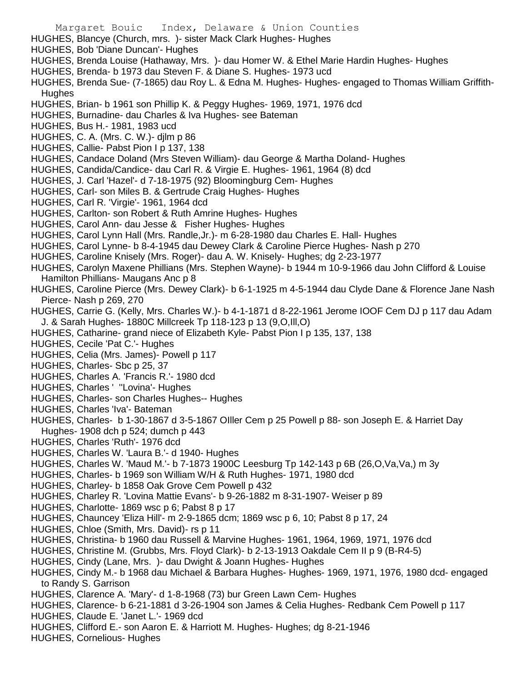- Margaret Bouic Index, Delaware & Union Counties HUGHES, Blancye (Church, mrs. )- sister Mack Clark Hughes- Hughes HUGHES, Bob 'Diane Duncan'- Hughes HUGHES, Brenda Louise (Hathaway, Mrs. )- dau Homer W. & Ethel Marie Hardin Hughes- Hughes HUGHES, Brenda- b 1973 dau Steven F. & Diane S. Hughes- 1973 ucd HUGHES, Brenda Sue- (7-1865) dau Roy L. & Edna M. Hughes- Hughes- engaged to Thomas William Griffith-Hughes HUGHES, Brian- b 1961 son Phillip K. & Peggy Hughes- 1969, 1971, 1976 dcd HUGHES, Burnadine- dau Charles & Iva Hughes- see Bateman HUGHES, Bus H.- 1981, 1983 ucd HUGHES, C. A. (Mrs. C. W.)- djlm p 86 HUGHES, Callie- Pabst Pion I p 137, 138 HUGHES, Candace Doland (Mrs Steven William)- dau George & Martha Doland- Hughes HUGHES, Candida/Candice- dau Carl R. & Virgie E. Hughes- 1961, 1964 (8) dcd HUGHES, J. Carl 'Hazel'- d 7-18-1975 (92) Bloomingburg Cem- Hughes HUGHES, Carl- son Miles B. & Gertrude Craig Hughes- Hughes HUGHES, Carl R. 'Virgie'- 1961, 1964 dcd HUGHES, Carlton- son Robert & Ruth Amrine Hughes- Hughes HUGHES, Carol Ann- dau Jesse & Fisher Hughes- Hughes HUGHES, Carol Lynn Hall (Mrs. Randle,Jr.)- m 6-28-1980 dau Charles E. Hall- Hughes HUGHES, Carol Lynne- b 8-4-1945 dau Dewey Clark & Caroline Pierce Hughes- Nash p 270 HUGHES, Caroline Knisely (Mrs. Roger)- dau A. W. Knisely- Hughes; dg 2-23-1977 HUGHES, Carolyn Maxene Phillians (Mrs. Stephen Wayne)- b 1944 m 10-9-1966 dau John Clifford & Louise Hamilton Phillians- Maugans Anc p 8 HUGHES, Caroline Pierce (Mrs. Dewey Clark)- b 6-1-1925 m 4-5-1944 dau Clyde Dane & Florence Jane Nash Pierce- Nash p 269, 270 HUGHES, Carrie G. (Kelly, Mrs. Charles W.)- b 4-1-1871 d 8-22-1961 Jerome IOOF Cem DJ p 117 dau Adam J. & Sarah Hughes- 1880C Millcreek Tp 118-123 p 13 (9,O,Ill,O) HUGHES, Catharine- grand niece of Elizabeth Kyle- Pabst Pion I p 135, 137, 138 HUGHES, Cecile 'Pat C.'- Hughes HUGHES, Celia (Mrs. James)- Powell p 117 HUGHES, Charles- Sbc p 25, 37 HUGHES, Charles A. 'Francis R.'- 1980 dcd HUGHES, Charles ' ''Lovina'- Hughes HUGHES, Charles- son Charles Hughes-- Hughes HUGHES, Charles 'Iva'- Bateman HUGHES, Charles- b 1-30-1867 d 3-5-1867 OIller Cem p 25 Powell p 88- son Joseph E. & Harriet Day Hughes- 1908 dch p 524; dumch p 443 HUGHES, Charles 'Ruth'- 1976 dcd HUGHES, Charles W. 'Laura B.'- d 1940- Hughes HUGHES, Charles W. 'Maud M.'- b 7-1873 1900C Leesburg Tp 142-143 p 6B (26,O,Va,Va,) m 3y HUGHES, Charles- b 1969 son William W/H & Ruth Hughes- 1971, 1980 dcd HUGHES, Charley- b 1858 Oak Grove Cem Powell p 432 HUGHES, Charley R. 'Lovina Mattie Evans'- b 9-26-1882 m 8-31-1907- Weiser p 89 HUGHES, Charlotte- 1869 wsc p 6; Pabst 8 p 17 HUGHES, Chauncey 'Eliza Hill'- m 2-9-1865 dcm; 1869 wsc p 6, 10; Pabst 8 p 17, 24 HUGHES, Chloe (Smith, Mrs. David)- rs p 11 HUGHES, Christina- b 1960 dau Russell & Marvine Hughes- 1961, 1964, 1969, 1971, 1976 dcd HUGHES, Christine M. (Grubbs, Mrs. Floyd Clark)- b 2-13-1913 Oakdale Cem II p 9 (B-R4-5) HUGHES, Cindy (Lane, Mrs. )- dau Dwight & Joann Hughes- Hughes HUGHES, Cindy M.- b 1968 dau Michael & Barbara Hughes- Hughes- 1969, 1971, 1976, 1980 dcd- engaged to Randy S. Garrison HUGHES, Clarence A. 'Mary'- d 1-8-1968 (73) bur Green Lawn Cem- Hughes HUGHES, Clarence- b 6-21-1881 d 3-26-1904 son James & Celia Hughes- Redbank Cem Powell p 117 HUGHES, Claude E. 'Janet L.'- 1969 dcd
	- HUGHES, Clifford E.- son Aaron E. & Harriott M. Hughes- Hughes; dg 8-21-1946
- HUGHES, Cornelious- Hughes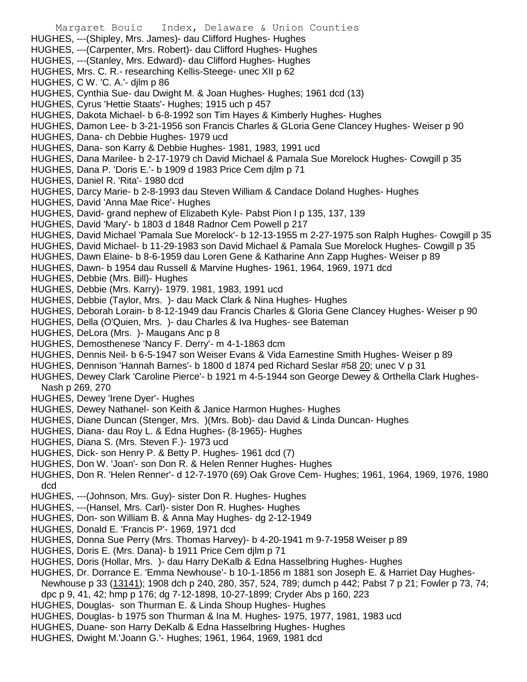- Margaret Bouic Index, Delaware & Union Counties HUGHES, ---(Shipley, Mrs. James)- dau Clifford Hughes- Hughes HUGHES, ---(Carpenter, Mrs. Robert)- dau Clifford Hughes- Hughes HUGHES, ---(Stanley, Mrs. Edward)- dau Clifford Hughes- Hughes HUGHES, Mrs. C. R.- researching Kellis-Steege- unec XII p 62 HUGHES, C W. 'C. A.'- djlm p 86 HUGHES, Cynthia Sue- dau Dwight M. & Joan Hughes- Hughes; 1961 dcd (13) HUGHES, Cyrus 'Hettie Staats'- Hughes; 1915 uch p 457 HUGHES, Dakota Michael- b 6-8-1992 son Tim Hayes & Kimberly Hughes- Hughes HUGHES, Damon Lee- b 3-21-1956 son Francis Charles & GLoria Gene Clancey Hughes- Weiser p 90 HUGHES, Dana- ch Debbie Hughes- 1979 ucd HUGHES, Dana- son Karry & Debbie Hughes- 1981, 1983, 1991 ucd HUGHES, Dana Marilee- b 2-17-1979 ch David Michael & Pamala Sue Morelock Hughes- Cowgill p 35 HUGHES, Dana P. 'Doris E.'- b 1909 d 1983 Price Cem djlm p 71 HUGHES, Daniel R. 'Rita'- 1980 dcd HUGHES, Darcy Marie- b 2-8-1993 dau Steven William & Candace Doland Hughes- Hughes HUGHES, David 'Anna Mae Rice'- Hughes HUGHES, David- grand nephew of Elizabeth Kyle- Pabst Pion I p 135, 137, 139 HUGHES, David 'Mary'- b 1803 d 1848 Radnor Cem Powell p 217 HUGHES, David Michael 'Pamala Sue Morelock'- b 12-13-1955 m 2-27-1975 son Ralph Hughes- Cowgill p 35 HUGHES, David Michael- b 11-29-1983 son David Michael & Pamala Sue Morelock Hughes- Cowgill p 35 HUGHES, Dawn Elaine- b 8-6-1959 dau Loren Gene & Katharine Ann Zapp Hughes- Weiser p 89 HUGHES, Dawn- b 1954 dau Russell & Marvine Hughes- 1961, 1964, 1969, 1971 dcd HUGHES, Debbie (Mrs. Bill)- Hughes HUGHES, Debbie (Mrs. Karry)- 1979. 1981, 1983, 1991 ucd HUGHES, Debbie (Taylor, Mrs. )- dau Mack Clark & Nina Hughes- Hughes HUGHES, Deborah Lorain- b 8-12-1949 dau Francis Charles & Gloria Gene Clancey Hughes- Weiser p 90 HUGHES, Della (O'Quien, Mrs. )- dau Charles & Iva Hughes- see Bateman HUGHES, DeLora (Mrs. )- Maugans Anc p 8 HUGHES, Demosthenese 'Nancy F. Derry'- m 4-1-1863 dcm HUGHES, Dennis Neil- b 6-5-1947 son Weiser Evans & Vida Earnestine Smith Hughes- Weiser p 89 HUGHES, Dennison 'Hannah Barnes'- b 1800 d 1874 ped Richard Seslar #58 20; unec V p 31 HUGHES, Dewey Clark 'Caroline Pierce'- b 1921 m 4-5-1944 son George Dewey & Orthella Clark Hughes-Nash p 269, 270 HUGHES, Dewey 'Irene Dyer'- Hughes HUGHES, Dewey Nathanel- son Keith & Janice Harmon Hughes- Hughes HUGHES, Diane Duncan (Stenger, Mrs. )(Mrs. Bob)- dau David & Linda Duncan- Hughes HUGHES, Diana- dau Roy L. & Edna Hughes- (8-1965)- Hughes HUGHES, Diana S. (Mrs. Steven F.)- 1973 ucd HUGHES, Dick- son Henry P. & Betty P. Hughes- 1961 dcd (7) HUGHES, Don W. 'Joan'- son Don R. & Helen Renner Hughes- Hughes HUGHES, Don R. 'Helen Renner'- d 12-7-1970 (69) Oak Grove Cem- Hughes; 1961, 1964, 1969, 1976, 1980 dcd HUGHES, ---(Johnson, Mrs. Guy)- sister Don R. Hughes- Hughes HUGHES, ---(Hansel, Mrs. Carl)- sister Don R. Hughes- Hughes HUGHES, Don- son William B. & Anna May Hughes- dg 2-12-1949 HUGHES, Donald E. 'Francis P'- 1969, 1971 dcd HUGHES, Donna Sue Perry (Mrs. Thomas Harvey)- b 4-20-1941 m 9-7-1958 Weiser p 89 HUGHES, Doris E. (Mrs. Dana)- b 1911 Price Cem djlm p 71 HUGHES, Doris (Hollar, Mrs. )- dau Harry DeKalb & Edna Hasselbring Hughes- Hughes HUGHES, Dr. Dorrance E. 'Emma Newhouse'- b 10-1-1856 m 1881 son Joseph E. & Harriet Day Hughes-Newhouse p 33 (13141); 1908 dch p 240, 280, 357, 524, 789; dumch p 442; Pabst 7 p 21; Fowler p 73, 74;
- dpc p 9, 41, 42; hmp p 176; dg 7-12-1898, 10-27-1899; Cryder Abs p 160, 223
- HUGHES, Douglas- son Thurman E. & Linda Shoup Hughes- Hughes
- HUGHES, Douglas- b 1975 son Thurman & Ina M. Hughes- 1975, 1977, 1981, 1983 ucd
- HUGHES, Duane- son Harry DeKalb & Edna Hasselbring Hughes- Hughes
- HUGHES, Dwight M.'Joann G.'- Hughes; 1961, 1964, 1969, 1981 dcd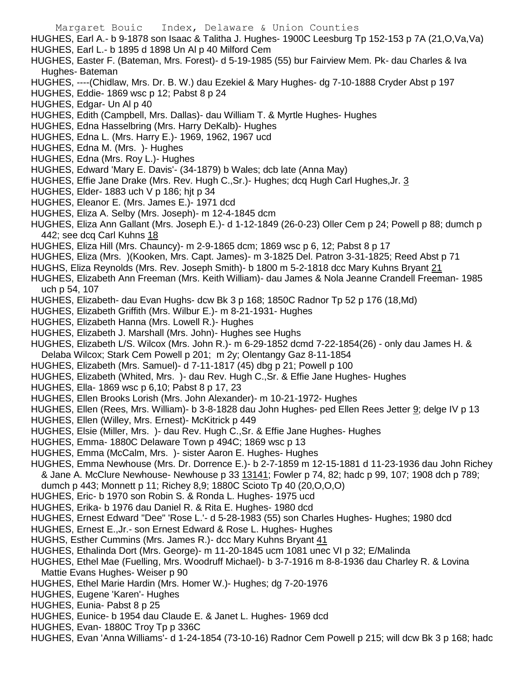Margaret Bouic Index, Delaware & Union Counties HUGHES, Earl A.- b 9-1878 son Isaac & Talitha J. Hughes- 1900C Leesburg Tp 152-153 p 7A (21,O,Va,Va) HUGHES, Earl L.- b 1895 d 1898 Un Al p 40 Milford Cem HUGHES, Easter F. (Bateman, Mrs. Forest)- d 5-19-1985 (55) bur Fairview Mem. Pk- dau Charles & Iva Hughes- Bateman HUGHES, ----(Chidlaw, Mrs. Dr. B. W.) dau Ezekiel & Mary Hughes- dg 7-10-1888 Cryder Abst p 197 HUGHES, Eddie- 1869 wsc p 12; Pabst 8 p 24 HUGHES, Edgar- Un Al p 40 HUGHES, Edith (Campbell, Mrs. Dallas)- dau William T. & Myrtle Hughes- Hughes HUGHES, Edna Hasselbring (Mrs. Harry DeKalb)- Hughes HUGHES, Edna L. (Mrs. Harry E.)- 1969, 1962, 1967 ucd HUGHES, Edna M. (Mrs. )- Hughes HUGHES, Edna (Mrs. Roy L.)- Hughes HUGHES, Edward 'Mary E. Davis'- (34-1879) b Wales; dcb late (Anna May) HUGHES, Effie Jane Drake (Mrs. Rev. Hugh C.,Sr.)- Hughes; dcq Hugh Carl Hughes,Jr. 3 HUGHES, Elder- 1883 uch V p 186; hjt p 34 HUGHES, Eleanor E. (Mrs. James E.)- 1971 dcd HUGHES, Eliza A. Selby (Mrs. Joseph)- m 12-4-1845 dcm HUGHES, Eliza Ann Gallant (Mrs. Joseph E.)- d 1-12-1849 (26-0-23) Oller Cem p 24; Powell p 88; dumch p 442; see dcq Carl Kuhns 18 HUGHES, Eliza Hill (Mrs. Chauncy)- m 2-9-1865 dcm; 1869 wsc p 6, 12; Pabst 8 p 17 HUGHES, Eliza (Mrs. )(Kooken, Mrs. Capt. James)- m 3-1825 Del. Patron 3-31-1825; Reed Abst p 71 HUGHS, Eliza Reynolds (Mrs. Rev. Joseph Smith)- b 1800 m 5-2-1818 dcc Mary Kuhns Bryant 21 HUGHES, Elizabeth Ann Freeman (Mrs. Keith William)- dau James & Nola Jeanne Crandell Freeman- 1985 uch p 54, 107 HUGHES, Elizabeth- dau Evan Hughs- dcw Bk 3 p 168; 1850C Radnor Tp 52 p 176 (18,Md) HUGHES, Elizabeth Griffith (Mrs. Wilbur E.)- m 8-21-1931- Hughes HUGHES, Elizabeth Hanna (Mrs. Lowell R.)- Hughes HUGHES, Elizabeth J. Marshall (Mrs. John)- Hughes see Hughs HUGHES, Elizabeth L/S. Wilcox (Mrs. John R.)- m 6-29-1852 dcmd 7-22-1854(26) - only dau James H. & Delaba Wilcox; Stark Cem Powell p 201; m 2y; Olentangy Gaz 8-11-1854 HUGHES, Elizabeth (Mrs. Samuel)- d 7-11-1817 (45) dbg p 21; Powell p 100 HUGHES, Elizabeth (Whited, Mrs. )- dau Rev. Hugh C.,Sr. & Effie Jane Hughes- Hughes HUGHES, Ella- 1869 wsc p 6,10; Pabst 8 p 17, 23 HUGHES, Ellen Brooks Lorish (Mrs. John Alexander)- m 10-21-1972- Hughes HUGHES, Ellen (Rees, Mrs. William)- b 3-8-1828 dau John Hughes- ped Ellen Rees Jetter 9; delge IV p 13 HUGHES, Ellen (Willey, Mrs. Ernest)- McKitrick p 449 HUGHES, Elsie (Miller, Mrs. )- dau Rev. Hugh C.,Sr. & Effie Jane Hughes- Hughes HUGHES, Emma- 1880C Delaware Town p 494C; 1869 wsc p 13 HUGHES, Emma (McCalm, Mrs. )- sister Aaron E. Hughes- Hughes HUGHES, Emma Newhouse (Mrs. Dr. Dorrence E.)- b 2-7-1859 m 12-15-1881 d 11-23-1936 dau John Richey & Jane A. McClure Newhouse- Newhouse p 33 13141; Fowler p 74, 82; hadc p 99, 107; 1908 dch p 789; dumch p 443; Monnett p 11; Richey 8,9; 1880C Scioto Tp 40 (20,O,O,O) HUGHES, Eric- b 1970 son Robin S. & Ronda L. Hughes- 1975 ucd HUGHES, Erika- b 1976 dau Daniel R. & Rita E. Hughes- 1980 dcd HUGHES, Ernest Edward "Dee" 'Rose L.'- d 5-28-1983 (55) son Charles Hughes- Hughes; 1980 dcd

- HUGHES, Ernest E.,Jr.- son Ernest Edward & Rose L. Hughes- Hughes
- HUGHS, Esther Cummins (Mrs. James R.)- dcc Mary Kuhns Bryant 41
- HUGHES, Ethalinda Dort (Mrs. George)- m 11-20-1845 ucm 1081 unec VI p 32; E/Malinda
- HUGHES, Ethel Mae (Fuelling, Mrs. Woodruff Michael)- b 3-7-1916 m 8-8-1936 dau Charley R. & Lovina Mattie Evans Hughes- Weiser p 90
- HUGHES, Ethel Marie Hardin (Mrs. Homer W.)- Hughes; dg 7-20-1976
- HUGHES, Eugene 'Karen'- Hughes
- HUGHES, Eunia- Pabst 8 p 25
- HUGHES, Eunice- b 1954 dau Claude E. & Janet L. Hughes- 1969 dcd
- HUGHES, Evan- 1880C Troy Tp p 336C
- HUGHES, Evan 'Anna Williams'- d 1-24-1854 (73-10-16) Radnor Cem Powell p 215; will dcw Bk 3 p 168; hadc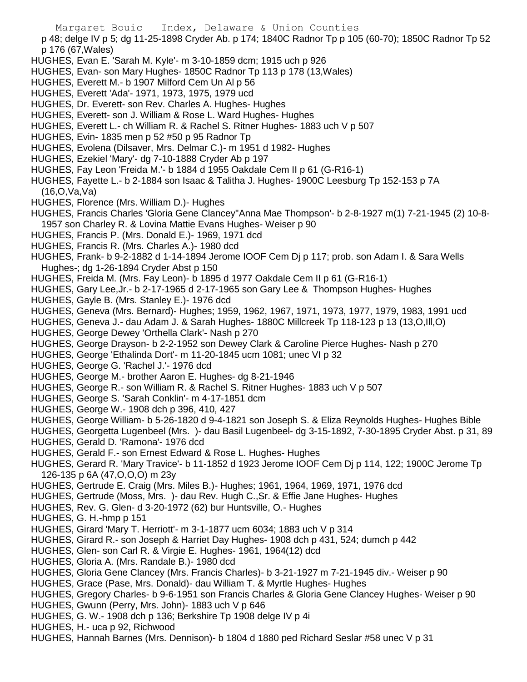Margaret Bouic Index, Delaware & Union Counties p 48; delge IV p 5; dg 11-25-1898 Cryder Ab. p 174; 1840C Radnor Tp p 105 (60-70); 1850C Radnor Tp 52 p 176 (67,Wales) HUGHES, Evan E. 'Sarah M. Kyle'- m 3-10-1859 dcm; 1915 uch p 926 HUGHES, Evan- son Mary Hughes- 1850C Radnor Tp 113 p 178 (13,Wales) HUGHES, Everett M.- b 1907 Milford Cem Un Al p 56 HUGHES, Everett 'Ada'- 1971, 1973, 1975, 1979 ucd HUGHES, Dr. Everett- son Rev. Charles A. Hughes- Hughes HUGHES, Everett- son J. William & Rose L. Ward Hughes- Hughes HUGHES, Everett L.- ch William R. & Rachel S. Ritner Hughes- 1883 uch V p 507 HUGHES, Evin- 1835 men p 52 #50 p 95 Radnor Tp HUGHES, Evolena (Dilsaver, Mrs. Delmar C.)- m 1951 d 1982- Hughes HUGHES, Ezekiel 'Mary'- dg 7-10-1888 Cryder Ab p 197 HUGHES, Fay Leon 'Freida M.'- b 1884 d 1955 Oakdale Cem II p 61 (G-R16-1) HUGHES, Fayette L.- b 2-1884 son Isaac & Talitha J. Hughes- 1900C Leesburg Tp 152-153 p 7A (16,O,Va,Va) HUGHES, Florence (Mrs. William D.)- Hughes HUGHES, Francis Charles 'Gloria Gene Clancey''Anna Mae Thompson'- b 2-8-1927 m(1) 7-21-1945 (2) 10-8- 1957 son Charley R. & Lovina Mattie Evans Hughes- Weiser p 90 HUGHES, Francis P. (Mrs. Donald E.)- 1969, 1971 dcd HUGHES, Francis R. (Mrs. Charles A.)- 1980 dcd HUGHES, Frank- b 9-2-1882 d 1-14-1894 Jerome IOOF Cem Dj p 117; prob. son Adam I. & Sara Wells Hughes-; dg 1-26-1894 Cryder Abst p 150 HUGHES, Freida M. (Mrs. Fay Leon)- b 1895 d 1977 Oakdale Cem II p 61 (G-R16-1) HUGHES, Gary Lee,Jr.- b 2-17-1965 d 2-17-1965 son Gary Lee & Thompson Hughes- Hughes HUGHES, Gayle B. (Mrs. Stanley E.)- 1976 dcd HUGHES, Geneva (Mrs. Bernard)- Hughes; 1959, 1962, 1967, 1971, 1973, 1977, 1979, 1983, 1991 ucd HUGHES, Geneva J.- dau Adam J. & Sarah Hughes- 1880C Millcreek Tp 118-123 p 13 (13,O,Ill,O) HUGHES, George Dewey 'Orthella Clark'- Nash p 270 HUGHES, George Drayson- b 2-2-1952 son Dewey Clark & Caroline Pierce Hughes- Nash p 270 HUGHES, George 'Ethalinda Dort'- m 11-20-1845 ucm 1081; unec VI p 32 HUGHES, George G. 'Rachel J.'- 1976 dcd HUGHES, George M.- brother Aaron E. Hughes- dg 8-21-1946 HUGHES, George R.- son William R. & Rachel S. Ritner Hughes- 1883 uch V p 507 HUGHES, George S. 'Sarah Conklin'- m 4-17-1851 dcm HUGHES, George W.- 1908 dch p 396, 410, 427 HUGHES, George William- b 5-26-1820 d 9-4-1821 son Joseph S. & Eliza Reynolds Hughes- Hughes Bible HUGHES, Georgetta Lugenbeel (Mrs. )- dau Basil Lugenbeel- dg 3-15-1892, 7-30-1895 Cryder Abst. p 31, 89 HUGHES, Gerald D. 'Ramona'- 1976 dcd HUGHES, Gerald F.- son Ernest Edward & Rose L. Hughes- Hughes HUGHES, Gerard R. 'Mary Travice'- b 11-1852 d 1923 Jerome IOOF Cem Dj p 114, 122; 1900C Jerome Tp 126-135 p 6A (47,O,O,O) m 23y HUGHES, Gertrude E. Craig (Mrs. Miles B.)- Hughes; 1961, 1964, 1969, 1971, 1976 dcd HUGHES, Gertrude (Moss, Mrs. )- dau Rev. Hugh C.,Sr. & Effie Jane Hughes- Hughes HUGHES, Rev. G. Glen- d 3-20-1972 (62) bur Huntsville, O.- Hughes HUGHES, G. H.-hmp p 151 HUGHES, Girard 'Mary T. Herriott'- m 3-1-1877 ucm 6034; 1883 uch V p 314 HUGHES, Girard R.- son Joseph & Harriet Day Hughes- 1908 dch p 431, 524; dumch p 442 HUGHES, Glen- son Carl R. & Virgie E. Hughes- 1961, 1964(12) dcd HUGHES, Gloria A. (Mrs. Randale B.)- 1980 dcd HUGHES, Gloria Gene Clancey (Mrs. Francis Charles)- b 3-21-1927 m 7-21-1945 div.- Weiser p 90 HUGHES, Grace (Pase, Mrs. Donald)- dau William T. & Myrtle Hughes- Hughes HUGHES, Gregory Charles- b 9-6-1951 son Francis Charles & Gloria Gene Clancey Hughes- Weiser p 90

- HUGHES, Gwunn (Perry, Mrs. John)- 1883 uch V p 646
- HUGHES, G. W.- 1908 dch p 136; Berkshire Tp 1908 delge IV p 4i
- HUGHES, H.- uca p 92, Richwood
- HUGHES, Hannah Barnes (Mrs. Dennison)- b 1804 d 1880 ped Richard Seslar #58 unec V p 31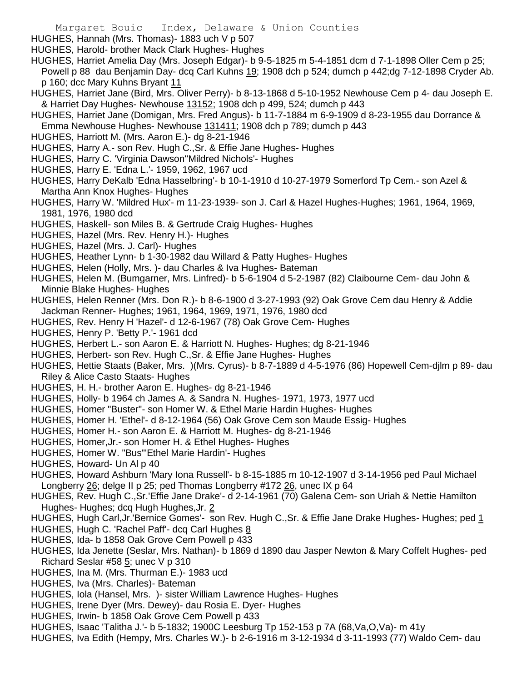- HUGHES, Hannah (Mrs. Thomas)- 1883 uch V p 507
- HUGHES, Harold- brother Mack Clark Hughes- Hughes
- HUGHES, Harriet Amelia Day (Mrs. Joseph Edgar)- b 9-5-1825 m 5-4-1851 dcm d 7-1-1898 Oller Cem p 25; Powell p 88 dau Benjamin Day- dcq Carl Kuhns 19; 1908 dch p 524; dumch p 442;dg 7-12-1898 Cryder Ab. p 160; dcc Mary Kuhns Bryant 11
- HUGHES, Harriet Jane (Bird, Mrs. Oliver Perry)- b 8-13-1868 d 5-10-1952 Newhouse Cem p 4- dau Joseph E. & Harriet Day Hughes- Newhouse 13152; 1908 dch p 499, 524; dumch p 443
- HUGHES, Harriet Jane (Domigan, Mrs. Fred Angus)- b 11-7-1884 m 6-9-1909 d 8-23-1955 dau Dorrance & Emma Newhouse Hughes- Newhouse 131411; 1908 dch p 789; dumch p 443
- HUGHES, Harriott M. (Mrs. Aaron E.)- dg 8-21-1946
- HUGHES, Harry A.- son Rev. Hugh C.,Sr. & Effie Jane Hughes- Hughes
- HUGHES, Harry C. 'Virginia Dawson''Mildred Nichols'- Hughes
- HUGHES, Harry E. 'Edna L.'- 1959, 1962, 1967 ucd
- HUGHES, Harry DeKalb 'Edna Hasselbring'- b 10-1-1910 d 10-27-1979 Somerford Tp Cem.- son Azel & Martha Ann Knox Hughes- Hughes
- HUGHES, Harry W. 'Mildred Hux'- m 11-23-1939- son J. Carl & Hazel Hughes-Hughes; 1961, 1964, 1969, 1981, 1976, 1980 dcd
- HUGHES, Haskell- son Miles B. & Gertrude Craig Hughes- Hughes
- HUGHES, Hazel (Mrs. Rev. Henry H.)- Hughes
- HUGHES, Hazel (Mrs. J. Carl)- Hughes
- HUGHES, Heather Lynn- b 1-30-1982 dau Willard & Patty Hughes- Hughes
- HUGHES, Helen (Holly, Mrs. )- dau Charles & Iva Hughes- Bateman
- HUGHES, Helen M. (Bumgarner, Mrs. Linfred)- b 5-6-1904 d 5-2-1987 (82) Claibourne Cem- dau John & Minnie Blake Hughes- Hughes
- HUGHES, Helen Renner (Mrs. Don R.)- b 8-6-1900 d 3-27-1993 (92) Oak Grove Cem dau Henry & Addie Jackman Renner- Hughes; 1961, 1964, 1969, 1971, 1976, 1980 dcd
- HUGHES, Rev. Henry H 'Hazel'- d 12-6-1967 (78) Oak Grove Cem- Hughes
- HUGHES, Henry P. 'Betty P.'- 1961 dcd
- HUGHES, Herbert L.- son Aaron E. & Harriott N. Hughes- Hughes; dg 8-21-1946
- HUGHES, Herbert- son Rev. Hugh C.,Sr. & Effie Jane Hughes- Hughes
- HUGHES, Hettie Staats (Baker, Mrs. )(Mrs. Cyrus)- b 8-7-1889 d 4-5-1976 (86) Hopewell Cem-djlm p 89- dau Riley & Alice Casto Staats- Hughes
- HUGHES, H. H.- brother Aaron E. Hughes- dg 8-21-1946
- HUGHES, Holly- b 1964 ch James A. & Sandra N. Hughes- 1971, 1973, 1977 ucd
- HUGHES, Homer "Buster"- son Homer W. & Ethel Marie Hardin Hughes- Hughes
- HUGHES, Homer H. 'Ethel'- d 8-12-1964 (56) Oak Grove Cem son Maude Essig- Hughes
- HUGHES, Homer H.- son Aaron E. & Harriott M. Hughes- dg 8-21-1946
- HUGHES, Homer,Jr.- son Homer H. & Ethel Hughes- Hughes
- HUGHES, Homer W. "Bus"'Ethel Marie Hardin'- Hughes
- HUGHES, Howard- Un Al p 40
- HUGHES, Howard Ashburn 'Mary Iona Russell'- b 8-15-1885 m 10-12-1907 d 3-14-1956 ped Paul Michael Longberry 26; delge II p 25; ped Thomas Longberry #172 26, unec IX p 64
- HUGHES, Rev. Hugh C.,Sr.'Effie Jane Drake'- d 2-14-1961 (70) Galena Cem- son Uriah & Nettie Hamilton Hughes- Hughes; dcq Hugh Hughes,Jr. 2
- HUGHES, Hugh Carl,Jr.'Bernice Gomes'- son Rev. Hugh C.,Sr. & Effie Jane Drake Hughes- Hughes; ped 1
- HUGHES, Hugh C. 'Rachel Paff'- dcq Carl Hughes 8
- HUGHES, Ida- b 1858 Oak Grove Cem Powell p 433
- HUGHES, Ida Jenette (Seslar, Mrs. Nathan)- b 1869 d 1890 dau Jasper Newton & Mary Coffelt Hughes- ped Richard Seslar #58 5; unec V p 310
- HUGHES, Ina M. (Mrs. Thurman E.)- 1983 ucd
- HUGHES, Iva (Mrs. Charles)- Bateman
- HUGHES, Iola (Hansel, Mrs. )- sister William Lawrence Hughes- Hughes
- HUGHES, Irene Dyer (Mrs. Dewey)- dau Rosia E. Dyer- Hughes
- HUGHES, Irwin- b 1858 Oak Grove Cem Powell p 433
- HUGHES, Isaac 'Talitha J.'- b 5-1832; 1900C Leesburg Tp 152-153 p 7A (68,Va,O,Va)- m 41y
- HUGHES, Iva Edith (Hempy, Mrs. Charles W.)- b 2-6-1916 m 3-12-1934 d 3-11-1993 (77) Waldo Cem- dau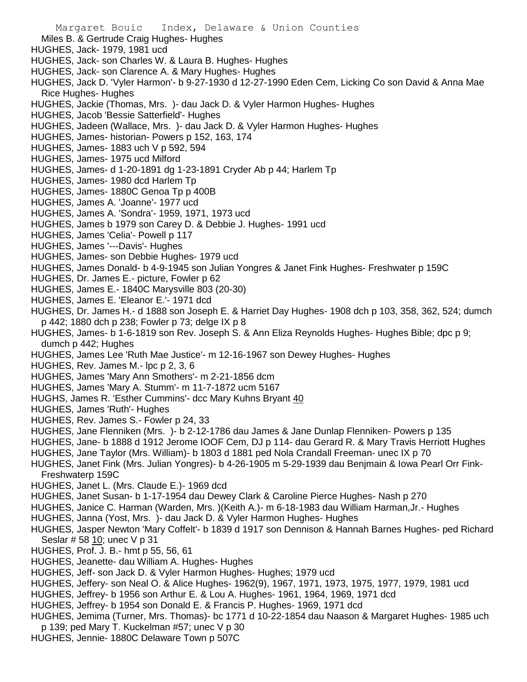- Miles B. & Gertrude Craig Hughes- Hughes
- HUGHES, Jack- 1979, 1981 ucd
- HUGHES, Jack- son Charles W. & Laura B. Hughes- Hughes
- HUGHES, Jack- son Clarence A. & Mary Hughes- Hughes
- HUGHES, Jack D. 'Vyler Harmon'- b 9-27-1930 d 12-27-1990 Eden Cem, Licking Co son David & Anna Mae Rice Hughes- Hughes
- HUGHES, Jackie (Thomas, Mrs. )- dau Jack D. & Vyler Harmon Hughes- Hughes
- HUGHES, Jacob 'Bessie Satterfield'- Hughes
- HUGHES, Jadeen (Wallace, Mrs. )- dau Jack D. & Vyler Harmon Hughes- Hughes
- HUGHES, James- historian- Powers p 152, 163, 174
- HUGHES, James- 1883 uch V p 592, 594
- HUGHES, James- 1975 ucd Milford
- HUGHES, James- d 1-20-1891 dg 1-23-1891 Cryder Ab p 44; Harlem Tp
- HUGHES, James- 1980 dcd Harlem Tp
- HUGHES, James- 1880C Genoa Tp p 400B
- HUGHES, James A. 'Joanne'- 1977 ucd
- HUGHES, James A. 'Sondra'- 1959, 1971, 1973 ucd
- HUGHES, James b 1979 son Carey D. & Debbie J. Hughes- 1991 ucd
- HUGHES, James 'Celia'- Powell p 117
- HUGHES, James '---Davis'- Hughes
- HUGHES, James- son Debbie Hughes- 1979 ucd
- HUGHES, James Donald- b 4-9-1945 son Julian Yongres & Janet Fink Hughes- Freshwater p 159C
- HUGHES, Dr. James E.- picture, Fowler p 62
- HUGHES, James E.- 1840C Marysville 803 (20-30)
- HUGHES, James E. 'Eleanor E.'- 1971 dcd
- HUGHES, Dr. James H.- d 1888 son Joseph E. & Harriet Day Hughes- 1908 dch p 103, 358, 362, 524; dumch p 442; 1880 dch p 238; Fowler p 73; delge IX p 8
- HUGHES, James- b 1-6-1819 son Rev. Joseph S. & Ann Eliza Reynolds Hughes- Hughes Bible; dpc p 9; dumch p 442; Hughes
- HUGHES, James Lee 'Ruth Mae Justice'- m 12-16-1967 son Dewey Hughes- Hughes
- HUGHES, Rev. James M.- lpc p 2, 3, 6
- HUGHES, James 'Mary Ann Smothers'- m 2-21-1856 dcm
- HUGHES, James 'Mary A. Stumm'- m 11-7-1872 ucm 5167
- HUGHS, James R. 'Esther Cummins'- dcc Mary Kuhns Bryant 40
- HUGHES, James 'Ruth'- Hughes
- HUGHES, Rev. James S.- Fowler p 24, 33
- HUGHES, Jane Flenniken (Mrs. )- b 2-12-1786 dau James & Jane Dunlap Flenniken- Powers p 135
- HUGHES, Jane- b 1888 d 1912 Jerome IOOF Cem, DJ p 114- dau Gerard R. & Mary Travis Herriott Hughes
- HUGHES, Jane Taylor (Mrs. William)- b 1803 d 1881 ped Nola Crandall Freeman- unec IX p 70
- HUGHES, Janet Fink (Mrs. Julian Yongres)- b 4-26-1905 m 5-29-1939 dau Benjmain & Iowa Pearl Orr Fink-Freshwaterp 159C
- HUGHES, Janet L. (Mrs. Claude E.)- 1969 dcd
- HUGHES, Janet Susan- b 1-17-1954 dau Dewey Clark & Caroline Pierce Hughes- Nash p 270
- HUGHES, Janice C. Harman (Warden, Mrs. )(Keith A.)- m 6-18-1983 dau William Harman,Jr.- Hughes
- HUGHES, Janna (Yost, Mrs. )- dau Jack D. & Vyler Harmon Hughes- Hughes
- HUGHES, Jasper Newton 'Mary Coffelt'- b 1839 d 1917 son Dennison & Hannah Barnes Hughes- ped Richard Seslar # 58 10; unec V p 31
- HUGHES, Prof. J. B.- hmt p 55, 56, 61
- HUGHES, Jeanette- dau William A. Hughes- Hughes
- HUGHES, Jeff- son Jack D. & Vyler Harmon Hughes- Hughes; 1979 ucd
- HUGHES, Jeffery- son Neal O. & Alice Hughes- 1962(9), 1967, 1971, 1973, 1975, 1977, 1979, 1981 ucd
- HUGHES, Jeffrey- b 1956 son Arthur E. & Lou A. Hughes- 1961, 1964, 1969, 1971 dcd
- HUGHES, Jeffrey- b 1954 son Donald E. & Francis P. Hughes- 1969, 1971 dcd
- HUGHES, Jemima (Turner, Mrs. Thomas)- bc 1771 d 10-22-1854 dau Naason & Margaret Hughes- 1985 uch p 139; ped Mary T. Kuckelman #57; unec V p 30
- HUGHES, Jennie- 1880C Delaware Town p 507C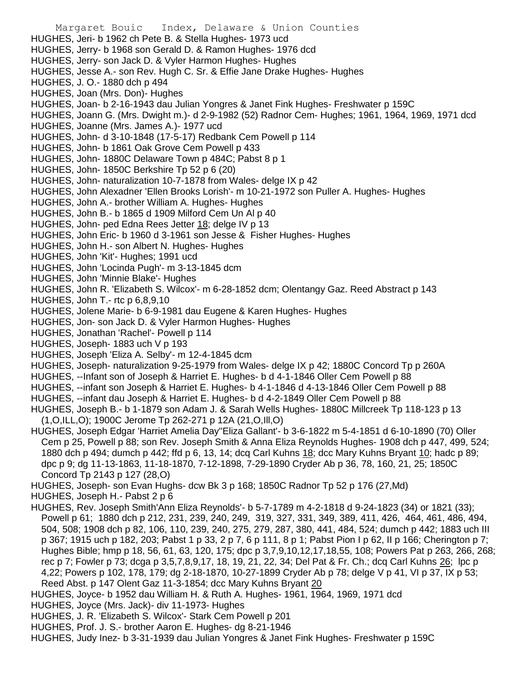Margaret Bouic Index, Delaware & Union Counties HUGHES, Jeri- b 1962 ch Pete B. & Stella Hughes- 1973 ucd HUGHES, Jerry- b 1968 son Gerald D. & Ramon Hughes- 1976 dcd HUGHES, Jerry- son Jack D. & Vyler Harmon Hughes- Hughes HUGHES, Jesse A.- son Rev. Hugh C. Sr. & Effie Jane Drake Hughes- Hughes HUGHES, J. O.- 1880 dch p 494 HUGHES, Joan (Mrs. Don)- Hughes HUGHES, Joan- b 2-16-1943 dau Julian Yongres & Janet Fink Hughes- Freshwater p 159C HUGHES, Joann G. (Mrs. Dwight m.)- d 2-9-1982 (52) Radnor Cem- Hughes; 1961, 1964, 1969, 1971 dcd HUGHES, Joanne (Mrs. James A.)- 1977 ucd HUGHES, John- d 3-10-1848 (17-5-17) Redbank Cem Powell p 114 HUGHES, John- b 1861 Oak Grove Cem Powell p 433 HUGHES, John- 1880C Delaware Town p 484C; Pabst 8 p 1 HUGHES, John- 1850C Berkshire Tp 52 p 6 (20) HUGHES, John- naturalization 10-7-1878 from Wales- delge IX p 42 HUGHES, John Alexadner 'Ellen Brooks Lorish'- m 10-21-1972 son Puller A. Hughes- Hughes HUGHES, John A.- brother William A. Hughes- Hughes HUGHES, John B.- b 1865 d 1909 Milford Cem Un Al p 40 HUGHES, John- ped Edna Rees Jetter 18; delge IV p 13 HUGHES, John Eric- b 1960 d 3-1961 son Jesse & Fisher Hughes- Hughes HUGHES, John H.- son Albert N. Hughes- Hughes HUGHES, John 'Kit'- Hughes; 1991 ucd HUGHES, John 'Locinda Pugh'- m 3-13-1845 dcm HUGHES, John 'Minnie Blake'- Hughes HUGHES, John R. 'Elizabeth S. Wilcox'- m 6-28-1852 dcm; Olentangy Gaz. Reed Abstract p 143 HUGHES, John T.- rtc p 6,8,9,10 HUGHES, Jolene Marie- b 6-9-1981 dau Eugene & Karen Hughes- Hughes HUGHES, Jon- son Jack D. & Vyler Harmon Hughes- Hughes HUGHES, Jonathan 'Rachel'- Powell p 114 HUGHES, Joseph- 1883 uch V p 193 HUGHES, Joseph 'Eliza A. Selby'- m 12-4-1845 dcm HUGHES, Joseph- naturalization 9-25-1979 from Wales- delge IX p 42; 1880C Concord Tp p 260A HUGHES, --Infant son of Joseph & Harriet E. Hughes- b d 4-1-1846 Oller Cem Powell p 88 HUGHES, --infant son Joseph & Harriet E. Hughes- b 4-1-1846 d 4-13-1846 Oller Cem Powell p 88 HUGHES, --infant dau Joseph & Harriet E. Hughes- b d 4-2-1849 Oller Cem Powell p 88 HUGHES, Joseph B.- b 1-1879 son Adam J. & Sarah Wells Hughes- 1880C Millcreek Tp 118-123 p 13 (1,O,ILL,O); 1900C Jerome Tp 262-271 p 12A (21,O,Ill,O) HUGHES, Joseph Edgar 'Harriet Amelia Day''Eliza Gallant'- b 3-6-1822 m 5-4-1851 d 6-10-1890 (70) Oller Cem p 25, Powell p 88; son Rev. Joseph Smith & Anna Eliza Reynolds Hughes- 1908 dch p 447, 499, 524; 1880 dch p 494; dumch p 442; ffd p 6, 13, 14; dcq Carl Kuhns 18; dcc Mary Kuhns Bryant 10; hadc p 89; dpc p 9; dg 11-13-1863, 11-18-1870, 7-12-1898, 7-29-1890 Cryder Ab p 36, 78, 160, 21, 25; 1850C Concord Tp 2143 p 127 (28,O) HUGHES, Joseph- son Evan Hughs- dcw Bk 3 p 168; 1850C Radnor Tp 52 p 176 (27,Md) HUGHES, Joseph H.- Pabst 2 p 6 HUGHES, Rev. Joseph Smith'Ann Eliza Reynolds'- b 5-7-1789 m 4-2-1818 d 9-24-1823 (34) or 1821 (33); Powell p 61; 1880 dch p 212, 231, 239, 240, 249, 319, 327, 331, 349, 389, 411, 426, 464, 461, 486, 494, 504, 508; 1908 dch p 82, 106, 110, 239, 240, 275, 279, 287, 380, 441, 484, 524; dumch p 442; 1883 uch III p 367; 1915 uch p 182, 203; Pabst 1 p 33, 2 p 7, 6 p 111, 8 p 1; Pabst Pion I p 62, II p 166; Cherington p 7; Hughes Bible; hmp p 18, 56, 61, 63, 120, 175; dpc p 3,7,9,10,12,17,18,55, 108; Powers Pat p 263, 266, 268; rec p 7; Fowler p 73; dcga p 3,5,7,8,9,17, 18, 19, 21, 22, 34; Del Pat & Fr. Ch.; dcq Carl Kuhns 26; lpc p

4,22; Powers p 102, 178, 179; dg 2-18-1870, 10-27-1899 Cryder Ab p 78; delge V p 41, VI p 37, IX p 53;

Reed Abst. p 147 Olent Gaz 11-3-1854; dcc Mary Kuhns Bryant 20

HUGHES, Joyce- b 1952 dau William H. & Ruth A. Hughes- 1961, 1964, 1969, 1971 dcd

- HUGHES, Joyce (Mrs. Jack)- div 11-1973- Hughes
- HUGHES, J. R. 'Elizabeth S. Wilcox'- Stark Cem Powell p 201
- HUGHES, Prof. J. S.- brother Aaron E. Hughes- dg 8-21-1946

HUGHES, Judy Inez- b 3-31-1939 dau Julian Yongres & Janet Fink Hughes- Freshwater p 159C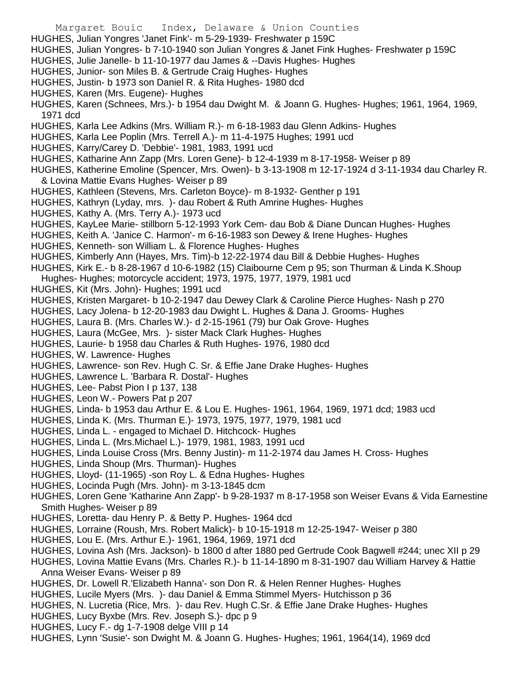- Margaret Bouic Index, Delaware & Union Counties HUGHES, Julian Yongres 'Janet Fink'- m 5-29-1939- Freshwater p 159C HUGHES, Julian Yongres- b 7-10-1940 son Julian Yongres & Janet Fink Hughes- Freshwater p 159C HUGHES, Julie Janelle- b 11-10-1977 dau James & --Davis Hughes- Hughes HUGHES, Junior- son Miles B. & Gertrude Craig Hughes- Hughes HUGHES, Justin- b 1973 son Daniel R. & Rita Hughes- 1980 dcd HUGHES, Karen (Mrs. Eugene)- Hughes HUGHES, Karen (Schnees, Mrs.)- b 1954 dau Dwight M. & Joann G. Hughes- Hughes; 1961, 1964, 1969, 1971 dcd HUGHES, Karla Lee Adkins (Mrs. William R.)- m 6-18-1983 dau Glenn Adkins- Hughes HUGHES, Karla Lee Poplin (Mrs. Terrell A.)- m 11-4-1975 Hughes; 1991 ucd HUGHES, Karry/Carey D. 'Debbie'- 1981, 1983, 1991 ucd HUGHES, Katharine Ann Zapp (Mrs. Loren Gene)- b 12-4-1939 m 8-17-1958- Weiser p 89 HUGHES, Katherine Emoline (Spencer, Mrs. Owen)- b 3-13-1908 m 12-17-1924 d 3-11-1934 dau Charley R. & Lovina Mattie Evans Hughes- Weiser p 89 HUGHES, Kathleen (Stevens, Mrs. Carleton Boyce)- m 8-1932- Genther p 191 HUGHES, Kathryn (Lyday, mrs. )- dau Robert & Ruth Amrine Hughes- Hughes HUGHES, Kathy A. (Mrs. Terry A.)- 1973 ucd HUGHES, KayLee Marie- stillborn 5-12-1993 York Cem- dau Bob & Diane Duncan Hughes- Hughes HUGHES, Keith A. 'Janice C. Harmon'- m 6-16-1983 son Dewey & Irene Hughes- Hughes HUGHES, Kenneth- son William L. & Florence Hughes- Hughes HUGHES, Kimberly Ann (Hayes, Mrs. Tim)-b 12-22-1974 dau Bill & Debbie Hughes- Hughes HUGHES, Kirk E.- b 8-28-1967 d 10-6-1982 (15) Claibourne Cem p 95; son Thurman & Linda K.Shoup Hughes- Hughes; motorcycle accident; 1973, 1975, 1977, 1979, 1981 ucd HUGHES, Kit (Mrs. John)- Hughes; 1991 ucd HUGHES, Kristen Margaret- b 10-2-1947 dau Dewey Clark & Caroline Pierce Hughes- Nash p 270 HUGHES, Lacy Jolena- b 12-20-1983 dau Dwight L. Hughes & Dana J. Grooms- Hughes HUGHES, Laura B. (Mrs. Charles W.)- d 2-15-1961 (79) bur Oak Grove- Hughes HUGHES, Laura (McGee, Mrs. )- sister Mack Clark Hughes- Hughes HUGHES, Laurie- b 1958 dau Charles & Ruth Hughes- 1976, 1980 dcd HUGHES, W. Lawrence- Hughes HUGHES, Lawrence- son Rev. Hugh C. Sr. & Effie Jane Drake Hughes- Hughes HUGHES, Lawrence L. 'Barbara R. Dostal'- Hughes HUGHES, Lee- Pabst Pion I p 137, 138 HUGHES, Leon W.- Powers Pat p 207 HUGHES, Linda- b 1953 dau Arthur E. & Lou E. Hughes- 1961, 1964, 1969, 1971 dcd; 1983 ucd HUGHES, Linda K. (Mrs. Thurman E.)- 1973, 1975, 1977, 1979, 1981 ucd HUGHES, Linda L. - engaged to Michael D. Hitchcock- Hughes HUGHES, Linda L. (Mrs.Michael L.)- 1979, 1981, 1983, 1991 ucd HUGHES, Linda Louise Cross (Mrs. Benny Justin)- m 11-2-1974 dau James H. Cross- Hughes HUGHES, Linda Shoup (Mrs. Thurman)- Hughes HUGHES, Lloyd- (11-1965) -son Roy L. & Edna Hughes- Hughes HUGHES, Locinda Pugh (Mrs. John)- m 3-13-1845 dcm HUGHES, Loren Gene 'Katharine Ann Zapp'- b 9-28-1937 m 8-17-1958 son Weiser Evans & Vida Earnestine Smith Hughes- Weiser p 89 HUGHES, Loretta- dau Henry P. & Betty P. Hughes- 1964 dcd HUGHES, Lorraine (Roush, Mrs. Robert Malick)- b 10-15-1918 m 12-25-1947- Weiser p 380 HUGHES, Lou E. (Mrs. Arthur E.)- 1961, 1964, 1969, 1971 dcd HUGHES, Lovina Ash (Mrs. Jackson)- b 1800 d after 1880 ped Gertrude Cook Bagwell #244; unec XII p 29 HUGHES, Lovina Mattie Evans (Mrs. Charles R.)- b 11-14-1890 m 8-31-1907 dau William Harvey & Hattie Anna Weiser Evans- Weiser p 89
- HUGHES, Dr. Lowell R.'Elizabeth Hanna'- son Don R. & Helen Renner Hughes- Hughes
- HUGHES, Lucile Myers (Mrs. )- dau Daniel & Emma Stimmel Myers- Hutchisson p 36
- HUGHES, N. Lucretia (Rice, Mrs. )- dau Rev. Hugh C.Sr. & Effie Jane Drake Hughes- Hughes
- HUGHES, Lucy Byxbe (Mrs. Rev. Joseph S.)- dpc p 9
- HUGHES, Lucy F.- dg 1-7-1908 delge VIII p 14
- HUGHES, Lynn 'Susie'- son Dwight M. & Joann G. Hughes- Hughes; 1961, 1964(14), 1969 dcd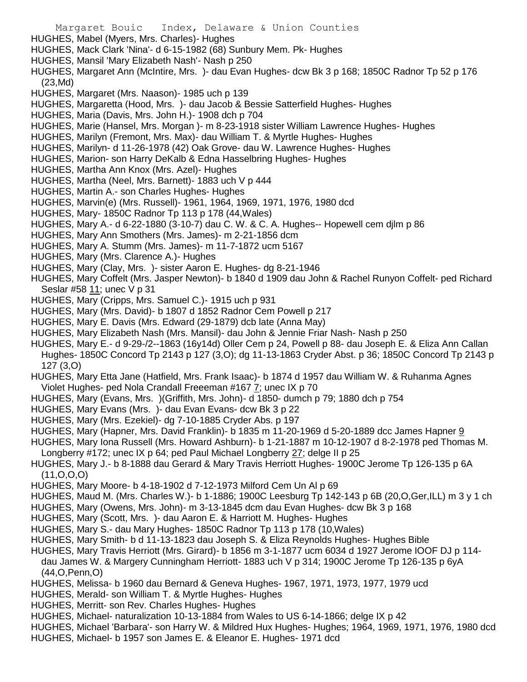- Margaret Bouic Index, Delaware & Union Counties HUGHES, Mabel (Myers, Mrs. Charles)- Hughes HUGHES, Mack Clark 'Nina'- d 6-15-1982 (68) Sunbury Mem. Pk- Hughes HUGHES, Mansil 'Mary Elizabeth Nash'- Nash p 250 HUGHES, Margaret Ann (McIntire, Mrs. )- dau Evan Hughes- dcw Bk 3 p 168; 1850C Radnor Tp 52 p 176 (23,Md) HUGHES, Margaret (Mrs. Naason)- 1985 uch p 139 HUGHES, Margaretta (Hood, Mrs. )- dau Jacob & Bessie Satterfield Hughes- Hughes HUGHES, Maria (Davis, Mrs. John H.)- 1908 dch p 704 HUGHES, Marie (Hansel, Mrs. Morgan )- m 8-23-1918 sister William Lawrence Hughes- Hughes HUGHES, Marilyn (Fremont, Mrs. Max)- dau William T. & Myrtle Hughes- Hughes HUGHES, Marilyn- d 11-26-1978 (42) Oak Grove- dau W. Lawrence Hughes- Hughes HUGHES, Marion- son Harry DeKalb & Edna Hasselbring Hughes- Hughes HUGHES, Martha Ann Knox (Mrs. Azel)- Hughes HUGHES, Martha (Neel, Mrs. Barnett)- 1883 uch V p 444 HUGHES, Martin A.- son Charles Hughes- Hughes HUGHES, Marvin(e) (Mrs. Russell)- 1961, 1964, 1969, 1971, 1976, 1980 dcd HUGHES, Mary- 1850C Radnor Tp 113 p 178 (44,Wales) HUGHES, Mary A.- d 6-22-1880 (3-10-7) dau C. W. & C. A. Hughes-- Hopewell cem djlm p 86 HUGHES, Mary Ann Smothers (Mrs. James)- m 2-21-1856 dcm HUGHES, Mary A. Stumm (Mrs. James)- m 11-7-1872 ucm 5167 HUGHES, Mary (Mrs. Clarence A.)- Hughes HUGHES, Mary (Clay, Mrs. )- sister Aaron E. Hughes- dg 8-21-1946 HUGHES, Mary Coffelt (Mrs. Jasper Newton)- b 1840 d 1909 dau John & Rachel Runyon Coffelt- ped Richard Seslar #58 11; unec V p 31 HUGHES, Mary (Cripps, Mrs. Samuel C.)- 1915 uch p 931 HUGHES, Mary (Mrs. David)- b 1807 d 1852 Radnor Cem Powell p 217 HUGHES, Mary E. Davis (Mrs. Edward (29-1879) dcb late (Anna May) HUGHES, Mary Elizabeth Nash (Mrs. Mansil)- dau John & Jennie Friar Nash- Nash p 250
- HUGHES, Mary E.- d 9-29-/2--1863 (16y14d) Oller Cem p 24, Powell p 88- dau Joseph E. & Eliza Ann Callan Hughes- 1850C Concord Tp 2143 p 127 (3,O); dg 11-13-1863 Cryder Abst. p 36; 1850C Concord Tp 2143 p 127 (3,O)
- HUGHES, Mary Etta Jane (Hatfield, Mrs. Frank Isaac)- b 1874 d 1957 dau William W. & Ruhanma Agnes Violet Hughes- ped Nola Crandall Freeeman #167 7; unec IX p 70
- HUGHES, Mary (Evans, Mrs. )(Griffith, Mrs. John)- d 1850- dumch p 79; 1880 dch p 754
- HUGHES, Mary Evans (Mrs. )- dau Evan Evans- dcw Bk 3 p 22
- HUGHES, Mary (Mrs. Ezekiel)- dg 7-10-1885 Cryder Abs. p 197
- HUGHES, Mary (Hapner, Mrs. David Franklin)- b 1835 m 11-20-1969 d 5-20-1889 dcc James Hapner 9
- HUGHES, Mary Iona Russell (Mrs. Howard Ashburn)- b 1-21-1887 m 10-12-1907 d 8-2-1978 ped Thomas M.
- Longberry #172; unec IX p 64; ped Paul Michael Longberry 27; delge II p 25
- HUGHES, Mary J.- b 8-1888 dau Gerard & Mary Travis Herriott Hughes- 1900C Jerome Tp 126-135 p 6A  $(11, 0, 0, 0)$
- HUGHES, Mary Moore- b 4-18-1902 d 7-12-1973 Milford Cem Un Al p 69
- HUGHES, Maud M. (Mrs. Charles W.)- b 1-1886; 1900C Leesburg Tp 142-143 p 6B (20,O,Ger,ILL) m 3 y 1 ch
- HUGHES, Mary (Owens, Mrs. John)- m 3-13-1845 dcm dau Evan Hughes- dcw Bk 3 p 168
- HUGHES, Mary (Scott, Mrs. )- dau Aaron E. & Harriott M. Hughes- Hughes
- HUGHES, Mary S.- dau Mary Hughes- 1850C Radnor Tp 113 p 178 (10,Wales)
- HUGHES, Mary Smith- b d 11-13-1823 dau Joseph S. & Eliza Reynolds Hughes- Hughes Bible
- HUGHES, Mary Travis Herriott (Mrs. Girard)- b 1856 m 3-1-1877 ucm 6034 d 1927 Jerome IOOF DJ p 114 dau James W. & Margery Cunningham Herriott- 1883 uch V p 314; 1900C Jerome Tp 126-135 p 6yA (44,O,Penn,O)
- HUGHES, Melissa- b 1960 dau Bernard & Geneva Hughes- 1967, 1971, 1973, 1977, 1979 ucd
- HUGHES, Merald- son William T. & Myrtle Hughes- Hughes
- HUGHES, Merritt- son Rev. Charles Hughes- Hughes
- HUGHES, Michael- naturalization 10-13-1884 from Wales to US 6-14-1866; delge IX p 42
- HUGHES, Michael 'Barbara'- son Harry W. & Mildred Hux Hughes- Hughes; 1964, 1969, 1971, 1976, 1980 dcd
- HUGHES, Michael- b 1957 son James E. & Eleanor E. Hughes- 1971 dcd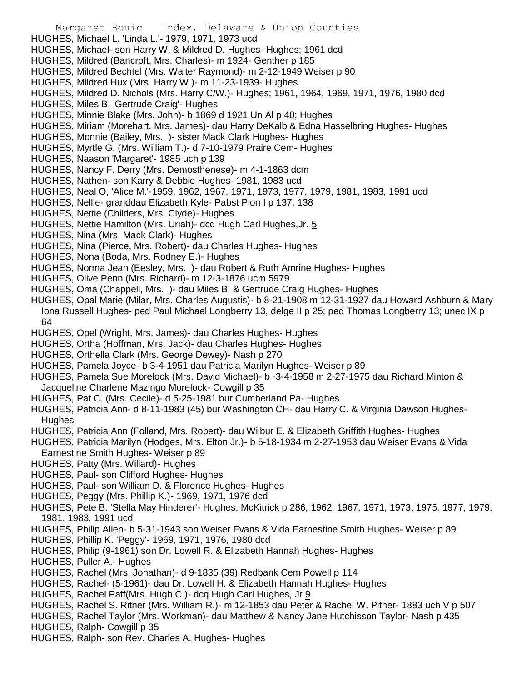- Margaret Bouic Index, Delaware & Union Counties
- HUGHES, Michael L. 'Linda L.'- 1979, 1971, 1973 ucd
- HUGHES, Michael- son Harry W. & Mildred D. Hughes- Hughes; 1961 dcd
- HUGHES, Mildred (Bancroft, Mrs. Charles)- m 1924- Genther p 185
- HUGHES, Mildred Bechtel (Mrs. Walter Raymond)- m 2-12-1949 Weiser p 90
- HUGHES, Mildred Hux (Mrs. Harry W.)- m 11-23-1939- Hughes
- HUGHES, Mildred D. Nichols (Mrs. Harry C/W.)- Hughes; 1961, 1964, 1969, 1971, 1976, 1980 dcd
- HUGHES, Miles B. 'Gertrude Craig'- Hughes
- HUGHES, Minnie Blake (Mrs. John)- b 1869 d 1921 Un Al p 40; Hughes
- HUGHES, Miriam (Morehart, Mrs. James)- dau Harry DeKalb & Edna Hasselbring Hughes- Hughes
- HUGHES, Monnie (Bailey, Mrs. )- sister Mack Clark Hughes- Hughes
- HUGHES, Myrtle G. (Mrs. William T.)- d 7-10-1979 Praire Cem- Hughes
- HUGHES, Naason 'Margaret'- 1985 uch p 139
- HUGHES, Nancy F. Derry (Mrs. Demosthenese)- m 4-1-1863 dcm
- HUGHES, Nathen- son Karry & Debbie Hughes- 1981, 1983 ucd
- HUGHES, Neal O, 'Alice M.'-1959, 1962, 1967, 1971, 1973, 1977, 1979, 1981, 1983, 1991 ucd
- HUGHES, Nellie- granddau Elizabeth Kyle- Pabst Pion I p 137, 138
- HUGHES, Nettie (Childers, Mrs. Clyde)- Hughes
- HUGHES, Nettie Hamilton (Mrs. Uriah)- dcq Hugh Carl Hughes,Jr. 5
- HUGHES, Nina (Mrs. Mack Clark)- Hughes
- HUGHES, Nina (Pierce, Mrs. Robert)- dau Charles Hughes- Hughes
- HUGHES, Nona (Boda, Mrs. Rodney E.)- Hughes
- HUGHES, Norma Jean (Eesley, Mrs. )- dau Robert & Ruth Amrine Hughes- Hughes
- HUGHES, Olive Penn (Mrs. Richard)- m 12-3-1876 ucm 5979
- HUGHES, Oma (Chappell, Mrs. )- dau Miles B. & Gertrude Craig Hughes- Hughes
- HUGHES, Opal Marie (Milar, Mrs. Charles Augustis)- b 8-21-1908 m 12-31-1927 dau Howard Ashburn & Mary Iona Russell Hughes- ped Paul Michael Longberry 13, delge II p 25; ped Thomas Longberry 13; unec IX p 64
- HUGHES, Opel (Wright, Mrs. James)- dau Charles Hughes- Hughes
- HUGHES, Ortha (Hoffman, Mrs. Jack)- dau Charles Hughes- Hughes
- HUGHES, Orthella Clark (Mrs. George Dewey)- Nash p 270
- HUGHES, Pamela Joyce- b 3-4-1951 dau Patricia Marilyn Hughes- Weiser p 89
- HUGHES, Pamela Sue Morelock (Mrs. David Michael)- b -3-4-1958 m 2-27-1975 dau Richard Minton & Jacqueline Charlene Mazingo Morelock- Cowgill p 35
- HUGHES, Pat C. (Mrs. Cecile)- d 5-25-1981 bur Cumberland Pa- Hughes
- HUGHES, Patricia Ann- d 8-11-1983 (45) bur Washington CH- dau Harry C. & Virginia Dawson Hughes-**Hughes**
- HUGHES, Patricia Ann (Folland, Mrs. Robert)- dau Wilbur E. & Elizabeth Griffith Hughes- Hughes
- HUGHES, Patricia Marilyn (Hodges, Mrs. Elton,Jr.)- b 5-18-1934 m 2-27-1953 dau Weiser Evans & Vida Earnestine Smith Hughes- Weiser p 89
- HUGHES, Patty (Mrs. Willard)- Hughes
- HUGHES, Paul- son Clifford Hughes- Hughes
- HUGHES, Paul- son William D. & Florence Hughes- Hughes
- HUGHES, Peggy (Mrs. Phillip K.)- 1969, 1971, 1976 dcd
- HUGHES, Pete B. 'Stella May Hinderer'- Hughes; McKitrick p 286; 1962, 1967, 1971, 1973, 1975, 1977, 1979, 1981, 1983, 1991 ucd
- HUGHES, Philip Allen- b 5-31-1943 son Weiser Evans & Vida Earnestine Smith Hughes- Weiser p 89
- HUGHES, Phillip K. 'Peggy'- 1969, 1971, 1976, 1980 dcd
- HUGHES, Philip (9-1961) son Dr. Lowell R. & Elizabeth Hannah Hughes- Hughes
- HUGHES, Puller A.- Hughes
- HUGHES, Rachel (Mrs. Jonathan)- d 9-1835 (39) Redbank Cem Powell p 114
- HUGHES, Rachel- (5-1961)- dau Dr. Lowell H. & Elizabeth Hannah Hughes- Hughes
- HUGHES, Rachel Paff(Mrs. Hugh C.)- dcq Hugh Carl Hughes, Jr 9
- HUGHES, Rachel S. Ritner (Mrs. William R.)- m 12-1853 dau Peter & Rachel W. Pitner- 1883 uch V p 507
- HUGHES, Rachel Taylor (Mrs. Workman)- dau Matthew & Nancy Jane Hutchisson Taylor- Nash p 435
- HUGHES, Ralph- Cowgill p 35
- HUGHES, Ralph- son Rev. Charles A. Hughes- Hughes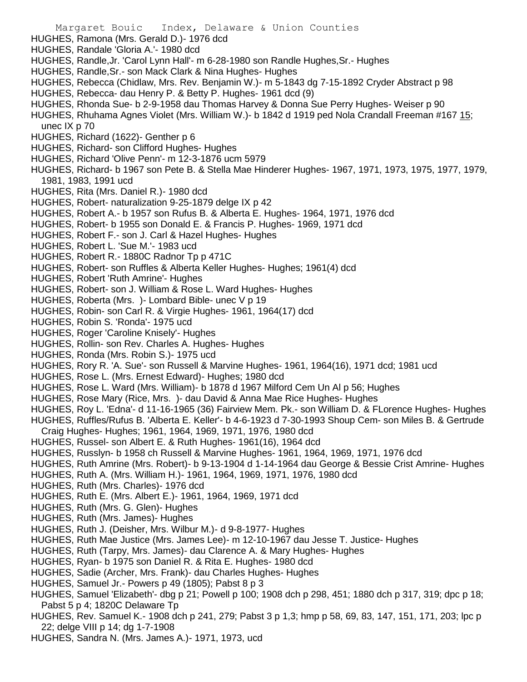- HUGHES, Ramona (Mrs. Gerald D.)- 1976 dcd
- HUGHES, Randale 'Gloria A.'- 1980 dcd
- HUGHES, Randle,Jr. 'Carol Lynn Hall'- m 6-28-1980 son Randle Hughes,Sr.- Hughes
- HUGHES, Randle,Sr.- son Mack Clark & Nina Hughes- Hughes
- HUGHES, Rebecca (Chidlaw, Mrs. Rev. Benjamin W.)- m 5-1843 dg 7-15-1892 Cryder Abstract p 98
- HUGHES, Rebecca- dau Henry P. & Betty P. Hughes- 1961 dcd (9)
- HUGHES, Rhonda Sue- b 2-9-1958 dau Thomas Harvey & Donna Sue Perry Hughes- Weiser p 90
- HUGHES, Rhuhama Agnes Violet (Mrs. William W.)- b 1842 d 1919 ped Nola Crandall Freeman #167 15; unec IX p 70
- HUGHES, Richard (1622)- Genther p 6
- HUGHES, Richard- son Clifford Hughes- Hughes
- HUGHES, Richard 'Olive Penn'- m 12-3-1876 ucm 5979
- HUGHES, Richard- b 1967 son Pete B. & Stella Mae Hinderer Hughes- 1967, 1971, 1973, 1975, 1977, 1979, 1981, 1983, 1991 ucd
- HUGHES, Rita (Mrs. Daniel R.)- 1980 dcd
- HUGHES, Robert- naturalization 9-25-1879 delge IX p 42
- HUGHES, Robert A.- b 1957 son Rufus B. & Alberta E. Hughes- 1964, 1971, 1976 dcd
- HUGHES, Robert- b 1955 son Donald E. & Francis P. Hughes- 1969, 1971 dcd
- HUGHES, Robert F.- son J. Carl & Hazel Hughes- Hughes
- HUGHES, Robert L. 'Sue M.'- 1983 ucd
- HUGHES, Robert R.- 1880C Radnor Tp p 471C
- HUGHES, Robert- son Ruffles & Alberta Keller Hughes- Hughes; 1961(4) dcd
- HUGHES, Robert 'Ruth Amrine'- Hughes
- HUGHES, Robert- son J. William & Rose L. Ward Hughes- Hughes
- HUGHES, Roberta (Mrs. )- Lombard Bible- unec V p 19
- HUGHES, Robin- son Carl R. & Virgie Hughes- 1961, 1964(17) dcd
- HUGHES, Robin S. 'Ronda'- 1975 ucd
- HUGHES, Roger 'Caroline Knisely'- Hughes
- HUGHES, Rollin- son Rev. Charles A. Hughes- Hughes
- HUGHES, Ronda (Mrs. Robin S.)- 1975 ucd
- HUGHES, Rory R. 'A. Sue'- son Russell & Marvine Hughes- 1961, 1964(16), 1971 dcd; 1981 ucd
- HUGHES, Rose L. (Mrs. Ernest Edward)- Hughes; 1980 dcd
- HUGHES, Rose L. Ward (Mrs. William)- b 1878 d 1967 Milford Cem Un Al p 56; Hughes
- HUGHES, Rose Mary (Rice, Mrs. )- dau David & Anna Mae Rice Hughes- Hughes
- HUGHES, Roy L. 'Edna'- d 11-16-1965 (36) Fairview Mem. Pk.- son William D. & FLorence Hughes- Hughes
- HUGHES, Ruffles/Rufus B. 'Alberta E. Keller'- b 4-6-1923 d 7-30-1993 Shoup Cem- son Miles B. & Gertrude Craig Hughes- Hughes; 1961, 1964, 1969, 1971, 1976, 1980 dcd
- HUGHES, Russel- son Albert E. & Ruth Hughes- 1961(16), 1964 dcd
- HUGHES, Russlyn- b 1958 ch Russell & Marvine Hughes- 1961, 1964, 1969, 1971, 1976 dcd
- HUGHES, Ruth Amrine (Mrs. Robert)- b 9-13-1904 d 1-14-1964 dau George & Bessie Crist Amrine- Hughes
- HUGHES, Ruth A. (Mrs. William H.)- 1961, 1964, 1969, 1971, 1976, 1980 dcd
- HUGHES, Ruth (Mrs. Charles)- 1976 dcd
- HUGHES, Ruth E. (Mrs. Albert E.)- 1961, 1964, 1969, 1971 dcd
- HUGHES, Ruth (Mrs. G. Glen)- Hughes
- HUGHES, Ruth (Mrs. James)- Hughes
- HUGHES, Ruth J. (Deisher, Mrs. Wilbur M.)- d 9-8-1977- Hughes
- HUGHES, Ruth Mae Justice (Mrs. James Lee)- m 12-10-1967 dau Jesse T. Justice- Hughes
- HUGHES, Ruth (Tarpy, Mrs. James)- dau Clarence A. & Mary Hughes- Hughes
- HUGHES, Ryan- b 1975 son Daniel R. & Rita E. Hughes- 1980 dcd
- HUGHES, Sadie (Archer, Mrs. Frank)- dau Charles Hughes- Hughes
- HUGHES, Samuel Jr.- Powers p 49 (1805); Pabst 8 p 3
- HUGHES, Samuel 'Elizabeth'- dbg p 21; Powell p 100; 1908 dch p 298, 451; 1880 dch p 317, 319; dpc p 18; Pabst 5 p 4; 1820C Delaware Tp
- HUGHES, Rev. Samuel K.- 1908 dch p 241, 279; Pabst 3 p 1,3; hmp p 58, 69, 83, 147, 151, 171, 203; lpc p 22; delge VIII p 14; dg 1-7-1908
- HUGHES, Sandra N. (Mrs. James A.)- 1971, 1973, ucd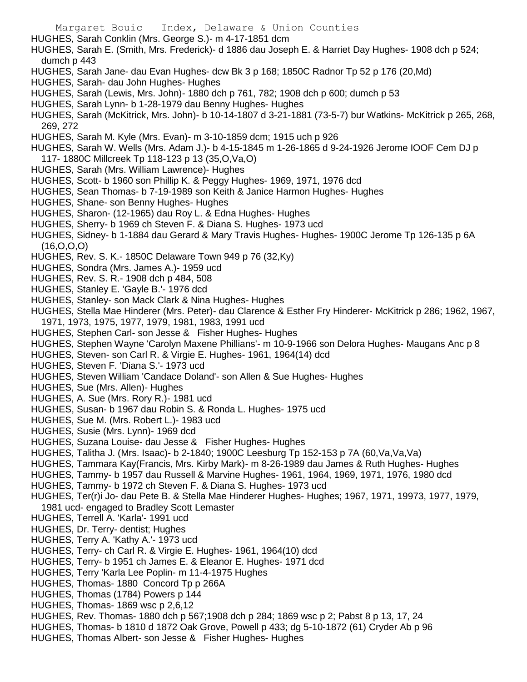- HUGHES, Sarah Conklin (Mrs. George S.)- m 4-17-1851 dcm
- HUGHES, Sarah E. (Smith, Mrs. Frederick)- d 1886 dau Joseph E. & Harriet Day Hughes- 1908 dch p 524; dumch p 443
- HUGHES, Sarah Jane- dau Evan Hughes- dcw Bk 3 p 168; 1850C Radnor Tp 52 p 176 (20,Md)
- HUGHES, Sarah- dau John Hughes- Hughes
- HUGHES, Sarah (Lewis, Mrs. John)- 1880 dch p 761, 782; 1908 dch p 600; dumch p 53
- HUGHES, Sarah Lynn- b 1-28-1979 dau Benny Hughes- Hughes
- HUGHES, Sarah (McKitrick, Mrs. John)- b 10-14-1807 d 3-21-1881 (73-5-7) bur Watkins- McKitrick p 265, 268, 269, 272
- HUGHES, Sarah M. Kyle (Mrs. Evan)- m 3-10-1859 dcm; 1915 uch p 926
- HUGHES, Sarah W. Wells (Mrs. Adam J.)- b 4-15-1845 m 1-26-1865 d 9-24-1926 Jerome IOOF Cem DJ p 117- 1880C Millcreek Tp 118-123 p 13 (35,O,Va,O)
- HUGHES, Sarah (Mrs. William Lawrence)- Hughes
- HUGHES, Scott- b 1960 son Phillip K. & Peggy Hughes- 1969, 1971, 1976 dcd
- HUGHES, Sean Thomas- b 7-19-1989 son Keith & Janice Harmon Hughes- Hughes
- HUGHES, Shane- son Benny Hughes- Hughes
- HUGHES, Sharon- (12-1965) dau Roy L. & Edna Hughes- Hughes
- HUGHES, Sherry- b 1969 ch Steven F. & Diana S. Hughes- 1973 ucd
- HUGHES, Sidney- b 1-1884 dau Gerard & Mary Travis Hughes- Hughes- 1900C Jerome Tp 126-135 p 6A (16,O,O,O)
- HUGHES, Rev. S. K.- 1850C Delaware Town 949 p 76 (32,Ky)
- HUGHES, Sondra (Mrs. James A.)- 1959 ucd
- HUGHES, Rev. S. R.- 1908 dch p 484, 508
- HUGHES, Stanley E. 'Gayle B.'- 1976 dcd
- HUGHES, Stanley- son Mack Clark & Nina Hughes- Hughes
- HUGHES, Stella Mae Hinderer (Mrs. Peter)- dau Clarence & Esther Fry Hinderer- McKitrick p 286; 1962, 1967, 1971, 1973, 1975, 1977, 1979, 1981, 1983, 1991 ucd
- HUGHES, Stephen Carl- son Jesse & Fisher Hughes- Hughes
- HUGHES, Stephen Wayne 'Carolyn Maxene Phillians'- m 10-9-1966 son Delora Hughes- Maugans Anc p 8
- HUGHES, Steven- son Carl R. & Virgie E. Hughes- 1961, 1964(14) dcd
- HUGHES, Steven F. 'Diana S.'- 1973 ucd
- HUGHES, Steven William 'Candace Doland'- son Allen & Sue Hughes- Hughes
- HUGHES, Sue (Mrs. Allen)- Hughes
- HUGHES, A. Sue (Mrs. Rory R.)- 1981 ucd
- HUGHES, Susan- b 1967 dau Robin S. & Ronda L. Hughes- 1975 ucd
- HUGHES, Sue M. (Mrs. Robert L.)- 1983 ucd
- HUGHES, Susie (Mrs. Lynn)- 1969 dcd
- HUGHES, Suzana Louise- dau Jesse & Fisher Hughes- Hughes
- HUGHES, Talitha J. (Mrs. Isaac)- b 2-1840; 1900C Leesburg Tp 152-153 p 7A (60,Va,Va,Va)
- HUGHES, Tammara Kay(Francis, Mrs. Kirby Mark)- m 8-26-1989 dau James & Ruth Hughes- Hughes
- HUGHES, Tammy- b 1957 dau Russell & Marvine Hughes- 1961, 1964, 1969, 1971, 1976, 1980 dcd
- HUGHES, Tammy- b 1972 ch Steven F. & Diana S. Hughes- 1973 ucd
- HUGHES, Ter(r)i Jo- dau Pete B. & Stella Mae Hinderer Hughes- Hughes; 1967, 1971, 19973, 1977, 1979, 1981 ucd- engaged to Bradley Scott Lemaster
- HUGHES, Terrell A. 'Karla'- 1991 ucd
- HUGHES, Dr. Terry- dentist; Hughes
- HUGHES, Terry A. 'Kathy A.'- 1973 ucd
- HUGHES, Terry- ch Carl R. & Virgie E. Hughes- 1961, 1964(10) dcd
- HUGHES, Terry- b 1951 ch James E. & Eleanor E. Hughes- 1971 dcd
- HUGHES, Terry 'Karla Lee Poplin- m 11-4-1975 Hughes
- HUGHES, Thomas- 1880 Concord Tp p 266A
- HUGHES, Thomas (1784) Powers p 144
- HUGHES, Thomas- 1869 wsc p 2,6,12
- HUGHES, Rev. Thomas- 1880 dch p 567;1908 dch p 284; 1869 wsc p 2; Pabst 8 p 13, 17, 24
- HUGHES, Thomas- b 1810 d 1872 Oak Grove, Powell p 433; dg 5-10-1872 (61) Cryder Ab p 96
- HUGHES, Thomas Albert- son Jesse & Fisher Hughes- Hughes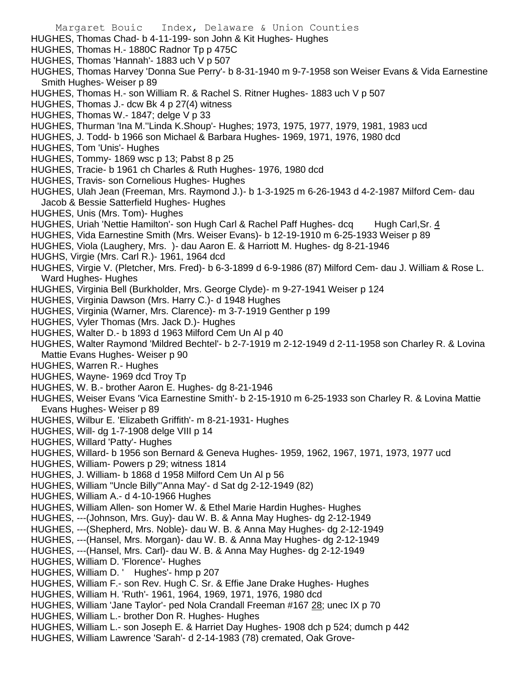- Margaret Bouic Index, Delaware & Union Counties HUGHES, Thomas Chad- b 4-11-199- son John & Kit Hughes- Hughes HUGHES, Thomas H.- 1880C Radnor Tp p 475C HUGHES, Thomas 'Hannah'- 1883 uch V p 507 HUGHES, Thomas Harvey 'Donna Sue Perry'- b 8-31-1940 m 9-7-1958 son Weiser Evans & Vida Earnestine Smith Hughes- Weiser p 89 HUGHES, Thomas H.- son William R. & Rachel S. Ritner Hughes- 1883 uch V p 507 HUGHES, Thomas J.- dcw Bk 4 p 27(4) witness HUGHES, Thomas W.- 1847; delge V p 33 HUGHES, Thurman 'Ina M.''Linda K.Shoup'- Hughes; 1973, 1975, 1977, 1979, 1981, 1983 ucd HUGHES, J. Todd- b 1966 son Michael & Barbara Hughes- 1969, 1971, 1976, 1980 dcd HUGHES, Tom 'Unis'- Hughes HUGHES, Tommy- 1869 wsc p 13; Pabst 8 p 25 HUGHES, Tracie- b 1961 ch Charles & Ruth Hughes- 1976, 1980 dcd HUGHES, Travis- son Cornelious Hughes- Hughes HUGHES, Ulah Jean (Freeman, Mrs. Raymond J.)- b 1-3-1925 m 6-26-1943 d 4-2-1987 Milford Cem- dau Jacob & Bessie Satterfield Hughes- Hughes HUGHES, Unis (Mrs. Tom)- Hughes HUGHES, Uriah 'Nettie Hamilton'- son Hugh Carl & Rachel Paff Hughes- dcq Hugh Carl, Sr. 4 HUGHES, Vida Earnestine Smith (Mrs. Weiser Evans)- b 12-19-1910 m 6-25-1933 Weiser p 89 HUGHES, Viola (Laughery, Mrs. )- dau Aaron E. & Harriott M. Hughes- dg 8-21-1946 HUGHS, Virgie (Mrs. Carl R.)- 1961, 1964 dcd HUGHES, Virgie V. (Pletcher, Mrs. Fred)- b 6-3-1899 d 6-9-1986 (87) Milford Cem- dau J. William & Rose L. Ward Hughes- Hughes HUGHES, Virginia Bell (Burkholder, Mrs. George Clyde)- m 9-27-1941 Weiser p 124 HUGHES, Virginia Dawson (Mrs. Harry C.)- d 1948 Hughes HUGHES, Virginia (Warner, Mrs. Clarence)- m 3-7-1919 Genther p 199 HUGHES, Vyler Thomas (Mrs. Jack D.)- Hughes HUGHES, Walter D.- b 1893 d 1963 Milford Cem Un Al p 40 HUGHES, Walter Raymond 'Mildred Bechtel'- b 2-7-1919 m 2-12-1949 d 2-11-1958 son Charley R. & Lovina Mattie Evans Hughes- Weiser p 90 HUGHES, Warren R.- Hughes HUGHES, Wayne- 1969 dcd Troy Tp HUGHES, W. B.- brother Aaron E. Hughes- dg 8-21-1946 HUGHES, Weiser Evans 'Vica Earnestine Smith'- b 2-15-1910 m 6-25-1933 son Charley R. & Lovina Mattie Evans Hughes- Weiser p 89 HUGHES, Wilbur E. 'Elizabeth Griffith'- m 8-21-1931- Hughes HUGHES, Will- dg 1-7-1908 delge VIII p 14 HUGHES, Willard 'Patty'- Hughes HUGHES, Willard- b 1956 son Bernard & Geneva Hughes- 1959, 1962, 1967, 1971, 1973, 1977 ucd HUGHES, William- Powers p 29; witness 1814 HUGHES, J. William- b 1868 d 1958 Milford Cem Un Al p 56 HUGHES, William "Uncle Billy"'Anna May'- d Sat dg 2-12-1949 (82) HUGHES, William A.- d 4-10-1966 Hughes HUGHES, William Allen- son Homer W. & Ethel Marie Hardin Hughes- Hughes HUGHES, ---(Johnson, Mrs. Guy)- dau W. B. & Anna May Hughes- dg 2-12-1949 HUGHES, ---(Shepherd, Mrs. Noble)- dau W. B. & Anna May Hughes- dg 2-12-1949 HUGHES, ---(Hansel, Mrs. Morgan)- dau W. B. & Anna May Hughes- dg 2-12-1949 HUGHES, ---(Hansel, Mrs. Carl)- dau W. B. & Anna May Hughes- dg 2-12-1949 HUGHES, William D. 'Florence'- Hughes HUGHES, William D. ' Hughes'- hmp p 207 HUGHES, William F.- son Rev. Hugh C. Sr. & Effie Jane Drake Hughes- Hughes HUGHES, William H. 'Ruth'- 1961, 1964, 1969, 1971, 1976, 1980 dcd HUGHES, William 'Jane Taylor'- ped Nola Crandall Freeman #167 28; unec IX p 70
- HUGHES, William L.- brother Don R. Hughes- Hughes
- HUGHES, William L.- son Joseph E. & Harriet Day Hughes- 1908 dch p 524; dumch p 442
- HUGHES, William Lawrence 'Sarah'- d 2-14-1983 (78) cremated, Oak Grove-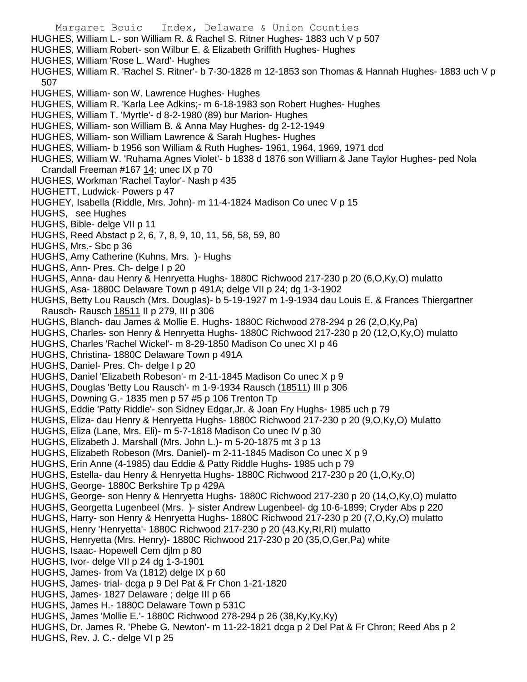Margaret Bouic Index, Delaware & Union Counties HUGHES, William L.- son William R. & Rachel S. Ritner Hughes- 1883 uch V p 507 HUGHES, William Robert- son Wilbur E. & Elizabeth Griffith Hughes- Hughes HUGHES, William 'Rose L. Ward'- Hughes HUGHES, William R. 'Rachel S. Ritner'- b 7-30-1828 m 12-1853 son Thomas & Hannah Hughes- 1883 uch V p 507 HUGHES, William- son W. Lawrence Hughes- Hughes HUGHES, William R. 'Karla Lee Adkins;- m 6-18-1983 son Robert Hughes- Hughes HUGHES, William T. 'Myrtle'- d 8-2-1980 (89) bur Marion- Hughes HUGHES, William- son William B. & Anna May Hughes- dg 2-12-1949 HUGHES, William- son William Lawrence & Sarah Hughes- Hughes HUGHES, William- b 1956 son William & Ruth Hughes- 1961, 1964, 1969, 1971 dcd HUGHES, William W. 'Ruhama Agnes Violet'- b 1838 d 1876 son William & Jane Taylor Hughes- ped Nola Crandall Freeman #167 14; unec IX p 70 HUGHES, Workman 'Rachel Taylor'- Nash p 435 HUGHETT, Ludwick- Powers p 47 HUGHEY, Isabella (Riddle, Mrs. John)- m 11-4-1824 Madison Co unec V p 15 HUGHS, see Hughes HUGHS, Bible- delge VII p 11 HUGHS, Reed Abstact p 2, 6, 7, 8, 9, 10, 11, 56, 58, 59, 80 HUGHS, Mrs.- Sbc p 36 HUGHS, Amy Catherine (Kuhns, Mrs. )- Hughs HUGHS, Ann- Pres. Ch- delge I p 20 HUGHS, Anna- dau Henry & Henryetta Hughs- 1880C Richwood 217-230 p 20 (6,O,Ky,O) mulatto HUGHS, Asa- 1880C Delaware Town p 491A; delge VII p 24; dg 1-3-1902 HUGHS, Betty Lou Rausch (Mrs. Douglas)- b 5-19-1927 m 1-9-1934 dau Louis E. & Frances Thiergartner Rausch- Rausch 18511 II p 279, III p 306 HUGHS, Blanch- dau James & Mollie E. Hughs- 1880C Richwood 278-294 p 26 (2,O,Ky,Pa) HUGHS, Charles- son Henry & Henryetta Hughs- 1880C Richwood 217-230 p 20 (12,O,Ky,O) mulatto HUGHS, Charles 'Rachel Wickel'- m 8-29-1850 Madison Co unec XI p 46 HUGHS, Christina- 1880C Delaware Town p 491A HUGHS, Daniel- Pres. Ch- delge I p 20 HUGHS, Daniel 'Elizabeth Robeson'- m 2-11-1845 Madison Co unec X p 9 HUGHS, Douglas 'Betty Lou Rausch'- m 1-9-1934 Rausch (18511) III p 306 HUGHS, Downing G.- 1835 men p 57 #5 p 106 Trenton Tp HUGHS, Eddie 'Patty Riddle'- son Sidney Edgar,Jr. & Joan Fry Hughs- 1985 uch p 79 HUGHS, Eliza- dau Henry & Henryetta Hughs- 1880C Richwood 217-230 p 20 (9,O,Ky,O) Mulatto HUGHS, Eliza (Lane, Mrs. Eli)- m 5-7-1818 Madison Co unec IV p 30 HUGHS, Elizabeth J. Marshall (Mrs. John L.)- m 5-20-1875 mt 3 p 13 HUGHS, Elizabeth Robeson (Mrs. Daniel)- m 2-11-1845 Madison Co unec X p 9 HUGHS, Erin Anne (4-1985) dau Eddie & Patty Riddle Hughs- 1985 uch p 79 HUGHS, Estella- dau Henry & Henryetta Hughs- 1880C Richwood 217-230 p 20 (1,O,Ky,O) HUGHS, George- 1880C Berkshire Tp p 429A HUGHS, George- son Henry & Henryetta Hughs- 1880C Richwood 217-230 p 20 (14,O,Ky,O) mulatto HUGHS, Georgetta Lugenbeel (Mrs. )- sister Andrew Lugenbeel- dg 10-6-1899; Cryder Abs p 220 HUGHS, Harry- son Henry & Henryetta Hughs- 1880C Richwood 217-230 p 20 (7,O,Ky,O) mulatto HUGHS, Henry 'Henryetta'- 1880C Richwood 217-230 p 20 (43,Ky,RI,RI) mulatto HUGHS, Henryetta (Mrs. Henry)- 1880C Richwood 217-230 p 20 (35,O,Ger,Pa) white HUGHS, Isaac- Hopewell Cem djlm p 80 HUGHS, Ivor- delge VII p 24 dg 1-3-1901 HUGHS, James- from Va (1812) delge IX p 60 HUGHS, James- trial- dcga p 9 Del Pat & Fr Chon 1-21-1820 HUGHS, James- 1827 Delaware ; delge III p 66 HUGHS, James H.- 1880C Delaware Town p 531C HUGHS, James 'Mollie E.'- 1880C Richwood 278-294 p 26 (38,Ky,Ky,Ky) HUGHS, Dr. James R. 'Phebe G. Newton'- m 11-22-1821 dcga p 2 Del Pat & Fr Chron; Reed Abs p 2 HUGHS, Rev. J. C.- delge VI p 25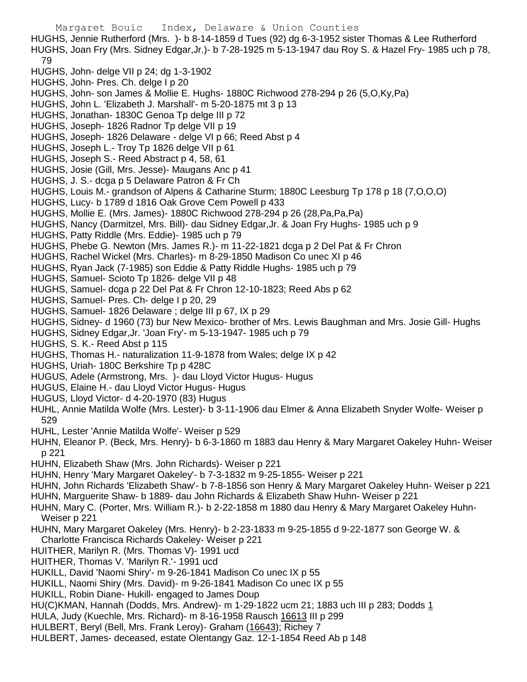Margaret Bouic Index, Delaware & Union Counties HUGHS, Jennie Rutherford (Mrs. )- b 8-14-1859 d Tues (92) dg 6-3-1952 sister Thomas & Lee Rutherford HUGHS, Joan Fry (Mrs. Sidney Edgar,Jr.)- b 7-28-1925 m 5-13-1947 dau Roy S. & Hazel Fry- 1985 uch p 78, 79 HUGHS, John- delge VII p 24; dg 1-3-1902 HUGHS, John- Pres. Ch. delge I p 20 HUGHS, John- son James & Mollie E. Hughs- 1880C Richwood 278-294 p 26 (5,O,Ky,Pa) HUGHS, John L. 'Elizabeth J. Marshall'- m 5-20-1875 mt 3 p 13 HUGHS, Jonathan- 1830C Genoa Tp delge III p 72 HUGHS, Joseph- 1826 Radnor Tp delge VII p 19 HUGHS, Joseph- 1826 Delaware - delge VI p 66; Reed Abst p 4 HUGHS, Joseph L.- Troy Tp 1826 delge VII p 61 HUGHS, Joseph S.- Reed Abstract p 4, 58, 61 HUGHS, Josie (Gill, Mrs. Jesse)- Maugans Anc p 41 HUGHS, J. S.- dcga p 5 Delaware Patron & Fr Ch HUGHS, Louis M.- grandson of Alpens & Catharine Sturm; 1880C Leesburg Tp 178 p 18 (7,O,O,O) HUGHS, Lucy- b 1789 d 1816 Oak Grove Cem Powell p 433 HUGHS, Mollie E. (Mrs. James)- 1880C Richwood 278-294 p 26 (28,Pa,Pa,Pa) HUGHS, Nancy (Darmitzel, Mrs. Bill)- dau Sidney Edgar,Jr. & Joan Fry Hughs- 1985 uch p 9 HUGHS, Patty Riddle (Mrs. Eddie)- 1985 uch p 79 HUGHS, Phebe G. Newton (Mrs. James R.)- m 11-22-1821 dcga p 2 Del Pat & Fr Chron HUGHS, Rachel Wickel (Mrs. Charles)- m 8-29-1850 Madison Co unec XI p 46 HUGHS, Ryan Jack (7-1985) son Eddie & Patty Riddle Hughs- 1985 uch p 79 HUGHS, Samuel- Scioto Tp 1826- delge VII p 48 HUGHS, Samuel- dcga p 22 Del Pat & Fr Chron 12-10-1823; Reed Abs p 62 HUGHS, Samuel- Pres. Ch- delge I p 20, 29 HUGHS, Samuel- 1826 Delaware ; delge III p 67, IX p 29 HUGHS, Sidney- d 1960 (73) bur New Mexico- brother of Mrs. Lewis Baughman and Mrs. Josie Gill- Hughs HUGHS, Sidney Edgar,Jr. 'Joan Fry'- m 5-13-1947- 1985 uch p 79 HUGHS, S. K.- Reed Abst p 115 HUGHS, Thomas H.- naturalization 11-9-1878 from Wales; delge IX p 42 HUGHS, Uriah- 180C Berkshire Tp p 428C HUGUS, Adele (Armstrong, Mrs. )- dau Lloyd Victor Hugus- Hugus HUGUS, Elaine H.- dau Lloyd Victor Hugus- Hugus HUGUS, Lloyd Victor- d 4-20-1970 (83) Hugus HUHL, Annie Matilda Wolfe (Mrs. Lester)- b 3-11-1906 dau Elmer & Anna Elizabeth Snyder Wolfe- Weiser p 529 HUHL, Lester 'Annie Matilda Wolfe'- Weiser p 529 HUHN, Eleanor P. (Beck, Mrs. Henry)- b 6-3-1860 m 1883 dau Henry & Mary Margaret Oakeley Huhn- Weiser p 221 HUHN, Elizabeth Shaw (Mrs. John Richards)- Weiser p 221 HUHN, Henry 'Mary Margaret Oakeley'- b 7-3-1832 m 9-25-1855- Weiser p 221 HUHN, John Richards 'Elizabeth Shaw'- b 7-8-1856 son Henry & Mary Margaret Oakeley Huhn- Weiser p 221 HUHN, Marguerite Shaw- b 1889- dau John Richards & Elizabeth Shaw Huhn- Weiser p 221 HUHN, Mary C. (Porter, Mrs. William R.)- b 2-22-1858 m 1880 dau Henry & Mary Margaret Oakeley Huhn-Weiser p 221 HUHN, Mary Margaret Oakeley (Mrs. Henry)- b 2-23-1833 m 9-25-1855 d 9-22-1877 son George W. & Charlotte Francisca Richards Oakeley- Weiser p 221 HUITHER, Marilyn R. (Mrs. Thomas V)- 1991 ucd HUITHER, Thomas V. 'Marilyn R.'- 1991 ucd HUKILL, David 'Naomi Shiry'- m 9-26-1841 Madison Co unec IX p 55 HUKILL, Naomi Shiry (Mrs. David)- m 9-26-1841 Madison Co unec IX p 55 HUKILL, Robin Diane- Hukill- engaged to James Doup HU(C)KMAN, Hannah (Dodds, Mrs. Andrew)- m 1-29-1822 ucm 21; 1883 uch III p 283; Dodds 1 HULA, Judy (Kuechle, Mrs. Richard)- m 8-16-1958 Rausch 16613 III p 299 HULBERT, Beryl (Bell, Mrs. Frank Leroy)- Graham (16643); Richey 7 HULBERT, James- deceased, estate Olentangy Gaz. 12-1-1854 Reed Ab p 148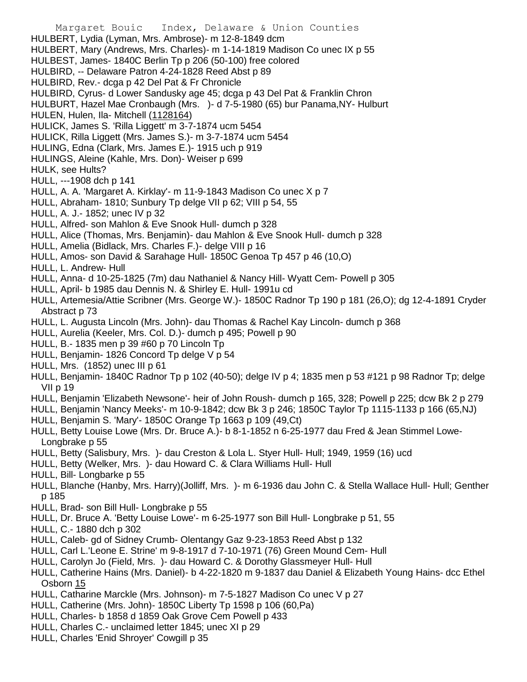- Margaret Bouic Index, Delaware & Union Counties HULBERT, Lydia (Lyman, Mrs. Ambrose)- m 12-8-1849 dcm HULBERT, Mary (Andrews, Mrs. Charles)- m 1-14-1819 Madison Co unec IX p 55 HULBEST, James- 1840C Berlin Tp p 206 (50-100) free colored HULBIRD, -- Delaware Patron 4-24-1828 Reed Abst p 89 HULBIRD, Rev.- dcga p 42 Del Pat & Fr Chronicle HULBIRD, Cyrus- d Lower Sandusky age 45; dcga p 43 Del Pat & Franklin Chron HULBURT, Hazel Mae Cronbaugh (Mrs. )- d 7-5-1980 (65) bur Panama,NY- Hulburt HULEN, Hulen, Ila- Mitchell (1128164) HULICK, James S. 'Rilla Liggett' m 3-7-1874 ucm 5454 HULICK, Rilla Liggett (Mrs. James S.)- m 3-7-1874 ucm 5454 HULING, Edna (Clark, Mrs. James E.)- 1915 uch p 919 HULINGS, Aleine (Kahle, Mrs. Don)- Weiser p 699 HULK, see Hults? HULL, ---1908 dch p 141 HULL, A. A. 'Margaret A. Kirklay'- m 11-9-1843 Madison Co unec X p 7 HULL, Abraham- 1810; Sunbury Tp delge VII p 62; VIII p 54, 55 HULL, A. J.- 1852; unec IV p 32 HULL, Alfred- son Mahlon & Eve Snook Hull- dumch p 328 HULL, Alice (Thomas, Mrs. Benjamin)- dau Mahlon & Eve Snook Hull- dumch p 328 HULL, Amelia (Bidlack, Mrs. Charles F.)- delge VIII p 16 HULL, Amos- son David & Sarahage Hull- 1850C Genoa Tp 457 p 46 (10,O) HULL, L. Andrew- Hull HULL, Anna- d 10-25-1825 (7m) dau Nathaniel & Nancy Hill- Wyatt Cem- Powell p 305 HULL, April- b 1985 dau Dennis N. & Shirley E. Hull- 1991u cd HULL, Artemesia/Attie Scribner (Mrs. George W.)- 1850C Radnor Tp 190 p 181 (26,O); dg 12-4-1891 Cryder Abstract p 73 HULL, L. Augusta Lincoln (Mrs. John)- dau Thomas & Rachel Kay Lincoln- dumch p 368 HULL, Aurelia (Keeler, Mrs. Col. D.)- dumch p 495; Powell p 90 HULL, B.- 1835 men p 39 #60 p 70 Lincoln Tp HULL, Benjamin- 1826 Concord Tp delge V p 54 HULL, Mrs. (1852) unec III p 61 HULL, Benjamin- 1840C Radnor Tp p 102 (40-50); delge IV p 4; 1835 men p 53 #121 p 98 Radnor Tp; delge VII p 19 HULL, Benjamin 'Elizabeth Newsone'- heir of John Roush- dumch p 165, 328; Powell p 225; dcw Bk 2 p 279 HULL, Benjamin 'Nancy Meeks'- m 10-9-1842; dcw Bk 3 p 246; 1850C Taylor Tp 1115-1133 p 166 (65,NJ)
- HULL, Benjamin S. 'Mary'- 1850C Orange Tp 1663 p 109 (49,Ct)
- HULL, Betty Louise Lowe (Mrs. Dr. Bruce A.)- b 8-1-1852 n 6-25-1977 dau Fred & Jean Stimmel Lowe-Longbrake p 55
- HULL, Betty (Salisbury, Mrs. )- dau Creston & Lola L. Styer Hull- Hull; 1949, 1959 (16) ucd
- HULL, Betty (Welker, Mrs. )- dau Howard C. & Clara Williams Hull- Hull
- HULL, Bill- Longbarke p 55
- HULL, Blanche (Hanby, Mrs. Harry)(Jolliff, Mrs. )- m 6-1936 dau John C. & Stella Wallace Hull- Hull; Genther p 185
- HULL, Brad- son Bill Hull- Longbrake p 55
- HULL, Dr. Bruce A. 'Betty Louise Lowe'- m 6-25-1977 son Bill Hull- Longbrake p 51, 55
- HULL, C.- 1880 dch p 302
- HULL, Caleb- gd of Sidney Crumb- Olentangy Gaz 9-23-1853 Reed Abst p 132
- HULL, Carl L.'Leone E. Strine' m 9-8-1917 d 7-10-1971 (76) Green Mound Cem- Hull
- HULL, Carolyn Jo (Field, Mrs. )- dau Howard C. & Dorothy Glassmeyer Hull- Hull
- HULL, Catherine Hains (Mrs. Daniel)- b 4-22-1820 m 9-1837 dau Daniel & Elizabeth Young Hains- dcc Ethel Osborn 15
- HULL, Catharine Marckle (Mrs. Johnson)- m 7-5-1827 Madison Co unec V p 27
- HULL, Catherine (Mrs. John)- 1850C Liberty Tp 1598 p 106 (60,Pa)
- HULL, Charles- b 1858 d 1859 Oak Grove Cem Powell p 433
- HULL, Charles C.- unclaimed letter 1845; unec XI p 29
- HULL, Charles 'Enid Shroyer' Cowgill p 35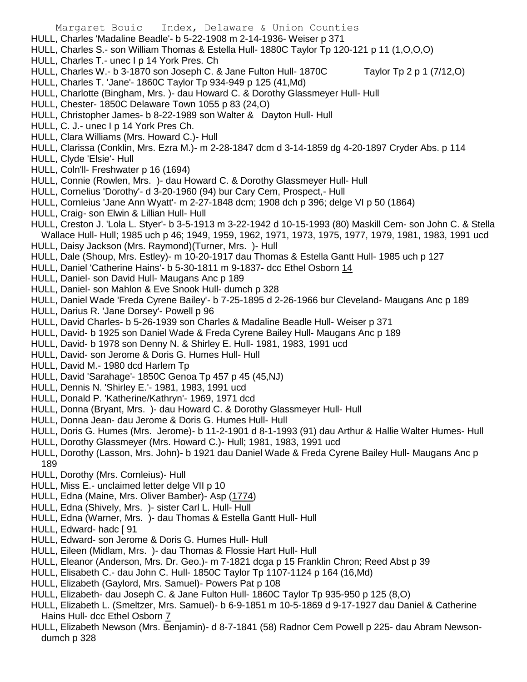- HULL, Charles 'Madaline Beadle'- b 5-22-1908 m 2-14-1936- Weiser p 371
- HULL, Charles S.- son William Thomas & Estella Hull- 1880C Taylor Tp 120-121 p 11 (1,O,O,O)
- HULL, Charles T.- unec I p 14 York Pres. Ch
- HULL, Charles W.- b 3-1870 son Joseph C. & Jane Fulton Hull- 1870C Taylor Tp 2 p 1 (7/12,O)
- HULL, Charles T. 'Jane'- 1860C Taylor Tp 934-949 p 125 (41,Md)
- HULL, Charlotte (Bingham, Mrs. )- dau Howard C. & Dorothy Glassmeyer Hull- Hull
- HULL, Chester- 1850C Delaware Town 1055 p 83 (24,O)
- HULL, Christopher James- b 8-22-1989 son Walter & Dayton Hull- Hull
- HULL, C. J.- unec I p 14 York Pres Ch.
- HULL, Clara Williams (Mrs. Howard C.)- Hull
- HULL, Clarissa (Conklin, Mrs. Ezra M.)- m 2-28-1847 dcm d 3-14-1859 dg 4-20-1897 Cryder Abs. p 114
- HULL, Clyde 'Elsie'- Hull
- HULL, Coln'll- Freshwater p 16 (1694)
- HULL, Connie (Rowlen, Mrs. )- dau Howard C. & Dorothy Glassmeyer Hull- Hull
- HULL, Cornelius 'Dorothy'- d 3-20-1960 (94) bur Cary Cem, Prospect,- Hull
- HULL, Cornleius 'Jane Ann Wyatt'- m 2-27-1848 dcm; 1908 dch p 396; delge VI p 50 (1864)
- HULL, Craig- son Elwin & Lillian Hull- Hull
- HULL, Creston J. 'Lola L. Styer'- b 3-5-1913 m 3-22-1942 d 10-15-1993 (80) Maskill Cem- son John C. & Stella Wallace Hull- Hull; 1985 uch p 46; 1949, 1959, 1962, 1971, 1973, 1975, 1977, 1979, 1981, 1983, 1991 ucd
- HULL, Daisy Jackson (Mrs. Raymond)(Turner, Mrs. )- Hull
- HULL, Dale (Shoup, Mrs. Estley)- m 10-20-1917 dau Thomas & Estella Gantt Hull- 1985 uch p 127
- HULL, Daniel 'Catherine Hains'- b 5-30-1811 m 9-1837- dcc Ethel Osborn 14
- HULL, Daniel- son David Hull- Maugans Anc p 189
- HULL, Daniel- son Mahlon & Eve Snook Hull- dumch p 328
- HULL, Daniel Wade 'Freda Cyrene Bailey'- b 7-25-1895 d 2-26-1966 bur Cleveland- Maugans Anc p 189
- HULL, Darius R. 'Jane Dorsey'- Powell p 96
- HULL, David Charles- b 5-26-1939 son Charles & Madaline Beadle Hull- Weiser p 371
- HULL, David- b 1925 son Daniel Wade & Freda Cyrene Bailey Hull- Maugans Anc p 189
- HULL, David- b 1978 son Denny N. & Shirley E. Hull- 1981, 1983, 1991 ucd
- HULL, David- son Jerome & Doris G. Humes Hull- Hull
- HULL, David M.- 1980 dcd Harlem Tp
- HULL, David 'Sarahage'- 1850C Genoa Tp 457 p 45 (45,NJ)
- HULL, Dennis N. 'Shirley E.'- 1981, 1983, 1991 ucd
- HULL, Donald P. 'Katherine/Kathryn'- 1969, 1971 dcd
- HULL, Donna (Bryant, Mrs. )- dau Howard C. & Dorothy Glassmeyer Hull- Hull
- HULL, Donna Jean- dau Jerome & Doris G. Humes Hull- Hull
- HULL, Doris G. Humes (Mrs. Jerome)- b 11-2-1901 d 8-1-1993 (91) dau Arthur & Hallie Walter Humes- Hull
- HULL, Dorothy Glassmeyer (Mrs. Howard C.)- Hull; 1981, 1983, 1991 ucd
- HULL, Dorothy (Lasson, Mrs. John)- b 1921 dau Daniel Wade & Freda Cyrene Bailey Hull- Maugans Anc p 189
- HULL, Dorothy (Mrs. Cornleius)- Hull
- HULL, Miss E.- unclaimed letter delge VII p 10
- HULL, Edna (Maine, Mrs. Oliver Bamber)- Asp (1774)
- HULL, Edna (Shively, Mrs. )- sister Carl L. Hull- Hull
- HULL, Edna (Warner, Mrs. )- dau Thomas & Estella Gantt Hull- Hull
- HULL, Edward- hadc [ 91
- HULL, Edward- son Jerome & Doris G. Humes Hull- Hull
- HULL, Eileen (Midlam, Mrs. )- dau Thomas & Flossie Hart Hull- Hull
- HULL, Eleanor (Anderson, Mrs. Dr. Geo.)- m 7-1821 dcga p 15 Franklin Chron; Reed Abst p 39
- HULL, Elisabeth C.- dau John C. Hull- 1850C Taylor Tp 1107-1124 p 164 (16,Md)
- HULL, Elizabeth (Gaylord, Mrs. Samuel)- Powers Pat p 108
- HULL, Elizabeth- dau Joseph C. & Jane Fulton Hull- 1860C Taylor Tp 935-950 p 125 (8,O)
- HULL, Elizabeth L. (Smeltzer, Mrs. Samuel)- b 6-9-1851 m 10-5-1869 d 9-17-1927 dau Daniel & Catherine Hains Hull- dcc Ethel Osborn 7
- HULL, Elizabeth Newson (Mrs. Benjamin)- d 8-7-1841 (58) Radnor Cem Powell p 225- dau Abram Newsondumch p 328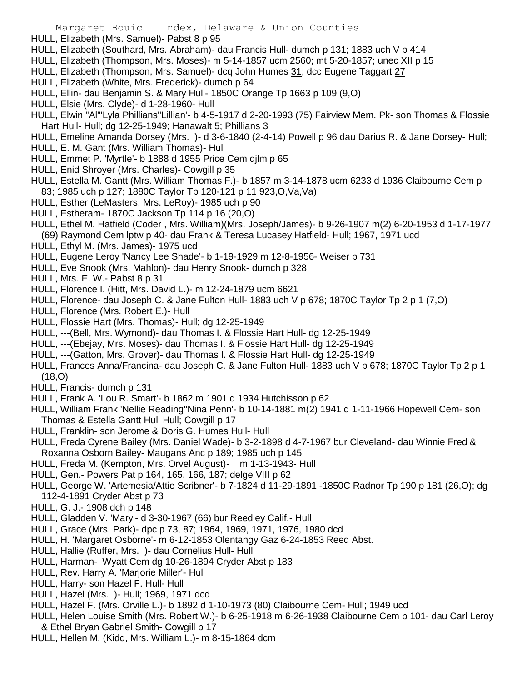- HULL, Elizabeth (Mrs. Samuel)- Pabst 8 p 95
- HULL, Elizabeth (Southard, Mrs. Abraham)- dau Francis Hull- dumch p 131; 1883 uch V p 414
- HULL, Elizabeth (Thompson, Mrs. Moses)- m 5-14-1857 ucm 2560; mt 5-20-1857; unec XII p 15
- HULL, Elizabeth (Thompson, Mrs. Samuel)- dcq John Humes 31; dcc Eugene Taggart 27
- HULL, Elizabeth (White, Mrs. Frederick)- dumch p 64
- HULL, Ellin- dau Benjamin S. & Mary Hull- 1850C Orange Tp 1663 p 109 (9,O)
- HULL, Elsie (Mrs. Clyde)- d 1-28-1960- Hull
- HULL, Elwin "Al"'Lyla Phillians''Lillian'- b 4-5-1917 d 2-20-1993 (75) Fairview Mem. Pk- son Thomas & Flossie Hart Hull- Hull; dg 12-25-1949; Hanawalt 5; Phillians 3
- HULL, Emeline Amanda Dorsey (Mrs. )- d 3-6-1840 (2-4-14) Powell p 96 dau Darius R. & Jane Dorsey- Hull;
- HULL, E. M. Gant (Mrs. William Thomas)- Hull
- HULL, Emmet P. 'Myrtle'- b 1888 d 1955 Price Cem djlm p 65
- HULL, Enid Shroyer (Mrs. Charles)- Cowgill p 35
- HULL, Estella M. Gantt (Mrs. William Thomas F.)- b 1857 m 3-14-1878 ucm 6233 d 1936 Claibourne Cem p 83; 1985 uch p 127; 1880C Taylor Tp 120-121 p 11 923,O,Va,Va)
- HULL, Esther (LeMasters, Mrs. LeRoy)- 1985 uch p 90
- HULL, Estheram- 1870C Jackson Tp 114 p 16 (20,O)
- HULL, Ethel M. Hatfield (Coder , Mrs. William)(Mrs. Joseph/James)- b 9-26-1907 m(2) 6-20-1953 d 1-17-1977
- (69) Raymond Cem lptw p 40- dau Frank & Teresa Lucasey Hatfield- Hull; 1967, 1971 ucd
- HULL, Ethyl M. (Mrs. James)- 1975 ucd
- HULL, Eugene Leroy 'Nancy Lee Shade'- b 1-19-1929 m 12-8-1956- Weiser p 731
- HULL, Eve Snook (Mrs. Mahlon)- dau Henry Snook- dumch p 328
- HULL, Mrs. E. W.- Pabst 8 p 31
- HULL, Florence I. (Hitt, Mrs. David L.)- m 12-24-1879 ucm 6621
- HULL, Florence- dau Joseph C. & Jane Fulton Hull- 1883 uch V p 678; 1870C Taylor Tp 2 p 1 (7,O)
- HULL, Florence (Mrs. Robert E.)- Hull
- HULL, Flossie Hart (Mrs. Thomas)- Hull; dg 12-25-1949
- HULL, ---(Bell, Mrs. Wymond)- dau Thomas I. & Flossie Hart Hull- dg 12-25-1949
- HULL, ---(Ebejay, Mrs. Moses)- dau Thomas I. & Flossie Hart Hull- dg 12-25-1949
- HULL, ---(Gatton, Mrs. Grover)- dau Thomas I. & Flossie Hart Hull- dg 12-25-1949
- HULL, Frances Anna/Francina- dau Joseph C. & Jane Fulton Hull- 1883 uch V p 678; 1870C Taylor Tp 2 p 1 (18,O)
- HULL, Francis- dumch p 131
- HULL, Frank A. 'Lou R. Smart'- b 1862 m 1901 d 1934 Hutchisson p 62
- HULL, William Frank 'Nellie Reading''Nina Penn'- b 10-14-1881 m(2) 1941 d 1-11-1966 Hopewell Cem- son Thomas & Estella Gantt Hull Hull; Cowgill p 17
- HULL, Franklin- son Jerome & Doris G. Humes Hull- Hull
- HULL, Freda Cyrene Bailey (Mrs. Daniel Wade)- b 3-2-1898 d 4-7-1967 bur Cleveland- dau Winnie Fred & Roxanna Osborn Bailey- Maugans Anc p 189; 1985 uch p 145
- HULL, Freda M. (Kempton, Mrs. Orvel August)- m 1-13-1943- Hull
- HULL, Gen.- Powers Pat p 164, 165, 166, 187; delge VIII p 62
- HULL, George W. 'Artemesia/Attie Scribner'- b 7-1824 d 11-29-1891 -1850C Radnor Tp 190 p 181 (26,O); dg 112-4-1891 Cryder Abst p 73
- HULL, G. J.- 1908 dch p 148
- HULL, Gladden V. 'Mary'- d 3-30-1967 (66) bur Reedley Calif.- Hull
- HULL, Grace (Mrs. Park)- dpc p 73, 87; 1964, 1969, 1971, 1976, 1980 dcd
- HULL, H. 'Margaret Osborne'- m 6-12-1853 Olentangy Gaz 6-24-1853 Reed Abst.
- HULL, Hallie (Ruffer, Mrs. )- dau Cornelius Hull- Hull
- HULL, Harman- Wyatt Cem dg 10-26-1894 Cryder Abst p 183
- HULL, Rev. Harry A. 'Marjorie Miller'- Hull
- HULL, Harry- son Hazel F. Hull- Hull
- HULL, Hazel (Mrs. )- Hull; 1969, 1971 dcd
- HULL, Hazel F. (Mrs. Orville L.)- b 1892 d 1-10-1973 (80) Claibourne Cem- Hull; 1949 ucd
- HULL, Helen Louise Smith (Mrs. Robert W.)- b 6-25-1918 m 6-26-1938 Claibourne Cem p 101- dau Carl Leroy & Ethel Bryan Gabriel Smith- Cowgill p 17
- HULL, Hellen M. (Kidd, Mrs. William L.)- m 8-15-1864 dcm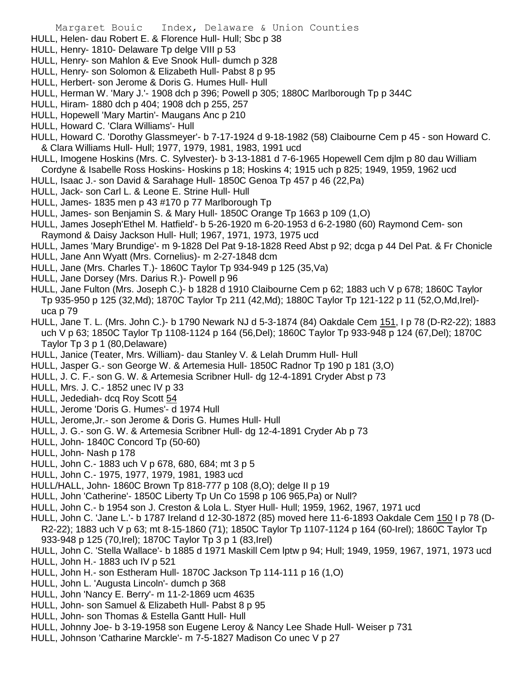- HULL, Helen- dau Robert E. & Florence Hull- Hull; Sbc p 38
- HULL, Henry- 1810- Delaware Tp delge VIII p 53
- HULL, Henry- son Mahlon & Eve Snook Hull- dumch p 328
- HULL, Henry- son Solomon & Elizabeth Hull- Pabst 8 p 95
- HULL, Herbert- son Jerome & Doris G. Humes Hull- Hull
- HULL, Herman W. 'Mary J.'- 1908 dch p 396; Powell p 305; 1880C Marlborough Tp p 344C
- HULL, Hiram- 1880 dch p 404; 1908 dch p 255, 257
- HULL, Hopewell 'Mary Martin'- Maugans Anc p 210
- HULL, Howard C. 'Clara Williams'- Hull
- HULL, Howard C. 'Dorothy Glassmeyer'- b 7-17-1924 d 9-18-1982 (58) Claibourne Cem p 45 son Howard C. & Clara Williams Hull- Hull; 1977, 1979, 1981, 1983, 1991 ucd
- HULL, Imogene Hoskins (Mrs. C. Sylvester)- b 3-13-1881 d 7-6-1965 Hopewell Cem djlm p 80 dau William Cordyne & Isabelle Ross Hoskins- Hoskins p 18; Hoskins 4; 1915 uch p 825; 1949, 1959, 1962 ucd
- HULL, Isaac J.- son David & Sarahage Hull- 1850C Genoa Tp 457 p 46 (22,Pa)
- HULL, Jack- son Carl L. & Leone E. Strine Hull- Hull
- HULL, James- 1835 men p 43 #170 p 77 Marlborough Tp
- HULL, James- son Benjamin S. & Mary Hull- 1850C Orange Tp 1663 p 109 (1,O)
- HULL, James Joseph'Ethel M. Hatfield'- b 5-26-1920 m 6-20-1953 d 6-2-1980 (60) Raymond Cem- son
- Raymond & Daisy Jackson Hull- Hull; 1967, 1971, 1973, 1975 ucd
- HULL, James 'Mary Brundige'- m 9-1828 Del Pat 9-18-1828 Reed Abst p 92; dcga p 44 Del Pat. & Fr Chonicle
- HULL, Jane Ann Wyatt (Mrs. Cornelius)- m 2-27-1848 dcm
- HULL, Jane (Mrs. Charles T.)- 1860C Taylor Tp 934-949 p 125 (35,Va)
- HULL, Jane Dorsey (Mrs. Darius R.)- Powell p 96
- HULL, Jane Fulton (Mrs. Joseph C.)- b 1828 d 1910 Claibourne Cem p 62; 1883 uch V p 678; 1860C Taylor Tp 935-950 p 125 (32,Md); 1870C Taylor Tp 211 (42,Md); 1880C Taylor Tp 121-122 p 11 (52,O,Md,Irel) uca p 79
- HULL, Jane T. L. (Mrs. John C.)- b 1790 Newark NJ d 5-3-1874 (84) Oakdale Cem 151, I p 78 (D-R2-22); 1883 uch V p 63; 1850C Taylor Tp 1108-1124 p 164 (56,Del); 1860C Taylor Tp 933-948 p 124 (67,Del); 1870C Taylor Tp 3 p 1 (80,Delaware)
- HULL, Janice (Teater, Mrs. William)- dau Stanley V. & Lelah Drumm Hull- Hull
- HULL, Jasper G.- son George W. & Artemesia Hull- 1850C Radnor Tp 190 p 181 (3,O)
- HULL, J. C. F.- son G. W. & Artemesia Scribner Hull- dg 12-4-1891 Cryder Abst p 73
- HULL, Mrs. J. C.- 1852 unec IV p 33
- HULL, Jedediah- dcq Roy Scott 54
- HULL, Jerome 'Doris G. Humes'- d 1974 Hull
- HULL, Jerome,Jr.- son Jerome & Doris G. Humes Hull- Hull
- HULL, J. G.- son G. W. & Artemesia Scribner Hull- dg 12-4-1891 Cryder Ab p 73
- HULL, John- 1840C Concord Tp (50-60)
- HULL, John- Nash p 178
- HULL, John C.- 1883 uch V p 678, 680, 684; mt 3 p 5
- HULL, John C.- 1975, 1977, 1979, 1981, 1983 ucd
- HULL/HALL, John- 1860C Brown Tp 818-777 p 108 (8,O); delge II p 19
- HULL, John 'Catherine'- 1850C Liberty Tp Un Co 1598 p 106 965,Pa) or Null?
- HULL, John C.- b 1954 son J. Creston & Lola L. Styer Hull- Hull; 1959, 1962, 1967, 1971 ucd
- HULL, John C. 'Jane L.'- b 1787 Ireland d 12-30-1872 (85) moved here 11-6-1893 Oakdale Cem 150 I p 78 (D-R2-22); 1883 uch V p 63; mt 8-15-1860 (71); 1850C Taylor Tp 1107-1124 p 164 (60-Irel); 1860C Taylor Tp 933-948 p 125 (70,Irel); 1870C Taylor Tp 3 p 1 (83,Irel)
- HULL, John C. 'Stella Wallace'- b 1885 d 1971 Maskill Cem lptw p 94; Hull; 1949, 1959, 1967, 1971, 1973 ucd
- HULL, John H.- 1883 uch IV p 521
- HULL, John H.- son Estheram Hull- 1870C Jackson Tp 114-111 p 16 (1,O)
- HULL, John L. 'Augusta Lincoln'- dumch p 368
- HULL, John 'Nancy E. Berry'- m 11-2-1869 ucm 4635
- HULL, John- son Samuel & Elizabeth Hull- Pabst 8 p 95
- HULL, John- son Thomas & Estella Gantt Hull- Hull
- HULL, Johnny Joe- b 3-19-1958 son Eugene Leroy & Nancy Lee Shade Hull- Weiser p 731
- HULL, Johnson 'Catharine Marckle'- m 7-5-1827 Madison Co unec V p 27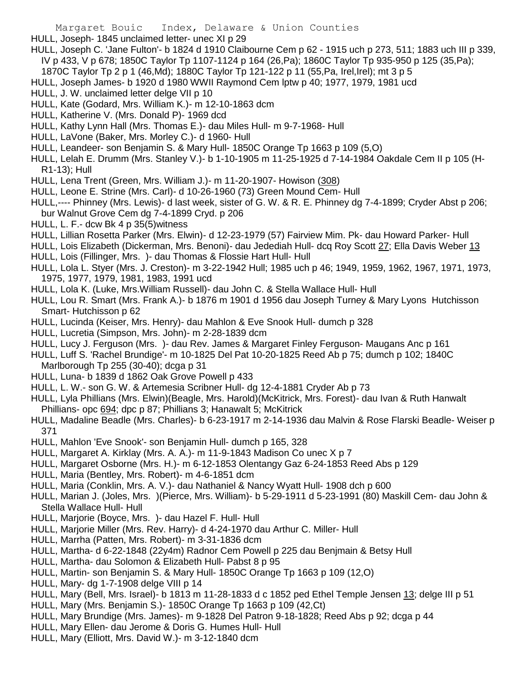HULL, Joseph- 1845 unclaimed letter- unec XI p 29

- HULL, Joseph C. 'Jane Fulton'- b 1824 d 1910 Claibourne Cem p 62 1915 uch p 273, 511; 1883 uch III p 339, IV p 433, V p 678; 1850C Taylor Tp 1107-1124 p 164 (26,Pa); 1860C Taylor Tp 935-950 p 125 (35,Pa);
- 1870C Taylor Tp 2 p 1 (46,Md); 1880C Taylor Tp 121-122 p 11 (55,Pa, Irel,Irel); mt 3 p 5
- HULL, Joseph James- b 1920 d 1980 WWII Raymond Cem lptw p 40; 1977, 1979, 1981 ucd
- HULL, J. W. unclaimed letter delge VII p 10
- HULL, Kate (Godard, Mrs. William K.)- m 12-10-1863 dcm
- HULL, Katherine V. (Mrs. Donald P)- 1969 dcd
- HULL, Kathy Lynn Hall (Mrs. Thomas E.)- dau Miles Hull- m 9-7-1968- Hull
- HULL, LaVone (Baker, Mrs. Morley C.)- d 1960- Hull
- HULL, Leandeer- son Benjamin S. & Mary Hull- 1850C Orange Tp 1663 p 109 (5,O)
- HULL, Lelah E. Drumm (Mrs. Stanley V.)- b 1-10-1905 m 11-25-1925 d 7-14-1984 Oakdale Cem II p 105 (H-R1-13); Hull
- HULL, Lena Trent (Green, Mrs. William J.)- m 11-20-1907- Howison (308)
- HULL, Leone E. Strine (Mrs. Carl)- d 10-26-1960 (73) Green Mound Cem- Hull
- HULL,---- Phinney (Mrs. Lewis)- d last week, sister of G. W. & R. E. Phinney dg 7-4-1899; Cryder Abst p 206; bur Walnut Grove Cem dg 7-4-1899 Cryd. p 206
- HULL, L. F.- dcw Bk 4 p 35(5)witness
- HULL, Lillian Rosetta Parker (Mrs. Elwin)- d 12-23-1979 (57) Fairview Mim. Pk- dau Howard Parker- Hull
- HULL, Lois Elizabeth (Dickerman, Mrs. Benoni)- dau Jedediah Hull- dcq Roy Scott 27; Ella Davis Weber 13 HULL, Lois (Fillinger, Mrs. )- dau Thomas & Flossie Hart Hull- Hull
- HULL, Lola L. Styer (Mrs. J. Creston)- m 3-22-1942 Hull; 1985 uch p 46; 1949, 1959, 1962, 1967, 1971, 1973, 1975, 1977, 1979, 1981, 1983, 1991 ucd
- HULL, Lola K. (Luke, Mrs.William Russell)- dau John C. & Stella Wallace Hull- Hull
- HULL, Lou R. Smart (Mrs. Frank A.)- b 1876 m 1901 d 1956 dau Joseph Turney & Mary Lyons Hutchisson Smart- Hutchisson p 62
- HULL, Lucinda (Keiser, Mrs. Henry)- dau Mahlon & Eve Snook Hull- dumch p 328
- HULL, Lucretia (Simpson, Mrs. John)- m 2-28-1839 dcm
- HULL, Lucy J. Ferguson (Mrs. )- dau Rev. James & Margaret Finley Ferguson- Maugans Anc p 161
- HULL, Luff S. 'Rachel Brundige'- m 10-1825 Del Pat 10-20-1825 Reed Ab p 75; dumch p 102; 1840C Marlborough Tp 255 (30-40); dcga p 31
- HULL, Luna- b 1839 d 1862 Oak Grove Powell p 433
- HULL, L. W.- son G. W. & Artemesia Scribner Hull- dg 12-4-1881 Cryder Ab p 73
- HULL, Lyla Phillians (Mrs. Elwin)(Beagle, Mrs. Harold)(McKitrick, Mrs. Forest)- dau Ivan & Ruth Hanwalt Phillians- opc 694; dpc p 87; Phillians 3; Hanawalt 5; McKitrick
- HULL, Madaline Beadle (Mrs. Charles)- b 6-23-1917 m 2-14-1936 dau Malvin & Rose Flarski Beadle- Weiser p 371
- HULL, Mahlon 'Eve Snook'- son Benjamin Hull- dumch p 165, 328
- HULL, Margaret A. Kirklay (Mrs. A. A.)- m 11-9-1843 Madison Co unec X p 7
- HULL, Margaret Osborne (Mrs. H.)- m 6-12-1853 Olentangy Gaz 6-24-1853 Reed Abs p 129
- HULL, Maria (Bentley, Mrs. Robert)- m 4-6-1851 dcm
- HULL, Maria (Conklin, Mrs. A. V.)- dau Nathaniel & Nancy Wyatt Hull- 1908 dch p 600
- HULL, Marian J. (Joles, Mrs. )(Pierce, Mrs. William)- b 5-29-1911 d 5-23-1991 (80) Maskill Cem- dau John & Stella Wallace Hull- Hull
- HULL, Marjorie (Boyce, Mrs. )- dau Hazel F. Hull- Hull
- HULL, Marjorie Miller (Mrs. Rev. Harry)- d 4-24-1970 dau Arthur C. Miller- Hull
- HULL, Marrha (Patten, Mrs. Robert)- m 3-31-1836 dcm
- HULL, Martha- d 6-22-1848 (22y4m) Radnor Cem Powell p 225 dau Benjmain & Betsy Hull
- HULL, Martha- dau Solomon & Elizabeth Hull- Pabst 8 p 95
- HULL, Martin- son Benjamin S. & Mary Hull- 1850C Orange Tp 1663 p 109 (12,O)
- HULL, Mary- dg 1-7-1908 delge VIII p 14
- HULL, Mary (Bell, Mrs. Israel)- b 1813 m 11-28-1833 d c 1852 ped Ethel Temple Jensen 13; delge III p 51
- HULL, Mary (Mrs. Benjamin S.)- 1850C Orange Tp 1663 p 109 (42,Ct)
- HULL, Mary Brundige (Mrs. James)- m 9-1828 Del Patron 9-18-1828; Reed Abs p 92; dcga p 44
- HULL, Mary Ellen- dau Jerome & Doris G. Humes Hull- Hull
- HULL, Mary (Elliott, Mrs. David W.)- m 3-12-1840 dcm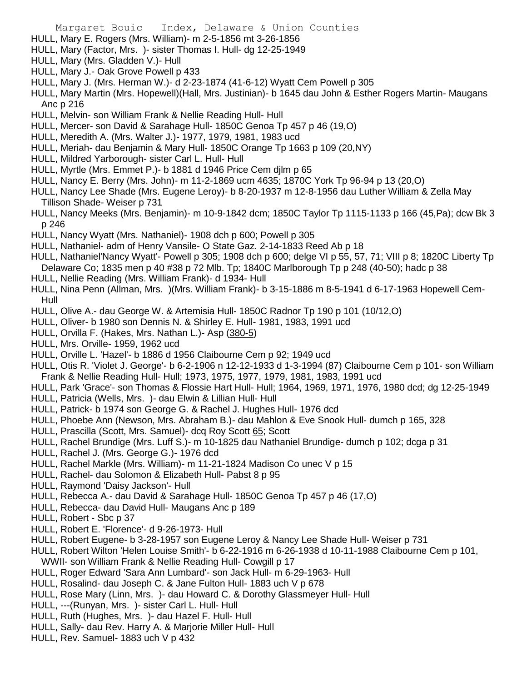- HULL, Mary E. Rogers (Mrs. William)- m 2-5-1856 mt 3-26-1856
- HULL, Mary (Factor, Mrs. )- sister Thomas I. Hull- dg 12-25-1949
- HULL, Mary (Mrs. Gladden V.)- Hull
- HULL, Mary J.- Oak Grove Powell p 433
- HULL, Mary J. (Mrs. Herman W.)- d 2-23-1874 (41-6-12) Wyatt Cem Powell p 305
- HULL, Mary Martin (Mrs. Hopewell)(Hall, Mrs. Justinian)- b 1645 dau John & Esther Rogers Martin- Maugans Anc p 216
- HULL, Melvin- son William Frank & Nellie Reading Hull- Hull
- HULL, Mercer- son David & Sarahage Hull- 1850C Genoa Tp 457 p 46 (19,O)
- HULL, Meredith A. (Mrs. Walter J.)- 1977, 1979, 1981, 1983 ucd
- HULL, Meriah- dau Benjamin & Mary Hull- 1850C Orange Tp 1663 p 109 (20,NY)
- HULL, Mildred Yarborough- sister Carl L. Hull- Hull
- HULL, Myrtle (Mrs. Emmet P.)- b 1881 d 1946 Price Cem djlm p 65
- HULL, Nancy E. Berry (Mrs. John)- m 11-2-1869 ucm 4635; 1870C York Tp 96-94 p 13 (20,O)
- HULL, Nancy Lee Shade (Mrs. Eugene Leroy)- b 8-20-1937 m 12-8-1956 dau Luther William & Zella May Tillison Shade- Weiser p 731
- HULL, Nancy Meeks (Mrs. Benjamin)- m 10-9-1842 dcm; 1850C Taylor Tp 1115-1133 p 166 (45,Pa); dcw Bk 3 p 246
- HULL, Nancy Wyatt (Mrs. Nathaniel)- 1908 dch p 600; Powell p 305
- HULL, Nathaniel- adm of Henry Vansile- O State Gaz. 2-14-1833 Reed Ab p 18
- HULL, Nathaniel'Nancy Wyatt'- Powell p 305; 1908 dch p 600; delge VI p 55, 57, 71; VIII p 8; 1820C Liberty Tp Delaware Co; 1835 men p 40 #38 p 72 Mlb. Tp; 1840C Marlborough Tp p 248 (40-50); hadc p 38
- HULL, Nellie Reading (Mrs. William Frank)- d 1934- Hull
- HULL, Nina Penn (Allman, Mrs. )(Mrs. William Frank)- b 3-15-1886 m 8-5-1941 d 6-17-1963 Hopewell Cem-Hull
- HULL, Olive A.- dau George W. & Artemisia Hull- 1850C Radnor Tp 190 p 101 (10/12,O)
- HULL, Oliver- b 1980 son Dennis N. & Shirley E. Hull- 1981, 1983, 1991 ucd
- HULL, Orvilla F. (Hakes, Mrs. Nathan L.)- Asp (380-5)
- HULL, Mrs. Orville- 1959, 1962 ucd
- HULL, Orville L. 'Hazel'- b 1886 d 1956 Claibourne Cem p 92; 1949 ucd
- HULL, Otis R. 'Violet J. George'- b 6-2-1906 n 12-12-1933 d 1-3-1994 (87) Claibourne Cem p 101- son William Frank & Nellie Reading Hull- Hull; 1973, 1975, 1977, 1979, 1981, 1983, 1991 ucd
- HULL, Park 'Grace'- son Thomas & Flossie Hart Hull- Hull; 1964, 1969, 1971, 1976, 1980 dcd; dg 12-25-1949
- HULL, Patricia (Wells, Mrs. )- dau Elwin & Lillian Hull- Hull
- HULL, Patrick- b 1974 son George G. & Rachel J. Hughes Hull- 1976 dcd
- HULL, Phoebe Ann (Newson, Mrs. Abraham B.)- dau Mahlon & Eve Snook Hull- dumch p 165, 328
- HULL, Prascilla (Scott, Mrs. Samuel)- dcq Roy Scott 65; Scott
- HULL, Rachel Brundige (Mrs. Luff S.)- m 10-1825 dau Nathaniel Brundige- dumch p 102; dcga p 31
- HULL, Rachel J. (Mrs. George G.)- 1976 dcd
- HULL, Rachel Markle (Mrs. William)- m 11-21-1824 Madison Co unec V p 15
- HULL, Rachel- dau Solomon & Elizabeth Hull- Pabst 8 p 95
- HULL, Raymond 'Daisy Jackson'- Hull
- HULL, Rebecca A.- dau David & Sarahage Hull- 1850C Genoa Tp 457 p 46 (17,O)
- HULL, Rebecca- dau David Hull- Maugans Anc p 189
- HULL, Robert Sbc p 37
- HULL, Robert E. 'Florence'- d 9-26-1973- Hull
- HULL, Robert Eugene- b 3-28-1957 son Eugene Leroy & Nancy Lee Shade Hull- Weiser p 731
- HULL, Robert Wilton 'Helen Louise Smith'- b 6-22-1916 m 6-26-1938 d 10-11-1988 Claibourne Cem p 101,
- WWII- son William Frank & Nellie Reading Hull- Cowgill p 17
- HULL, Roger Edward 'Sara Ann Lumbard'- son Jack Hull- m 6-29-1963- Hull
- HULL, Rosalind- dau Joseph C. & Jane Fulton Hull- 1883 uch V p 678
- HULL, Rose Mary (Linn, Mrs. )- dau Howard C. & Dorothy Glassmeyer Hull- Hull
- HULL, ---(Runyan, Mrs. )- sister Carl L. Hull- Hull
- HULL, Ruth (Hughes, Mrs. )- dau Hazel F. Hull- Hull
- HULL, Sally- dau Rev. Harry A. & Marjorie Miller Hull- Hull
- HULL, Rev. Samuel- 1883 uch V p 432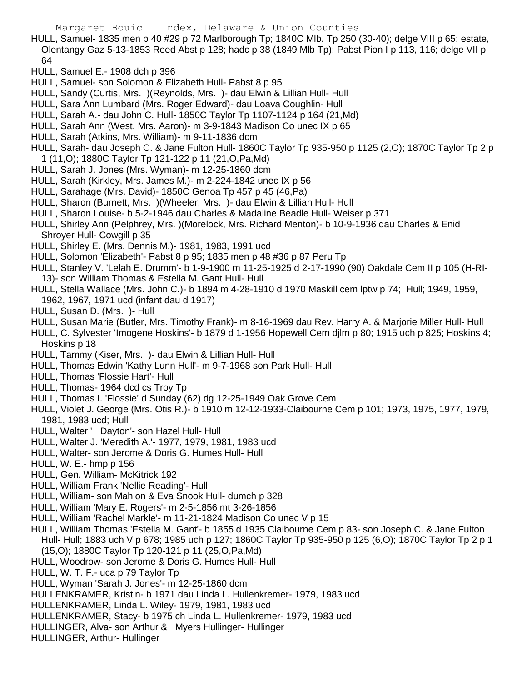- HULL, Samuel- 1835 men p 40 #29 p 72 Marlborough Tp; 1840C Mlb. Tp 250 (30-40); delge VIII p 65; estate, Olentangy Gaz 5-13-1853 Reed Abst p 128; hadc p 38 (1849 Mlb Tp); Pabst Pion I p 113, 116; delge VII p 64
- HULL, Samuel E.- 1908 dch p 396
- HULL, Samuel- son Solomon & Elizabeth Hull- Pabst 8 p 95
- HULL, Sandy (Curtis, Mrs. )(Reynolds, Mrs. )- dau Elwin & Lillian Hull- Hull
- HULL, Sara Ann Lumbard (Mrs. Roger Edward)- dau Loava Coughlin- Hull
- HULL, Sarah A.- dau John C. Hull- 1850C Taylor Tp 1107-1124 p 164 (21,Md)
- HULL, Sarah Ann (West, Mrs. Aaron)- m 3-9-1843 Madison Co unec IX p 65
- HULL, Sarah (Atkins, Mrs. William)- m 9-11-1836 dcm
- HULL, Sarah- dau Joseph C. & Jane Fulton Hull- 1860C Taylor Tp 935-950 p 1125 (2,O); 1870C Taylor Tp 2 p 1 (11,O); 1880C Taylor Tp 121-122 p 11 (21,O,Pa,Md)
- HULL, Sarah J. Jones (Mrs. Wyman)- m 12-25-1860 dcm
- HULL, Sarah (Kirkley, Mrs. James M.)- m 2-224-1842 unec IX p 56
- HULL, Sarahage (Mrs. David)- 1850C Genoa Tp 457 p 45 (46,Pa)
- HULL, Sharon (Burnett, Mrs. )(Wheeler, Mrs. )- dau Elwin & Lillian Hull- Hull
- HULL, Sharon Louise- b 5-2-1946 dau Charles & Madaline Beadle Hull- Weiser p 371
- HULL, Shirley Ann (Pelphrey, Mrs. )(Morelock, Mrs. Richard Menton)- b 10-9-1936 dau Charles & Enid Shroyer Hull- Cowgill p 35
- HULL, Shirley E. (Mrs. Dennis M.)- 1981, 1983, 1991 ucd
- HULL, Solomon 'Elizabeth'- Pabst 8 p 95; 1835 men p 48 #36 p 87 Peru Tp
- HULL, Stanley V. 'Lelah E. Drumm'- b 1-9-1900 m 11-25-1925 d 2-17-1990 (90) Oakdale Cem II p 105 (H-RI-13)- son William Thomas & Estella M. Gant Hull- Hull
- HULL, Stella Wallace (Mrs. John C.)- b 1894 m 4-28-1910 d 1970 Maskill cem lptw p 74; Hull; 1949, 1959, 1962, 1967, 1971 ucd (infant dau d 1917)
- HULL, Susan D. (Mrs. )- Hull
- HULL, Susan Marie (Butler, Mrs. Timothy Frank)- m 8-16-1969 dau Rev. Harry A. & Marjorie Miller Hull- Hull
- HULL, C. Sylvester 'Imogene Hoskins'- b 1879 d 1-1956 Hopewell Cem djlm p 80; 1915 uch p 825; Hoskins 4; Hoskins p 18
- HULL, Tammy (Kiser, Mrs. )- dau Elwin & Lillian Hull- Hull
- HULL, Thomas Edwin 'Kathy Lunn Hull'- m 9-7-1968 son Park Hull- Hull
- HULL, Thomas 'Flossie Hart'- Hull
- HULL, Thomas- 1964 dcd cs Troy Tp
- HULL, Thomas I. 'Flossie' d Sunday (62) dg 12-25-1949 Oak Grove Cem
- HULL, Violet J. George (Mrs. Otis R.)- b 1910 m 12-12-1933-Claibourne Cem p 101; 1973, 1975, 1977, 1979, 1981, 1983 ucd; Hull
- HULL, Walter ' Dayton'- son Hazel Hull- Hull
- HULL, Walter J. 'Meredith A.'- 1977, 1979, 1981, 1983 ucd
- HULL, Walter- son Jerome & Doris G. Humes Hull- Hull
- HULL, W. E.- hmp p 156
- HULL, Gen. William- McKitrick 192
- HULL, William Frank 'Nellie Reading'- Hull
- HULL, William- son Mahlon & Eva Snook Hull- dumch p 328
- HULL, William 'Mary E. Rogers'- m 2-5-1856 mt 3-26-1856
- HULL, William 'Rachel Markle'- m 11-21-1824 Madison Co unec V p 15
- HULL, William Thomas 'Estella M. Gant'- b 1855 d 1935 Claibourne Cem p 83- son Joseph C. & Jane Fulton Hull- Hull; 1883 uch V p 678; 1985 uch p 127; 1860C Taylor Tp 935-950 p 125 (6,O); 1870C Taylor Tp 2 p 1
- (15,O); 1880C Taylor Tp 120-121 p 11 (25,O,Pa,Md)
- HULL, Woodrow- son Jerome & Doris G. Humes Hull- Hull
- HULL, W. T. F.- uca p 79 Taylor Tp
- HULL, Wyman 'Sarah J. Jones'- m 12-25-1860 dcm
- HULLENKRAMER, Kristin- b 1971 dau Linda L. Hullenkremer- 1979, 1983 ucd
- HULLENKRAMER, Linda L. Wiley- 1979, 1981, 1983 ucd
- HULLENKRAMER, Stacy- b 1975 ch Linda L. Hullenkremer- 1979, 1983 ucd
- HULLINGER, Alva- son Arthur & Myers Hullinger- Hullinger
- HULLINGER, Arthur- Hullinger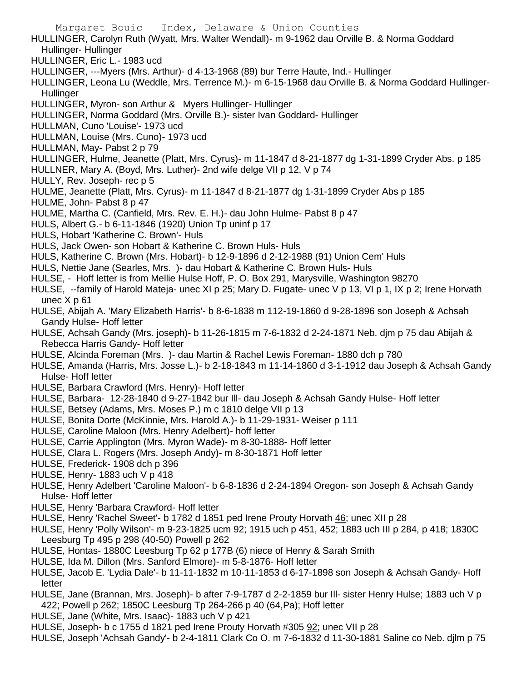- Margaret Bouic Index, Delaware & Union Counties HULLINGER, Carolyn Ruth (Wyatt, Mrs. Walter Wendall)- m 9-1962 dau Orville B. & Norma Goddard Hullinger- Hullinger HULLINGER, Eric L.- 1983 ucd HULLINGER, ---Myers (Mrs. Arthur)- d 4-13-1968 (89) bur Terre Haute, Ind.- Hullinger HULLINGER, Leona Lu (Weddle, Mrs. Terrence M.)- m 6-15-1968 dau Orville B. & Norma Goddard Hullinger-**Hullinger** HULLINGER, Myron- son Arthur & Myers Hullinger- Hullinger HULLINGER, Norma Goddard (Mrs. Orville B.)- sister Ivan Goddard- Hullinger HULLMAN, Cuno 'Louise'- 1973 ucd HULLMAN, Louise (Mrs. Cuno)- 1973 ucd HULLMAN, May- Pabst 2 p 79 HULLINGER, Hulme, Jeanette (Platt, Mrs. Cyrus)- m 11-1847 d 8-21-1877 dg 1-31-1899 Cryder Abs. p 185 HULLNER, Mary A. (Boyd, Mrs. Luther)- 2nd wife delge VII p 12, V p 74 HULLY, Rev. Joseph- rec p 5 HULME, Jeanette (Platt, Mrs. Cyrus)- m 11-1847 d 8-21-1877 dg 1-31-1899 Cryder Abs p 185 HULME, John- Pabst 8 p 47 HULME, Martha C. (Canfield, Mrs. Rev. E. H.)- dau John Hulme- Pabst 8 p 47 HULS, Albert G.- b 6-11-1846 (1920) Union Tp uninf p 17 HULS, Hobart 'Katherine C. Brown'- Huls HULS, Jack Owen- son Hobart & Katherine C. Brown Huls- Huls HULS, Katherine C. Brown (Mrs. Hobart)- b 12-9-1896 d 2-12-1988 (91) Union Cem' Huls HULS, Nettie Jane (Searles, Mrs. )- dau Hobart & Katherine C. Brown Huls- Huls HULSE, - Hoff letter is from Mellie Hulse Hoff, P. O. Box 291, Marysville, Washington 98270 HULSE, --family of Harold Mateja- unec XI p 25; Mary D. Fugate- unec V p 13, VI p 1, IX p 2; Irene Horvath unec X p 61 HULSE, Abijah A. 'Mary Elizabeth Harris'- b 8-6-1838 m 112-19-1860 d 9-28-1896 son Joseph & Achsah Gandy Hulse- Hoff letter HULSE, Achsah Gandy (Mrs. joseph)- b 11-26-1815 m 7-6-1832 d 2-24-1871 Neb. djm p 75 dau Abijah & Rebecca Harris Gandy- Hoff letter HULSE, Alcinda Foreman (Mrs. )- dau Martin & Rachel Lewis Foreman- 1880 dch p 780 HULSE, Amanda (Harris, Mrs. Josse L.)- b 2-18-1843 m 11-14-1860 d 3-1-1912 dau Joseph & Achsah Gandy Hulse- Hoff letter HULSE, Barbara Crawford (Mrs. Henry)- Hoff letter HULSE, Barbara- 12-28-1840 d 9-27-1842 bur Ill- dau Joseph & Achsah Gandy Hulse- Hoff letter HULSE, Betsey (Adams, Mrs. Moses P.) m c 1810 delge VII p 13 HULSE, Bonita Dorte (McKinnie, Mrs. Harold A.)- b 11-29-1931- Weiser p 111 HULSE, Caroline Maloon (Mrs. Henry Adelbert)- hoff letter HULSE, Carrie Applington (Mrs. Myron Wade)- m 8-30-1888- Hoff letter HULSE, Clara L. Rogers (Mrs. Joseph Andy)- m 8-30-1871 Hoff letter HULSE, Frederick- 1908 dch p 396 HULSE, Henry- 1883 uch V p 418 HULSE, Henry Adelbert 'Caroline Maloon'- b 6-8-1836 d 2-24-1894 Oregon- son Joseph & Achsah Gandy Hulse- Hoff letter HULSE, Henry 'Barbara Crawford- Hoff letter HULSE, Henry 'Rachel Sweet'- b 1782 d 1851 ped Irene Prouty Horvath 46; unec XII p 28 HULSE, Henry 'Polly Wilson'- m 9-23-1825 ucm 92; 1915 uch p 451, 452; 1883 uch III p 284, p 418; 1830C Leesburg Tp 495 p 298 (40-50) Powell p 262 HULSE, Hontas- 1880C Leesburg Tp 62 p 177B (6) niece of Henry & Sarah Smith HULSE, Ida M. Dillon (Mrs. Sanford Elmore)- m 5-8-1876- Hoff letter HULSE, Jacob E. 'Lydia Dale'- b 11-11-1832 m 10-11-1853 d 6-17-1898 son Joseph & Achsah Gandy- Hoff letter HULSE, Jane (Brannan, Mrs. Joseph)- b after 7-9-1787 d 2-2-1859 bur Ill- sister Henry Hulse; 1883 uch V p 422; Powell p 262; 1850C Leesburg Tp 264-266 p 40 (64,Pa); Hoff letter HULSE, Jane (White, Mrs. Isaac)- 1883 uch V p 421
- HULSE, Joseph- b c 1755 d 1821 ped Irene Prouty Horvath #305 92; unec VII p 28
- HULSE, Joseph 'Achsah Gandy'- b 2-4-1811 Clark Co O. m 7-6-1832 d 11-30-1881 Saline co Neb. djlm p 75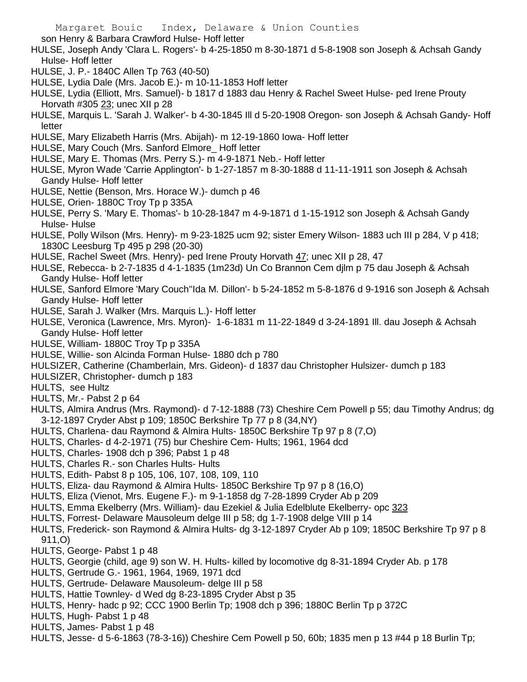son Henry & Barbara Crawford Hulse- Hoff letter

- HULSE, Joseph Andy 'Clara L. Rogers'- b 4-25-1850 m 8-30-1871 d 5-8-1908 son Joseph & Achsah Gandy Hulse- Hoff letter
- HULSE, J. P.- 1840C Allen Tp 763 (40-50)
- HULSE, Lydia Dale (Mrs. Jacob E.)- m 10-11-1853 Hoff letter
- HULSE, Lydia (Elliott, Mrs. Samuel)- b 1817 d 1883 dau Henry & Rachel Sweet Hulse- ped Irene Prouty Horvath #305 23; unec XII p 28
- HULSE, Marquis L. 'Sarah J. Walker'- b 4-30-1845 Ill d 5-20-1908 Oregon- son Joseph & Achsah Gandy- Hoff letter
- HULSE, Mary Elizabeth Harris (Mrs. Abijah)- m 12-19-1860 Iowa- Hoff letter
- HULSE, Mary Couch (Mrs. Sanford Elmore\_ Hoff letter
- HULSE, Mary E. Thomas (Mrs. Perry S.)- m 4-9-1871 Neb.- Hoff letter
- HULSE, Myron Wade 'Carrie Applington'- b 1-27-1857 m 8-30-1888 d 11-11-1911 son Joseph & Achsah Gandy Hulse- Hoff letter
- HULSE, Nettie (Benson, Mrs. Horace W.)- dumch p 46
- HULSE, Orien- 1880C Troy Tp p 335A
- HULSE, Perry S. 'Mary E. Thomas'- b 10-28-1847 m 4-9-1871 d 1-15-1912 son Joseph & Achsah Gandy Hulse- Hulse
- HULSE, Polly Wilson (Mrs. Henry)- m 9-23-1825 ucm 92; sister Emery Wilson- 1883 uch III p 284, V p 418; 1830C Leesburg Tp 495 p 298 (20-30)
- HULSE, Rachel Sweet (Mrs. Henry)- ped Irene Prouty Horvath 47; unec XII p 28, 47
- HULSE, Rebecca- b 2-7-1835 d 4-1-1835 (1m23d) Un Co Brannon Cem djlm p 75 dau Joseph & Achsah Gandy Hulse- Hoff letter
- HULSE, Sanford Elmore 'Mary Couch''Ida M. Dillon'- b 5-24-1852 m 5-8-1876 d 9-1916 son Joseph & Achsah Gandy Hulse- Hoff letter
- HULSE, Sarah J. Walker (Mrs. Marquis L.)- Hoff letter
- HULSE, Veronica (Lawrence, Mrs. Myron)- 1-6-1831 m 11-22-1849 d 3-24-1891 Ill. dau Joseph & Achsah Gandy Hulse- Hoff letter
- HULSE, William- 1880C Troy Tp p 335A
- HULSE, Willie- son Alcinda Forman Hulse- 1880 dch p 780
- HULSIZER, Catherine (Chamberlain, Mrs. Gideon)- d 1837 dau Christopher Hulsizer- dumch p 183
- HULSIZER, Christopher- dumch p 183
- HULTS, see Hultz
- HULTS, Mr.- Pabst 2 p 64
- HULTS, Almira Andrus (Mrs. Raymond)- d 7-12-1888 (73) Cheshire Cem Powell p 55; dau Timothy Andrus; dg 3-12-1897 Cryder Abst p 109; 1850C Berkshire Tp 77 p 8 (34,NY)
- HULTS, Charlena- dau Raymond & Almira Hults- 1850C Berkshire Tp 97 p 8 (7,O)
- HULTS, Charles- d 4-2-1971 (75) bur Cheshire Cem- Hults; 1961, 1964 dcd
- HULTS, Charles- 1908 dch p 396; Pabst 1 p 48
- HULTS, Charles R.- son Charles Hults- Hults
- HULTS, Edith- Pabst 8 p 105, 106, 107, 108, 109, 110
- HULTS, Eliza- dau Raymond & Almira Hults- 1850C Berkshire Tp 97 p 8 (16,O)
- HULTS, Eliza (Vienot, Mrs. Eugene F.)- m 9-1-1858 dg 7-28-1899 Cryder Ab p 209
- HULTS, Emma Ekelberry (Mrs. William)- dau Ezekiel & Julia Edelblute Ekelberry- opc 323
- HULTS, Forrest- Delaware Mausoleum delge III p 58; dg 1-7-1908 delge VIII p 14
- HULTS, Frederick- son Raymond & Almira Hults- dg 3-12-1897 Cryder Ab p 109; 1850C Berkshire Tp 97 p 8 911,O)
- HULTS, George- Pabst 1 p 48
- HULTS, Georgie (child, age 9) son W. H. Hults- killed by locomotive dg 8-31-1894 Cryder Ab. p 178
- HULTS, Gertrude G.- 1961, 1964, 1969, 1971 dcd
- HULTS, Gertrude- Delaware Mausoleum- delge III p 58
- HULTS, Hattie Townley- d Wed dg 8-23-1895 Cryder Abst p 35
- HULTS, Henry- hadc p 92; CCC 1900 Berlin Tp; 1908 dch p 396; 1880C Berlin Tp p 372C
- HULTS, Hugh- Pabst 1 p 48
- HULTS, James- Pabst 1 p 48
- HULTS, Jesse- d 5-6-1863 (78-3-16)) Cheshire Cem Powell p 50, 60b; 1835 men p 13 #44 p 18 Burlin Tp;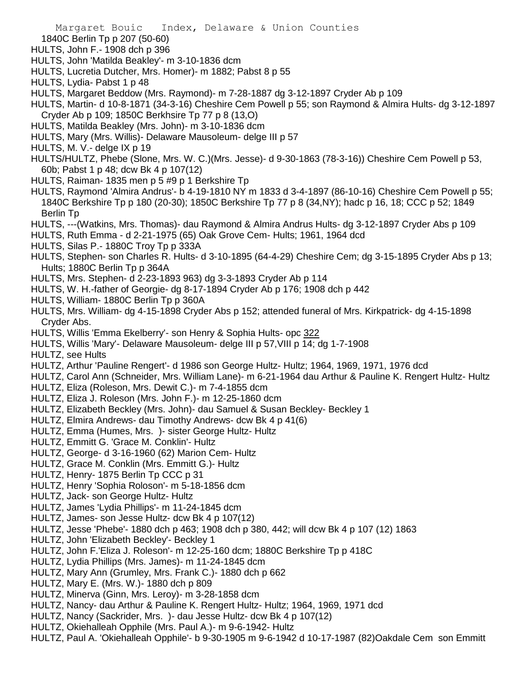- 1840C Berlin Tp p 207 (50-60)
- HULTS, John F.- 1908 dch p 396
- HULTS, John 'Matilda Beakley'- m 3-10-1836 dcm
- HULTS, Lucretia Dutcher, Mrs. Homer)- m 1882; Pabst 8 p 55
- HULTS, Lydia- Pabst 1 p 48
- HULTS, Margaret Beddow (Mrs. Raymond)- m 7-28-1887 dg 3-12-1897 Cryder Ab p 109
- HULTS, Martin- d 10-8-1871 (34-3-16) Cheshire Cem Powell p 55; son Raymond & Almira Hults- dg 3-12-1897 Cryder Ab p 109; 1850C Berkhsire Tp 77 p 8 (13,O)
- HULTS, Matilda Beakley (Mrs. John)- m 3-10-1836 dcm
- HULTS, Mary (Mrs. Willis)- Delaware Mausoleum- delge III p 57
- HULTS, M. V.- delge IX p 19
- HULTS/HULTZ, Phebe (Slone, Mrs. W. C.)(Mrs. Jesse)- d 9-30-1863 (78-3-16)) Cheshire Cem Powell p 53, 60b; Pabst 1 p 48; dcw Bk 4 p 107(12)
- HULTS, Raiman- 1835 men p 5 #9 p 1 Berkshire Tp
- HULTS, Raymond 'Almira Andrus'- b 4-19-1810 NY m 1833 d 3-4-1897 (86-10-16) Cheshire Cem Powell p 55; 1840C Berkshire Tp p 180 (20-30); 1850C Berkshire Tp 77 p 8 (34,NY); hadc p 16, 18; CCC p 52; 1849 Berlin Tp
- HULTS, ---(Watkins, Mrs. Thomas)- dau Raymond & Almira Andrus Hults- dg 3-12-1897 Cryder Abs p 109
- HULTS, Ruth Emma d 2-21-1975 (65) Oak Grove Cem- Hults; 1961, 1964 dcd
- HULTS, Silas P.- 1880C Troy Tp p 333A
- HULTS, Stephen- son Charles R. Hults- d 3-10-1895 (64-4-29) Cheshire Cem; dg 3-15-1895 Cryder Abs p 13; Hults; 1880C Berlin Tp p 364A
- HULTS, Mrs. Stephen- d 2-23-1893 963) dg 3-3-1893 Cryder Ab p 114
- HULTS, W. H.-father of Georgie- dg 8-17-1894 Cryder Ab p 176; 1908 dch p 442
- HULTS, William- 1880C Berlin Tp p 360A
- HULTS, Mrs. William- dg 4-15-1898 Cryder Abs p 152; attended funeral of Mrs. Kirkpatrick- dg 4-15-1898 Cryder Abs.
- HULTS, Willis 'Emma Ekelberry'- son Henry & Sophia Hults- opc 322
- HULTS, Willis 'Mary'- Delaware Mausoleum- delge III p 57,VIII p 14; dg 1-7-1908
- HULTZ, see Hults
- HULTZ, Arthur 'Pauline Rengert'- d 1986 son George Hultz- Hultz; 1964, 1969, 1971, 1976 dcd
- HULTZ, Carol Ann (Schneider, Mrs. William Lane)- m 6-21-1964 dau Arthur & Pauline K. Rengert Hultz- Hultz
- HULTZ, Eliza (Roleson, Mrs. Dewit C.)- m 7-4-1855 dcm
- HULTZ, Eliza J. Roleson (Mrs. John F.)- m 12-25-1860 dcm
- HULTZ, Elizabeth Beckley (Mrs. John)- dau Samuel & Susan Beckley- Beckley 1
- HULTZ, Elmira Andrews- dau Timothy Andrews- dcw Bk 4 p 41(6)
- HULTZ, Emma (Humes, Mrs. )- sister George Hultz- Hultz
- HULTZ, Emmitt G. 'Grace M. Conklin'- Hultz
- HULTZ, George- d 3-16-1960 (62) Marion Cem- Hultz
- HULTZ, Grace M. Conklin (Mrs. Emmitt G.)- Hultz
- HULTZ, Henry- 1875 Berlin Tp CCC p 31
- HULTZ, Henry 'Sophia Roloson'- m 5-18-1856 dcm
- HULTZ, Jack- son George Hultz- Hultz
- HULTZ, James 'Lydia Phillips'- m 11-24-1845 dcm
- HULTZ, James- son Jesse Hultz- dcw Bk 4 p 107(12)
- HULTZ, Jesse 'Phebe'- 1880 dch p 463; 1908 dch p 380, 442; will dcw Bk 4 p 107 (12) 1863
- HULTZ, John 'Elizabeth Beckley'- Beckley 1
- HULTZ, John F.'Eliza J. Roleson'- m 12-25-160 dcm; 1880C Berkshire Tp p 418C
- HULTZ, Lydia Phillips (Mrs. James)- m 11-24-1845 dcm
- HULTZ, Mary Ann (Grumley, Mrs. Frank C.)- 1880 dch p 662
- HULTZ, Mary E. (Mrs. W.)- 1880 dch p 809
- HULTZ, Minerva (Ginn, Mrs. Leroy)- m 3-28-1858 dcm
- HULTZ, Nancy- dau Arthur & Pauline K. Rengert Hultz- Hultz; 1964, 1969, 1971 dcd
- HULTZ, Nancy (Sackrider, Mrs. )- dau Jesse Hultz- dcw Bk 4 p 107(12)
- HULTZ, Okiehalleah Opphile (Mrs. Paul A.)- m 9-6-1942- Hultz
- HULTZ, Paul A. 'Okiehalleah Opphile'- b 9-30-1905 m 9-6-1942 d 10-17-1987 (82)Oakdale Cem son Emmitt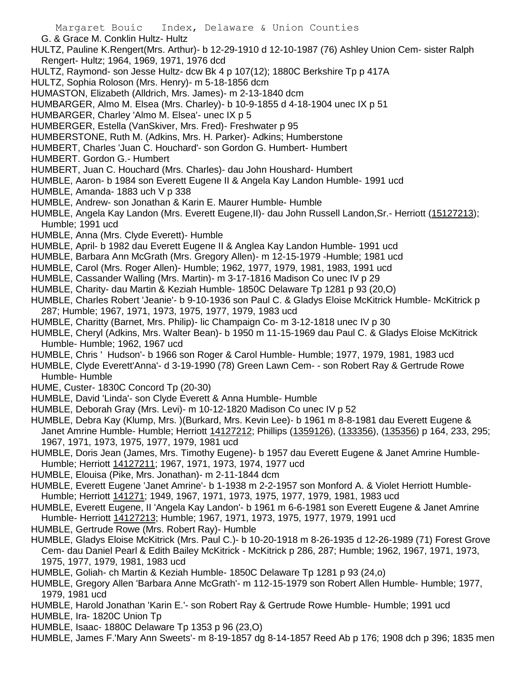- G. & Grace M. Conklin Hultz- Hultz
- HULTZ, Pauline K.Rengert(Mrs. Arthur)- b 12-29-1910 d 12-10-1987 (76) Ashley Union Cem- sister Ralph Rengert- Hultz; 1964, 1969, 1971, 1976 dcd
- HULTZ, Raymond- son Jesse Hultz- dcw Bk 4 p 107(12); 1880C Berkshire Tp p 417A
- HULTZ, Sophia Roloson (Mrs. Henry)- m 5-18-1856 dcm
- HUMASTON, Elizabeth (Alldrich, Mrs. James)- m 2-13-1840 dcm
- HUMBARGER, Almo M. Elsea (Mrs. Charley)- b 10-9-1855 d 4-18-1904 unec IX p 51
- HUMBARGER, Charley 'Almo M. Elsea'- unec IX p 5
- HUMBERGER, Estella (VanSkiver, Mrs. Fred)- Freshwater p 95
- HUMBERSTONE, Ruth M. (Adkins, Mrs. H. Parker)- Adkins; Humberstone
- HUMBERT, Charles 'Juan C. Houchard'- son Gordon G. Humbert- Humbert
- HUMBERT. Gordon G.- Humbert
- HUMBERT, Juan C. Houchard (Mrs. Charles)- dau John Houshard- Humbert
- HUMBLE, Aaron- b 1984 son Everett Eugene II & Angela Kay Landon Humble- 1991 ucd
- HUMBLE, Amanda- 1883 uch V p 338
- HUMBLE, Andrew- son Jonathan & Karin E. Maurer Humble- Humble
- HUMBLE, Angela Kay Landon (Mrs. Everett Eugene,II)- dau John Russell Landon,Sr.- Herriott (15127213); Humble; 1991 ucd
- HUMBLE, Anna (Mrs. Clyde Everett)- Humble
- HUMBLE, April- b 1982 dau Everett Eugene II & Anglea Kay Landon Humble- 1991 ucd
- HUMBLE, Barbara Ann McGrath (Mrs. Gregory Allen)- m 12-15-1979 -Humble; 1981 ucd
- HUMBLE, Carol (Mrs. Roger Allen)- Humble; 1962, 1977, 1979, 1981, 1983, 1991 ucd
- HUMBLE, Cassander Walling (Mrs. Martin)- m 3-17-1816 Madison Co unec IV p 29
- HUMBLE, Charity- dau Martin & Keziah Humble- 1850C Delaware Tp 1281 p 93 (20,O)
- HUMBLE, Charles Robert 'Jeanie'- b 9-10-1936 son Paul C. & Gladys Eloise McKitrick Humble- McKitrick p 287; Humble; 1967, 1971, 1973, 1975, 1977, 1979, 1983 ucd
- HUMBLE, Charitty (Barnet, Mrs. Philip)- lic Champaign Co- m 3-12-1818 unec IV p 30
- HUMBLE, Cheryl (Adkins, Mrs. Walter Bean)- b 1950 m 11-15-1969 dau Paul C. & Gladys Eloise McKitrick Humble- Humble; 1962, 1967 ucd
- HUMBLE, Chris ' Hudson'- b 1966 son Roger & Carol Humble- Humble; 1977, 1979, 1981, 1983 ucd
- HUMBLE, Clyde Everett'Anna'- d 3-19-1990 (78) Green Lawn Cem- son Robert Ray & Gertrude Rowe Humble- Humble
- HUME, Custer- 1830C Concord Tp (20-30)
- HUMBLE, David 'Linda'- son Clyde Everett & Anna Humble- Humble
- HUMBLE, Deborah Gray (Mrs. Levi)- m 10-12-1820 Madison Co unec IV p 52
- HUMBLE, Debra Kay (Klump, Mrs. )(Burkard, Mrs. Kevin Lee)- b 1961 m 8-8-1981 dau Everett Eugene & Janet Amrine Humble- Humble; Herriott 14127212; Phillips (1359126), (133356), (135356) p 164, 233, 295; 1967, 1971, 1973, 1975, 1977, 1979, 1981 ucd
- HUMBLE, Doris Jean (James, Mrs. Timothy Eugene)- b 1957 dau Everett Eugene & Janet Amrine Humble-Humble; Herriott 14127211; 1967, 1971, 1973, 1974, 1977 ucd
- HUMBLE, Elouisa (Pike, Mrs. Jonathan)- m 2-11-1844 dcm
- HUMBLE, Everett Eugene 'Janet Amrine'- b 1-1938 m 2-2-1957 son Monford A. & Violet Herriott Humble-Humble; Herriott 141271; 1949, 1967, 1971, 1973, 1975, 1977, 1979, 1981, 1983 ucd
- HUMBLE, Everett Eugene, II 'Angela Kay Landon'- b 1961 m 6-6-1981 son Everett Eugene & Janet Amrine Humble- Herriott 14127213; Humble; 1967, 1971, 1973, 1975, 1977, 1979, 1991 ucd
- HUMBLE, Gertrude Rowe (Mrs. Robert Ray)- Humble
- HUMBLE, Gladys Eloise McKitrick (Mrs. Paul C.)- b 10-20-1918 m 8-26-1935 d 12-26-1989 (71) Forest Grove Cem- dau Daniel Pearl & Edith Bailey McKitrick - McKitrick p 286, 287; Humble; 1962, 1967, 1971, 1973, 1975, 1977, 1979, 1981, 1983 ucd
- HUMBLE, Goliah- ch Martin & Keziah Humble- 1850C Delaware Tp 1281 p 93 (24,o)
- HUMBLE, Gregory Allen 'Barbara Anne McGrath'- m 112-15-1979 son Robert Allen Humble- Humble; 1977, 1979, 1981 ucd
- HUMBLE, Harold Jonathan 'Karin E.'- son Robert Ray & Gertrude Rowe Humble- Humble; 1991 ucd
- HUMBLE, Ira- 1820C Union Tp
- HUMBLE, Isaac- 1880C Delaware Tp 1353 p 96 (23,O)
- HUMBLE, James F.'Mary Ann Sweets'- m 8-19-1857 dg 8-14-1857 Reed Ab p 176; 1908 dch p 396; 1835 men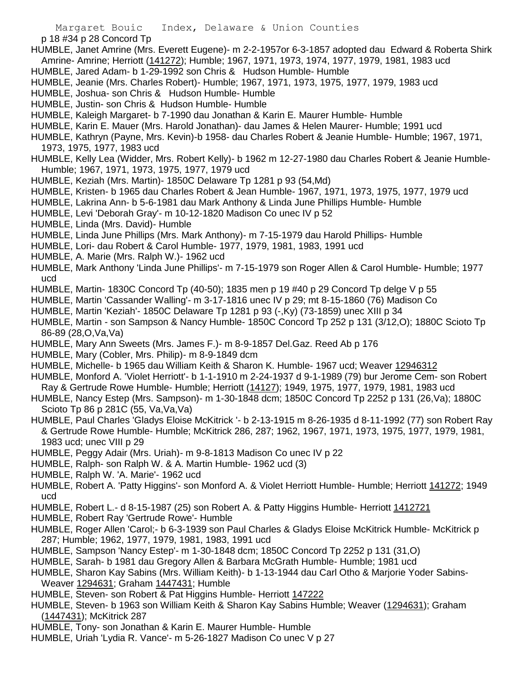p 18 #34 p 28 Concord Tp

- HUMBLE, Janet Amrine (Mrs. Everett Eugene)- m 2-2-1957or 6-3-1857 adopted dau Edward & Roberta Shirk Amrine- Amrine; Herriott (141272); Humble; 1967, 1971, 1973, 1974, 1977, 1979, 1981, 1983 ucd
- HUMBLE, Jared Adam- b 1-29-1992 son Chris & Hudson Humble- Humble
- HUMBLE, Jeanie (Mrs. Charles Robert)- Humble; 1967, 1971, 1973, 1975, 1977, 1979, 1983 ucd
- HUMBLE, Joshua- son Chris & Hudson Humble- Humble
- HUMBLE, Justin- son Chris & Hudson Humble- Humble
- HUMBLE, Kaleigh Margaret- b 7-1990 dau Jonathan & Karin E. Maurer Humble- Humble
- HUMBLE, Karin E. Mauer (Mrs. Harold Jonathan)- dau James & Helen Maurer- Humble; 1991 ucd
- HUMBLE, Kathryn (Payne, Mrs. Kevin)-b 1958- dau Charles Robert & Jeanie Humble- Humble; 1967, 1971, 1973, 1975, 1977, 1983 ucd
- HUMBLE, Kelly Lea (Widder, Mrs. Robert Kelly)- b 1962 m 12-27-1980 dau Charles Robert & Jeanie Humble-Humble; 1967, 1971, 1973, 1975, 1977, 1979 ucd
- HUMBLE, Keziah (Mrs. Martin)- 1850C Delaware Tp 1281 p 93 (54,Md)
- HUMBLE, Kristen- b 1965 dau Charles Robert & Jean Humble- 1967, 1971, 1973, 1975, 1977, 1979 ucd
- HUMBLE, Lakrina Ann- b 5-6-1981 dau Mark Anthony & Linda June Phillips Humble- Humble
- HUMBLE, Levi 'Deborah Gray'- m 10-12-1820 Madison Co unec IV p 52
- HUMBLE, Linda (Mrs. David)- Humble
- HUMBLE, Linda June Phillips (Mrs. Mark Anthony)- m 7-15-1979 dau Harold Phillips- Humble
- HUMBLE, Lori- dau Robert & Carol Humble- 1977, 1979, 1981, 1983, 1991 ucd
- HUMBLE, A. Marie (Mrs. Ralph W.)- 1962 ucd
- HUMBLE, Mark Anthony 'Linda June Phillips'- m 7-15-1979 son Roger Allen & Carol Humble- Humble; 1977 ucd
- HUMBLE, Martin- 1830C Concord Tp (40-50); 1835 men p 19 #40 p 29 Concord Tp delge V p 55
- HUMBLE, Martin 'Cassander Walling'- m 3-17-1816 unec IV p 29; mt 8-15-1860 (76) Madison Co
- HUMBLE, Martin 'Keziah'- 1850C Delaware Tp 1281 p 93 (-,Ky) (73-1859) unec XIII p 34
- HUMBLE, Martin son Sampson & Nancy Humble- 1850C Concord Tp 252 p 131 (3/12,O); 1880C Scioto Tp 86-89 (28,O,Va,Va)
- HUMBLE, Mary Ann Sweets (Mrs. James F.)- m 8-9-1857 Del.Gaz. Reed Ab p 176
- HUMBLE, Mary (Cobler, Mrs. Philip)- m 8-9-1849 dcm
- HUMBLE, Michelle- b 1965 dau William Keith & Sharon K. Humble- 1967 ucd; Weaver 12946312
- HUMBLE, Monford A. 'Violet Herriott'- b 1-1-1910 m 2-24-1937 d 9-1-1989 (79) bur Jerome Cem- son Robert Ray & Gertrude Rowe Humble- Humble; Herriott (14127); 1949, 1975, 1977, 1979, 1981, 1983 ucd
- HUMBLE, Nancy Estep (Mrs. Sampson)- m 1-30-1848 dcm; 1850C Concord Tp 2252 p 131 (26,Va); 1880C Scioto Tp 86 p 281C (55, Va,Va,Va)
- HUMBLE, Paul Charles 'Gladys Eloise McKitrick '- b 2-13-1915 m 8-26-1935 d 8-11-1992 (77) son Robert Ray & Gertrude Rowe Humble- Humble; McKitrick 286, 287; 1962, 1967, 1971, 1973, 1975, 1977, 1979, 1981, 1983 ucd; unec VIII p 29
- HUMBLE, Peggy Adair (Mrs. Uriah)- m 9-8-1813 Madison Co unec IV p 22
- HUMBLE, Ralph- son Ralph W. & A. Martin Humble- 1962 ucd (3)
- HUMBLE, Ralph W. 'A. Marie'- 1962 ucd
- HUMBLE, Robert A. 'Patty Higgins'- son Monford A. & Violet Herriott Humble- Humble; Herriott 141272; 1949 ucd
- HUMBLE, Robert L.- d 8-15-1987 (25) son Robert A. & Patty Higgins Humble- Herriott 1412721
- HUMBLE, Robert Ray 'Gertrude Rowe'- Humble
- HUMBLE, Roger Allen 'Carol;- b 6-3-1939 son Paul Charles & Gladys Eloise McKitrick Humble- McKitrick p 287; Humble; 1962, 1977, 1979, 1981, 1983, 1991 ucd
- HUMBLE, Sampson 'Nancy Estep'- m 1-30-1848 dcm; 1850C Concord Tp 2252 p 131 (31,O)
- HUMBLE, Sarah- b 1981 dau Gregory Allen & Barbara McGrath Humble- Humble; 1981 ucd
- HUMBLE, Sharon Kay Sabins (Mrs. William Keith)- b 1-13-1944 dau Carl Otho & Marjorie Yoder Sabins-Weaver 1294631; Graham 1447431; Humble
- HUMBLE, Steven- son Robert & Pat Higgins Humble- Herriott 147222
- HUMBLE, Steven- b 1963 son William Keith & Sharon Kay Sabins Humble; Weaver (1294631); Graham (1447431); McKitrick 287
- HUMBLE, Tony- son Jonathan & Karin E. Maurer Humble- Humble
- HUMBLE, Uriah 'Lydia R. Vance'- m 5-26-1827 Madison Co unec V p 27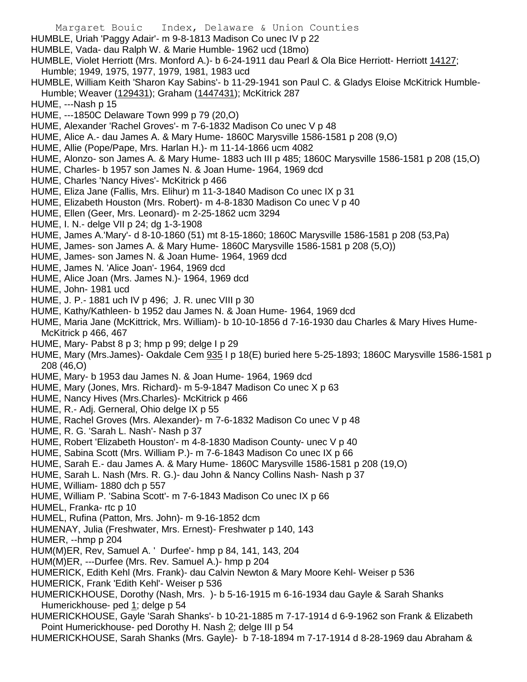- Margaret Bouic Index, Delaware & Union Counties
- HUMBLE, Uriah 'Paggy Adair'- m 9-8-1813 Madison Co unec IV p 22
- HUMBLE, Vada- dau Ralph W. & Marie Humble- 1962 ucd (18mo)
- HUMBLE, Violet Herriott (Mrs. Monford A.)- b 6-24-1911 dau Pearl & Ola Bice Herriott- Herriott 14127; Humble; 1949, 1975, 1977, 1979, 1981, 1983 ucd
- HUMBLE, William Keith 'Sharon Kay Sabins'- b 11-29-1941 son Paul C. & Gladys Eloise McKitrick Humble-Humble; Weaver (129431); Graham (1447431); McKitrick 287
- HUME, ---Nash p 15
- HUME, ---1850C Delaware Town 999 p 79 (20,O)
- HUME, Alexander 'Rachel Groves'- m 7-6-1832 Madison Co unec V p 48
- HUME, Alice A.- dau James A. & Mary Hume- 1860C Marysville 1586-1581 p 208 (9,O)
- HUME, Allie (Pope/Pape, Mrs. Harlan H.)- m 11-14-1866 ucm 4082
- HUME, Alonzo- son James A. & Mary Hume- 1883 uch III p 485; 1860C Marysville 1586-1581 p 208 (15,O)
- HUME, Charles- b 1957 son James N. & Joan Hume- 1964, 1969 dcd
- HUME, Charles 'Nancy Hives'- McKitrick p 466
- HUME, Eliza Jane (Fallis, Mrs. Elihur) m 11-3-1840 Madison Co unec IX p 31
- HUME, Elizabeth Houston (Mrs. Robert)- m 4-8-1830 Madison Co unec V p 40
- HUME, Ellen (Geer, Mrs. Leonard)- m 2-25-1862 ucm 3294
- HUME, I. N.- delge VII p 24; dg 1-3-1908
- HUME, James A.'Mary'- d 8-10-1860 (51) mt 8-15-1860; 1860C Marysville 1586-1581 p 208 (53,Pa)
- HUME, James- son James A. & Mary Hume- 1860C Marysville 1586-1581 p 208 (5,O))
- HUME, James- son James N. & Joan Hume- 1964, 1969 dcd
- HUME, James N. 'Alice Joan'- 1964, 1969 dcd
- HUME, Alice Joan (Mrs. James N.)- 1964, 1969 dcd
- HUME, John- 1981 ucd
- HUME, J. P.- 1881 uch IV p 496; J. R. unec VIII p 30
- HUME, Kathy/Kathleen- b 1952 dau James N. & Joan Hume- 1964, 1969 dcd
- HUME, Maria Jane (McKittrick, Mrs. William)- b 10-10-1856 d 7-16-1930 dau Charles & Mary Hives Hume-McKitrick p 466, 467
- HUME, Mary- Pabst 8 p 3; hmp p 99; delge I p 29
- HUME, Mary (Mrs.James)- Oakdale Cem 935 I p 18(E) buried here 5-25-1893; 1860C Marysville 1586-1581 p 208 (46,O)
- HUME, Mary- b 1953 dau James N. & Joan Hume- 1964, 1969 dcd
- HUME, Mary (Jones, Mrs. Richard)- m 5-9-1847 Madison Co unec X p 63
- HUME, Nancy Hives (Mrs.Charles)- McKitrick p 466
- HUME, R.- Adj. Gerneral, Ohio delge IX p 55
- HUME, Rachel Groves (Mrs. Alexander)- m 7-6-1832 Madison Co unec V p 48
- HUME, R. G. 'Sarah L. Nash'- Nash p 37
- HUME, Robert 'Elizabeth Houston'- m 4-8-1830 Madison County- unec V p 40
- HUME, Sabina Scott (Mrs. William P.)- m 7-6-1843 Madison Co unec IX p 66
- HUME, Sarah E.- dau James A. & Mary Hume- 1860C Marysville 1586-1581 p 208 (19,O)
- HUME, Sarah L. Nash (Mrs. R. G.)- dau John & Nancy Collins Nash- Nash p 37
- HUME, William- 1880 dch p 557
- HUME, William P. 'Sabina Scott'- m 7-6-1843 Madison Co unec IX p 66
- HUMEL, Franka- rtc p 10
- HUMEL, Rufina (Patton, Mrs. John)- m 9-16-1852 dcm
- HUMENAY, Julia (Freshwater, Mrs. Ernest)- Freshwater p 140, 143
- HUMER, --hmp p 204
- HUM(M)ER, Rev, Samuel A. ' Durfee'- hmp p 84, 141, 143, 204
- HUM(M)ER, ---Durfee (Mrs. Rev. Samuel A.)- hmp p 204
- HUMERICK, Edith Kehl (Mrs. Frank)- dau Calvin Newton & Mary Moore Kehl- Weiser p 536
- HUMERICK, Frank 'Edith Kehl'- Weiser p 536
- HUMERICKHOUSE, Dorothy (Nash, Mrs. )- b 5-16-1915 m 6-16-1934 dau Gayle & Sarah Shanks Humerickhouse- ped 1; delge p 54
- HUMERICKHOUSE, Gayle 'Sarah Shanks'- b 10-21-1885 m 7-17-1914 d 6-9-1962 son Frank & Elizabeth Point Humerickhouse- ped Dorothy H. Nash 2; delge III p 54
- HUMERICKHOUSE, Sarah Shanks (Mrs. Gayle)- b 7-18-1894 m 7-17-1914 d 8-28-1969 dau Abraham &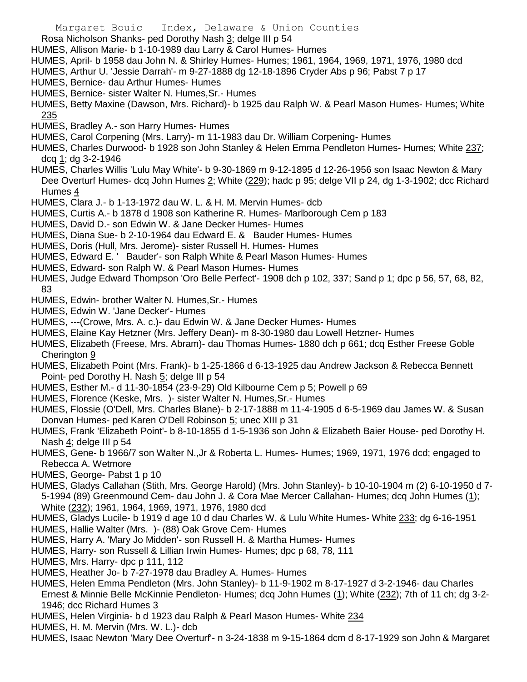- Rosa Nicholson Shanks- ped Dorothy Nash 3; delge III p 54
- HUMES, Allison Marie- b 1-10-1989 dau Larry & Carol Humes- Humes
- HUMES, April- b 1958 dau John N. & Shirley Humes- Humes; 1961, 1964, 1969, 1971, 1976, 1980 dcd
- HUMES, Arthur U. 'Jessie Darrah'- m 9-27-1888 dg 12-18-1896 Cryder Abs p 96; Pabst 7 p 17
- HUMES, Bernice- dau Arthur Humes- Humes
- HUMES, Bernice- sister Walter N. Humes,Sr.- Humes
- HUMES, Betty Maxine (Dawson, Mrs. Richard)- b 1925 dau Ralph W. & Pearl Mason Humes- Humes; White 235
- HUMES, Bradley A.- son Harry Humes- Humes
- HUMES, Carol Corpening (Mrs. Larry)- m 11-1983 dau Dr. William Corpening- Humes
- HUMES, Charles Durwood- b 1928 son John Stanley & Helen Emma Pendleton Humes- Humes; White 237; dcq 1; dg 3-2-1946
- HUMES, Charles Willis 'Lulu May White'- b 9-30-1869 m 9-12-1895 d 12-26-1956 son Isaac Newton & Mary Dee Overturf Humes- dcq John Humes 2; White (229); hadc p 95; delge VII p 24, dg 1-3-1902; dcc Richard Humes 4
- HUMES, Clara J.- b 1-13-1972 dau W. L. & H. M. Mervin Humes- dcb
- HUMES, Curtis A.- b 1878 d 1908 son Katherine R. Humes- Marlborough Cem p 183
- HUMES, David D.- son Edwin W. & Jane Decker Humes- Humes
- HUMES, Diana Sue- b 2-10-1964 dau Edward E. & Bauder Humes- Humes
- HUMES, Doris (Hull, Mrs. Jerome)- sister Russell H. Humes- Humes
- HUMES, Edward E. ' Bauder'- son Ralph White & Pearl Mason Humes- Humes
- HUMES, Edward- son Ralph W. & Pearl Mason Humes- Humes
- HUMES, Judge Edward Thompson 'Oro Belle Perfect'- 1908 dch p 102, 337; Sand p 1; dpc p 56, 57, 68, 82, 83
- HUMES, Edwin- brother Walter N. Humes,Sr.- Humes
- HUMES, Edwin W. 'Jane Decker'- Humes
- HUMES, ---(Crowe, Mrs. A. c.)- dau Edwin W. & Jane Decker Humes- Humes
- HUMES, Elaine Kay Hetzner (Mrs. Jeffery Dean)- m 8-30-1980 dau Lowell Hetzner- Humes
- HUMES, Elizabeth (Freese, Mrs. Abram)- dau Thomas Humes- 1880 dch p 661; dcq Esther Freese Goble Cherington 9
- HUMES, Elizabeth Point (Mrs. Frank)- b 1-25-1866 d 6-13-1925 dau Andrew Jackson & Rebecca Bennett Point- ped Dorothy H. Nash 5; delge III p 54
- HUMES, Esther M.- d 11-30-1854 (23-9-29) Old Kilbourne Cem p 5; Powell p 69
- HUMES, Florence (Keske, Mrs. )- sister Walter N. Humes,Sr.- Humes
- HUMES, Flossie (O'Dell, Mrs. Charles Blane)- b 2-17-1888 m 11-4-1905 d 6-5-1969 dau James W. & Susan Donvan Humes- ped Karen O'Dell Robinson 5; unec XIII p 31
- HUMES, Frank 'Elizabeth Point'- b 8-10-1855 d 1-5-1936 son John & Elizabeth Baier House- ped Dorothy H. Nash 4; delge III p 54
- HUMES, Gene- b 1966/7 son Walter N.,Jr & Roberta L. Humes- Humes; 1969, 1971, 1976 dcd; engaged to Rebecca A. Wetmore
- HUMES, George- Pabst 1 p 10
- HUMES, Gladys Callahan (Stith, Mrs. George Harold) (Mrs. John Stanley)- b 10-10-1904 m (2) 6-10-1950 d 7- 5-1994 (89) Greenmound Cem- dau John J. & Cora Mae Mercer Callahan- Humes; dcq John Humes (1); White (232); 1961, 1964, 1969, 1971, 1976, 1980 dcd
- HUMES, Gladys Lucile- b 1919 d age 10 d dau Charles W. & Lulu White Humes- White 233; dg 6-16-1951
- HUMES, Hallie Walter (Mrs. )- (88) Oak Grove Cem- Humes
- HUMES, Harry A. 'Mary Jo Midden'- son Russell H. & Martha Humes- Humes
- HUMES, Harry- son Russell & Lillian Irwin Humes- Humes; dpc p 68, 78, 111
- HUMES, Mrs. Harry- dpc p 111, 112
- HUMES, Heather Jo- b 7-27-1978 dau Bradley A. Humes- Humes
- HUMES, Helen Emma Pendleton (Mrs. John Stanley)- b 11-9-1902 m 8-17-1927 d 3-2-1946- dau Charles Ernest & Minnie Belle McKinnie Pendleton- Humes; dcq John Humes (1); White (232); 7th of 11 ch; dg 3-2- 1946; dcc Richard Humes 3
- HUMES, Helen Virginia- b d 1923 dau Ralph & Pearl Mason Humes- White 234
- HUMES, H. M. Mervin (Mrs. W. L.)- dcb
- HUMES, Isaac Newton 'Mary Dee Overturf'- n 3-24-1838 m 9-15-1864 dcm d 8-17-1929 son John & Margaret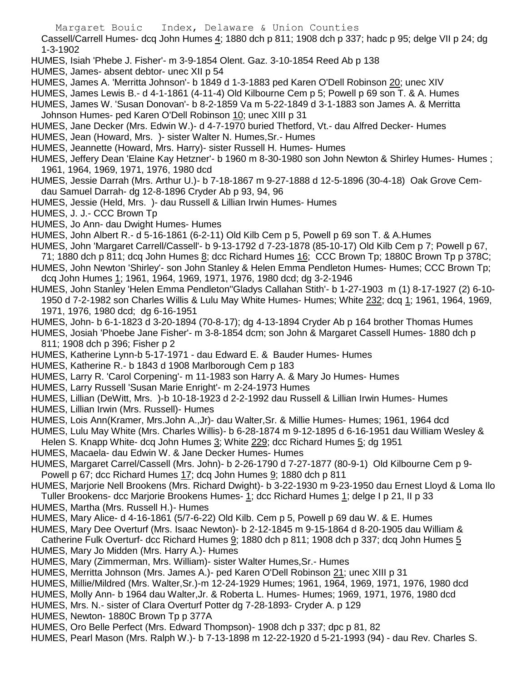Cassell/Carrell Humes- dcq John Humes 4; 1880 dch p 811; 1908 dch p 337; hadc p 95; delge VII p 24; dg 1-3-1902

- HUMES, Isiah 'Phebe J. Fisher'- m 3-9-1854 Olent. Gaz. 3-10-1854 Reed Ab p 138
- HUMES, James- absent debtor- unec XII p 54
- HUMES, James A. 'Merritta Johnson'- b 1849 d 1-3-1883 ped Karen O'Dell Robinson 20; unec XIV
- HUMES, James Lewis B.- d 4-1-1861 (4-11-4) Old Kilbourne Cem p 5; Powell p 69 son T. & A. Humes
- HUMES, James W. 'Susan Donovan'- b 8-2-1859 Va m 5-22-1849 d 3-1-1883 son James A. & Merritta Johnson Humes- ped Karen O'Dell Robinson 10; unec XIII p 31
- HUMES, Jane Decker (Mrs. Edwin W.)- d 4-7-1970 buried Thetford, Vt.- dau Alfred Decker- Humes
- HUMES, Jean (Howard, Mrs. )- sister Walter N. Humes,Sr.- Humes
- HUMES, Jeannette (Howard, Mrs. Harry)- sister Russell H. Humes- Humes
- HUMES, Jeffery Dean 'Elaine Kay Hetzner'- b 1960 m 8-30-1980 son John Newton & Shirley Humes- Humes ; 1961, 1964, 1969, 1971, 1976, 1980 dcd
- HUMES, Jessie Darrah (Mrs. Arthur U.)- b 7-18-1867 m 9-27-1888 d 12-5-1896 (30-4-18) Oak Grove Cemdau Samuel Darrah- dg 12-8-1896 Cryder Ab p 93, 94, 96
- HUMES, Jessie (Held, Mrs. )- dau Russell & Lillian Irwin Humes- Humes
- HUMES, J. J.- CCC Brown Tp
- HUMES, Jo Ann- dau Dwight Humes- Humes
- HUMES, John Albert R.- d 5-16-1861 (6-2-11) Old Kilb Cem p 5, Powell p 69 son T. & A.Humes
- HUMES, John 'Margaret Carrell/Cassell'- b 9-13-1792 d 7-23-1878 (85-10-17) Old Kilb Cem p 7; Powell p 67,
- 71; 1880 dch p 811; dcq John Humes 8; dcc Richard Humes 16; CCC Brown Tp; 1880C Brown Tp p 378C; HUMES, John Newton 'Shirley'- son John Stanley & Helen Emma Pendleton Humes- Humes; CCC Brown Tp; dcq John Humes 1; 1961, 1964, 1969, 1971, 1976, 1980 dcd; dg 3-2-1946
- HUMES, John Stanley 'Helen Emma Pendleton''Gladys Callahan Stith'- b 1-27-1903 m (1) 8-17-1927 (2) 6-10- 1950 d 7-2-1982 son Charles Willis & Lulu May White Humes- Humes; White 232; dcq 1; 1961, 1964, 1969, 1971, 1976, 1980 dcd; dg 6-16-1951
- HUMES, John- b 6-1-1823 d 3-20-1894 (70-8-17); dg 4-13-1894 Cryder Ab p 164 brother Thomas Humes
- HUMES, Josiah 'Phoebe Jane Fisher'- m 3-8-1854 dcm; son John & Margaret Cassell Humes- 1880 dch p 811; 1908 dch p 396; Fisher p 2
- HUMES, Katherine Lynn-b 5-17-1971 dau Edward E. & Bauder Humes- Humes
- HUMES, Katherine R.- b 1843 d 1908 Marlborough Cem p 183
- HUMES, Larry R. 'Carol Corpening'- m 11-1983 son Harry A. & Mary Jo Humes- Humes
- HUMES, Larry Russell 'Susan Marie Enright'- m 2-24-1973 Humes
- HUMES, Lillian (DeWitt, Mrs. )-b 10-18-1923 d 2-2-1992 dau Russell & Lillian Irwin Humes- Humes
- HUMES, Lillian Irwin (Mrs. Russell)- Humes
- HUMES, Lois Ann(Kramer, Mrs.John A.,Jr)- dau Walter,Sr. & Millie Humes- Humes; 1961, 1964 dcd
- HUMES, Lulu May White (Mrs. Charles Willis)- b 6-28-1874 m 9-12-1895 d 6-16-1951 dau William Wesley & Helen S. Knapp White- dcq John Humes 3; White 229; dcc Richard Humes 5; dg 1951
- HUMES, Macaela- dau Edwin W. & Jane Decker Humes- Humes
- HUMES, Margaret Carrel/Cassell (Mrs. John)- b 2-26-1790 d 7-27-1877 (80-9-1) Old Kilbourne Cem p 9- Powell p 67; dcc Richard Humes 17; dcq John Humes 9; 1880 dch p 811
- HUMES, Marjorie Nell Brookens (Mrs. Richard Dwight)- b 3-22-1930 m 9-23-1950 dau Ernest Lloyd & Loma Ilo Tuller Brookens- dcc Marjorie Brookens Humes- 1; dcc Richard Humes 1; delge I p 21, II p 33
- HUMES, Martha (Mrs. Russell H.)- Humes
- HUMES, Mary Alice- d 4-16-1861 (5/7-6-22) Old Kilb. Cem p 5, Powell p 69 dau W. & E. Humes
- HUMES, Mary Dee Overturf (Mrs. Isaac Newton)- b 2-12-1845 m 9-15-1864 d 8-20-1905 dau William &
- Catherine Fulk Overturf- dcc Richard Humes 9; 1880 dch p 811; 1908 dch p 337; dcq John Humes 5 HUMES, Mary Jo Midden (Mrs. Harry A.)- Humes
- HUMES, Mary (Zimmerman, Mrs. William)- sister Walter Humes,Sr.- Humes
- HUMES, Merritta Johnson (Mrs. James A.)- ped Karen O'Dell Robinson 21; unec XIII p 31
- HUMES, Millie/Mildred (Mrs. Walter,Sr.)-m 12-24-1929 Humes; 1961, 1964, 1969, 1971, 1976, 1980 dcd
- HUMES, Molly Ann- b 1964 dau Walter,Jr. & Roberta L. Humes- Humes; 1969, 1971, 1976, 1980 dcd
- HUMES, Mrs. N.- sister of Clara Overturf Potter dg 7-28-1893- Cryder A. p 129
- HUMES, Newton- 1880C Brown Tp p 377A
- HUMES, Oro Belle Perfect (Mrs. Edward Thompson)- 1908 dch p 337; dpc p 81, 82
- HUMES, Pearl Mason (Mrs. Ralph W.)- b 7-13-1898 m 12-22-1920 d 5-21-1993 (94) dau Rev. Charles S.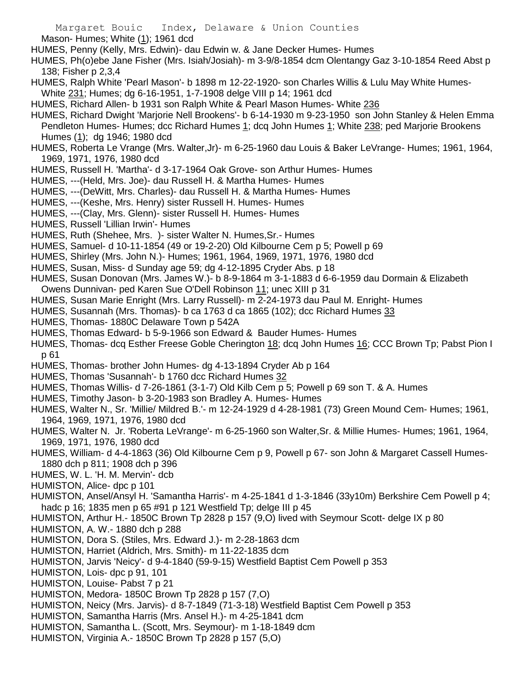Mason- Humes; White (1); 1961 dcd

- HUMES, Penny (Kelly, Mrs. Edwin)- dau Edwin w. & Jane Decker Humes- Humes
- HUMES, Ph(o)ebe Jane Fisher (Mrs. Isiah/Josiah)- m 3-9/8-1854 dcm Olentangy Gaz 3-10-1854 Reed Abst p 138; Fisher p 2,3,4
- HUMES, Ralph White 'Pearl Mason'- b 1898 m 12-22-1920- son Charles Willis & Lulu May White Humes-
- White 231; Humes; dg 6-16-1951, 1-7-1908 delge VIII p 14; 1961 dcd
- HUMES, Richard Allen- b 1931 son Ralph White & Pearl Mason Humes- White 236
- HUMES, Richard Dwight 'Marjorie Nell Brookens'- b 6-14-1930 m 9-23-1950 son John Stanley & Helen Emma Pendleton Humes- Humes; dcc Richard Humes 1; dcq John Humes 1; White 238; ped Marjorie Brookens Humes (1); dg 1946; 1980 dcd
- HUMES, Roberta Le Vrange (Mrs. Walter,Jr)- m 6-25-1960 dau Louis & Baker LeVrange- Humes; 1961, 1964, 1969, 1971, 1976, 1980 dcd
- HUMES, Russell H. 'Martha'- d 3-17-1964 Oak Grove- son Arthur Humes- Humes
- HUMES, ---(Held, Mrs. Joe)- dau Russell H. & Martha Humes- Humes
- HUMES, ---(DeWitt, Mrs. Charles)- dau Russell H. & Martha Humes- Humes
- HUMES, ---(Keshe, Mrs. Henry) sister Russell H. Humes- Humes
- HUMES, ---(Clay, Mrs. Glenn)- sister Russell H. Humes- Humes
- HUMES, Russell 'Lillian Irwin'- Humes
- HUMES, Ruth (Shehee, Mrs. )- sister Walter N. Humes,Sr.- Humes
- HUMES, Samuel- d 10-11-1854 (49 or 19-2-20) Old Kilbourne Cem p 5; Powell p 69
- HUMES, Shirley (Mrs. John N.)- Humes; 1961, 1964, 1969, 1971, 1976, 1980 dcd
- HUMES, Susan, Miss- d Sunday age 59; dg 4-12-1895 Cryder Abs. p 18
- HUMES, Susan Donovan (Mrs. James W.)- b 8-9-1864 m 3-1-1883 d 6-6-1959 dau Dormain & Elizabeth Owens Dunnivan- ped Karen Sue O'Dell Robinson 11; unec XIII p 31
- HUMES, Susan Marie Enright (Mrs. Larry Russell)- m 2-24-1973 dau Paul M. Enright- Humes
- HUMES, Susannah (Mrs. Thomas)- b ca 1763 d ca 1865 (102); dcc Richard Humes 33
- HUMES, Thomas- 1880C Delaware Town p 542A
- HUMES, Thomas Edward- b 5-9-1966 son Edward & Bauder Humes- Humes
- HUMES, Thomas- dcq Esther Freese Goble Cherington 18; dcq John Humes 16; CCC Brown Tp; Pabst Pion I p 61
- HUMES, Thomas- brother John Humes- dg 4-13-1894 Cryder Ab p 164
- HUMES, Thomas 'Susannah'- b 1760 dcc Richard Humes 32
- HUMES, Thomas Willis- d 7-26-1861 (3-1-7) Old Kilb Cem p 5; Powell p 69 son T. & A. Humes
- HUMES, Timothy Jason- b 3-20-1983 son Bradley A. Humes- Humes
- HUMES, Walter N., Sr. 'Millie/ Mildred B.'- m 12-24-1929 d 4-28-1981 (73) Green Mound Cem- Humes; 1961, 1964, 1969, 1971, 1976, 1980 dcd
- HUMES, Walter N. Jr. 'Roberta LeVrange'- m 6-25-1960 son Walter,Sr. & Millie Humes- Humes; 1961, 1964, 1969, 1971, 1976, 1980 dcd
- HUMES, William- d 4-4-1863 (36) Old Kilbourne Cem p 9, Powell p 67- son John & Margaret Cassell Humes-1880 dch p 811; 1908 dch p 396
- HUMES, W. L. 'H. M. Mervin'- dcb
- HUMISTON, Alice- dpc p 101
- HUMISTON, Ansel/Ansyl H. 'Samantha Harris'- m 4-25-1841 d 1-3-1846 (33y10m) Berkshire Cem Powell p 4; hadc p 16; 1835 men p 65 #91 p 121 Westfield Tp; delge III p 45
- HUMISTON, Arthur H.- 1850C Brown Tp 2828 p 157 (9,O) lived with Seymour Scott- delge IX p 80
- HUMISTON, A. W.- 1880 dch p 288
- HUMISTON, Dora S. (Stiles, Mrs. Edward J.)- m 2-28-1863 dcm
- HUMISTON, Harriet (Aldrich, Mrs. Smith)- m 11-22-1835 dcm
- HUMISTON, Jarvis 'Neicy'- d 9-4-1840 (59-9-15) Westfield Baptist Cem Powell p 353
- HUMISTON, Lois- dpc p 91, 101
- HUMISTON, Louise- Pabst 7 p 21
- HUMISTON, Medora- 1850C Brown Tp 2828 p 157 (7,O)
- HUMISTON, Neicy (Mrs. Jarvis)- d 8-7-1849 (71-3-18) Westfield Baptist Cem Powell p 353
- HUMISTON, Samantha Harris (Mrs. Ansel H.)- m 4-25-1841 dcm
- HUMISTON, Samantha L. (Scott, Mrs. Seymour)- m 1-18-1849 dcm
- HUMISTON, Virginia A.- 1850C Brown Tp 2828 p 157 (5,O)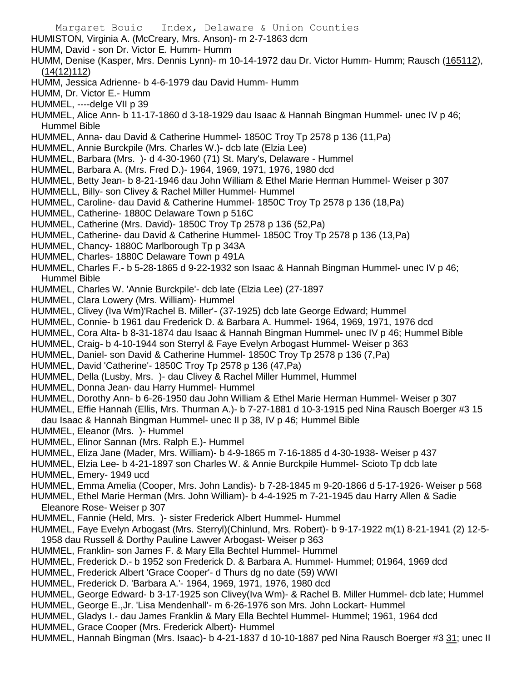Margaret Bouic Index, Delaware & Union Counties HUMISTON, Virginia A. (McCreary, Mrs. Anson)- m 2-7-1863 dcm HUMM, David - son Dr. Victor E. Humm- Humm HUMM, Denise (Kasper, Mrs. Dennis Lynn)- m 10-14-1972 dau Dr. Victor Humm- Humm; Rausch (165112), (14(12)112) HUMM, Jessica Adrienne- b 4-6-1979 dau David Humm- Humm HUMM, Dr. Victor E.- Humm HUMMEL, ----delge VII p 39 HUMMEL, Alice Ann- b 11-17-1860 d 3-18-1929 dau Isaac & Hannah Bingman Hummel- unec IV p 46; Hummel Bible HUMMEL, Anna- dau David & Catherine Hummel- 1850C Troy Tp 2578 p 136 (11,Pa) HUMMEL, Annie Burckpile (Mrs. Charles W.)- dcb late (Elzia Lee) HUMMEL, Barbara (Mrs. )- d 4-30-1960 (71) St. Mary's, Delaware - Hummel HUMMEL, Barbara A. (Mrs. Fred D.)- 1964, 1969, 1971, 1976, 1980 dcd HUMMEL, Betty Jean- b 8-21-1946 dau John William & Ethel Marie Herman Hummel- Weiser p 307 HUMMELL, Billy- son Clivey & Rachel Miller Hummel- Hummel HUMMEL, Caroline- dau David & Catherine Hummel- 1850C Troy Tp 2578 p 136 (18,Pa) HUMMEL, Catherine- 1880C Delaware Town p 516C HUMMEL, Catherine (Mrs. David)- 1850C Troy Tp 2578 p 136 (52,Pa) HUMMEL, Catherine- dau David & Catherine Hummel- 1850C Troy Tp 2578 p 136 (13,Pa) HUMMEL, Chancy- 1880C Marlborough Tp p 343A HUMMEL, Charles- 1880C Delaware Town p 491A HUMMEL, Charles F.- b 5-28-1865 d 9-22-1932 son Isaac & Hannah Bingman Hummel- unec IV p 46; Hummel Bible HUMMEL, Charles W. 'Annie Burckpile'- dcb late (Elzia Lee) (27-1897 HUMMEL, Clara Lowery (Mrs. William)- Hummel HUMMEL, Clivey (Iva Wm)'Rachel B. Miller'- (37-1925) dcb late George Edward; Hummel HUMMEL, Connie- b 1961 dau Frederick D. & Barbara A. Hummel- 1964, 1969, 1971, 1976 dcd HUMMEL, Cora Alta- b 8-31-1874 dau Isaac & Hannah Bingman Hummel- unec IV p 46; Hummel Bible HUMMEL, Craig- b 4-10-1944 son Sterryl & Faye Evelyn Arbogast Hummel- Weiser p 363 HUMMEL, Daniel- son David & Catherine Hummel- 1850C Troy Tp 2578 p 136 (7,Pa) HUMMEL, David 'Catherine'- 1850C Troy Tp 2578 p 136 (47,Pa) HUMMEL, Della (Lusby, Mrs. )- dau Clivey & Rachel Miller Hummel, Hummel HUMMEL, Donna Jean- dau Harry Hummel- Hummel HUMMEL, Dorothy Ann- b 6-26-1950 dau John William & Ethel Marie Herman Hummel- Weiser p 307 HUMMEL, Effie Hannah (Ellis, Mrs. Thurman A.)- b 7-27-1881 d 10-3-1915 ped Nina Rausch Boerger #3 15 dau Isaac & Hannah Bingman Hummel- unec II p 38, IV p 46; Hummel Bible HUMMEL, Eleanor (Mrs. )- Hummel HUMMEL, Elinor Sannan (Mrs. Ralph E.)- Hummel HUMMEL, Eliza Jane (Mader, Mrs. William)- b 4-9-1865 m 7-16-1885 d 4-30-1938- Weiser p 437 HUMMEL, Elzia Lee- b 4-21-1897 son Charles W. & Annie Burckpile Hummel- Scioto Tp dcb late HUMMEL, Emery- 1949 ucd HUMMEL, Emma Amelia (Cooper, Mrs. John Landis)- b 7-28-1845 m 9-20-1866 d 5-17-1926- Weiser p 568 HUMMEL, Ethel Marie Herman (Mrs. John William)- b 4-4-1925 m 7-21-1945 dau Harry Allen & Sadie Eleanore Rose- Weiser p 307 HUMMEL, Fannie (Held, Mrs. )- sister Frederick Albert Hummel- Hummel HUMMEL, Faye Evelyn Arbogast (Mrs. Sterryl)(Chinlund, Mrs. Robert)- b 9-17-1922 m(1) 8-21-1941 (2) 12-5- 1958 dau Russell & Dorthy Pauline Lawver Arbogast- Weiser p 363 HUMMEL, Franklin- son James F. & Mary Ella Bechtel Hummel- Hummel HUMMEL, Frederick D.- b 1952 son Frederick D. & Barbara A. Hummel- Hummel; 01964, 1969 dcd HUMMEL, Frederick Albert 'Grace Cooper'- d Thurs dg no date (59) WWI HUMMEL, Frederick D. 'Barbara A.'- 1964, 1969, 1971, 1976, 1980 dcd HUMMEL, George Edward- b 3-17-1925 son Clivey(Iva Wm)- & Rachel B. Miller Hummel- dcb late; Hummel HUMMEL, George E.,Jr. 'Lisa Mendenhall'- m 6-26-1976 son Mrs. John Lockart- Hummel HUMMEL, Gladys I.- dau James Franklin & Mary Ella Bechtel Hummel- Hummel; 1961, 1964 dcd

HUMMEL, Grace Cooper (Mrs. Frederick Albert)- Hummel

HUMMEL, Hannah Bingman (Mrs. Isaac)- b 4-21-1837 d 10-10-1887 ped Nina Rausch Boerger #3 31; unec II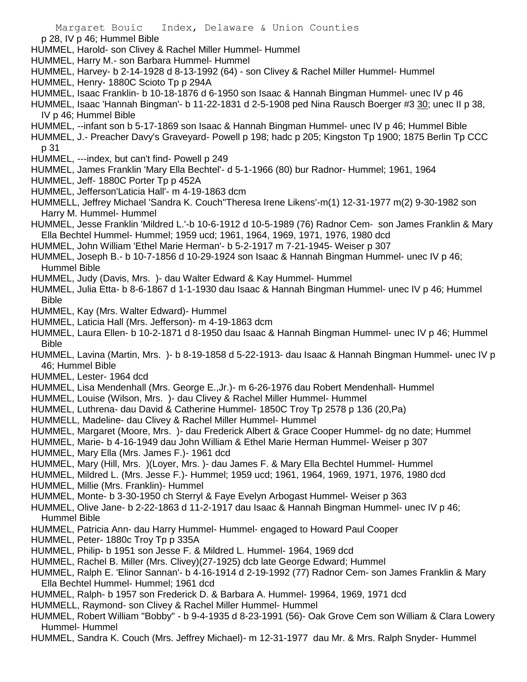- p 28, IV p 46; Hummel Bible
- HUMMEL, Harold- son Clivey & Rachel Miller Hummel- Hummel
- HUMMEL, Harry M.- son Barbara Hummel- Hummel
- HUMMEL, Harvey- b 2-14-1928 d 8-13-1992 (64) son Clivey & Rachel Miller Hummel- Hummel
- HUMMEL, Henry- 1880C Scioto Tp p 294A
- HUMMEL, Isaac Franklin- b 10-18-1876 d 6-1950 son Isaac & Hannah Bingman Hummel- unec IV p 46
- HUMMEL, Isaac 'Hannah Bingman'- b 11-22-1831 d 2-5-1908 ped Nina Rausch Boerger #3 30; unec II p 38, IV p 46; Hummel Bible
- HUMMEL, --infant son b 5-17-1869 son Isaac & Hannah Bingman Hummel- unec IV p 46; Hummel Bible
- HUMMEL, J.- Preacher Davy's Graveyard- Powell p 198; hadc p 205; Kingston Tp 1900; 1875 Berlin Tp CCC p 31
- HUMMEL, ---index, but can't find- Powell p 249
- HUMMEL, James Franklin 'Mary Ella Bechtel'- d 5-1-1966 (80) bur Radnor- Hummel; 1961, 1964
- HUMMEL, Jeff- 1880C Porter Tp p 452A
- HUMMEL, Jefferson'Laticia Hall'- m 4-19-1863 dcm
- HUMMELL, Jeffrey Michael 'Sandra K. Couch''Theresa Irene Likens'-m(1) 12-31-1977 m(2) 9-30-1982 son Harry M. Hummel- Hummel
- HUMMEL, Jesse Franklin 'Mildred L.'-b 10-6-1912 d 10-5-1989 (76) Radnor Cem- son James Franklin & Mary Ella Bechtel Hummel- Hummel; 1959 ucd; 1961, 1964, 1969, 1971, 1976, 1980 dcd
- HUMMEL, John William 'Ethel Marie Herman'- b 5-2-1917 m 7-21-1945- Weiser p 307
- HUMMEL, Joseph B.- b 10-7-1856 d 10-29-1924 son Isaac & Hannah Bingman Hummel- unec IV p 46; Hummel Bible
- HUMMEL, Judy (Davis, Mrs. )- dau Walter Edward & Kay Hummel- Hummel
- HUMMEL, Julia Etta- b 8-6-1867 d 1-1-1930 dau Isaac & Hannah Bingman Hummel- unec IV p 46; Hummel Bible
- HUMMEL, Kay (Mrs. Walter Edward)- Hummel
- HUMMEL, Laticia Hall (Mrs. Jefferson)- m 4-19-1863 dcm
- HUMMEL, Laura Ellen- b 10-2-1871 d 8-1950 dau Isaac & Hannah Bingman Hummel- unec IV p 46; Hummel Bible
- HUMMEL, Lavina (Martin, Mrs. )- b 8-19-1858 d 5-22-1913- dau Isaac & Hannah Bingman Hummel- unec IV p 46; Hummel Bible
- HUMMEL, Lester- 1964 dcd
- HUMMEL, Lisa Mendenhall (Mrs. George E.,Jr.)- m 6-26-1976 dau Robert Mendenhall- Hummel
- HUMMEL, Louise (Wilson, Mrs. )- dau Clivey & Rachel Miller Hummel- Hummel
- HUMMEL, Luthrena- dau David & Catherine Hummel- 1850C Troy Tp 2578 p 136 (20,Pa)
- HUMMELL, Madeline- dau Clivey & Rachel Miller Hummel- Hummel
- HUMMEL, Margaret (Moore, Mrs. )- dau Frederick Albert & Grace Cooper Hummel- dg no date; Hummel
- HUMMEL, Marie- b 4-16-1949 dau John William & Ethel Marie Herman Hummel- Weiser p 307
- HUMMEL, Mary Ella (Mrs. James F.)- 1961 dcd
- HUMMEL, Mary (Hill, Mrs. )(Loyer, Mrs. )- dau James F. & Mary Ella Bechtel Hummel- Hummel
- HUMMEL, Mildred L. (Mrs. Jesse F.)- Hummel; 1959 ucd; 1961, 1964, 1969, 1971, 1976, 1980 dcd HUMMEL, Millie (Mrs. Franklin)- Hummel
- HUMMEL, Monte- b 3-30-1950 ch Sterryl & Faye Evelyn Arbogast Hummel- Weiser p 363
- HUMMEL, Olive Jane- b 2-22-1863 d 11-2-1917 dau Isaac & Hannah Bingman Hummel- unec IV p 46; Hummel Bible
- HUMMEL, Patricia Ann- dau Harry Hummel- Hummel- engaged to Howard Paul Cooper
- HUMMEL, Peter- 1880c Troy Tp p 335A
- HUMMEL, Philip- b 1951 son Jesse F. & Mildred L. Hummel- 1964, 1969 dcd
- HUMMEL, Rachel B. Miller (Mrs. Clivey)(27-1925) dcb late George Edward; Hummel
- HUMMEL, Ralph E. 'Elinor Sannan'- b 4-16-1914 d 2-19-1992 (77) Radnor Cem- son James Franklin & Mary Ella Bechtel Hummel- Hummel; 1961 dcd
- HUMMEL, Ralph- b 1957 son Frederick D. & Barbara A. Hummel- 19964, 1969, 1971 dcd
- HUMMELL, Raymond- son Clivey & Rachel Miller Hummel- Hummel
- HUMMEL, Robert William "Bobby" b 9-4-1935 d 8-23-1991 (56)- Oak Grove Cem son William & Clara Lowery Hummel- Hummel
- HUMMEL, Sandra K. Couch (Mrs. Jeffrey Michael)- m 12-31-1977 dau Mr. & Mrs. Ralph Snyder- Hummel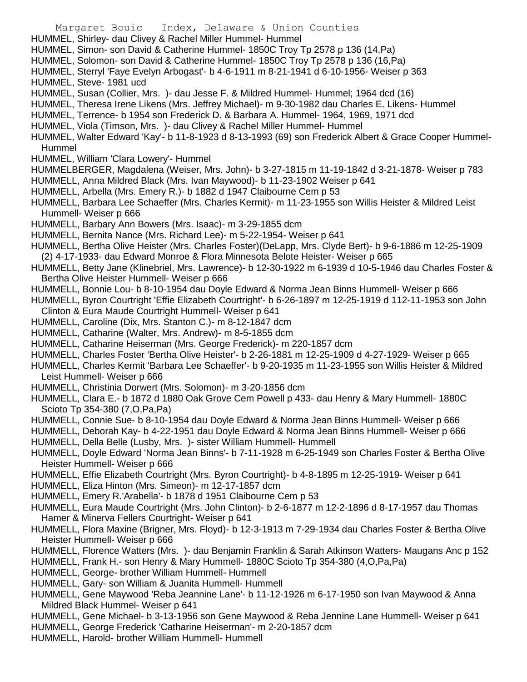Margaret Bouic Index, Delaware & Union Counties HUMMEL, Shirley- dau Clivey & Rachel Miller Hummel- Hummel HUMMEL, Simon- son David & Catherine Hummel- 1850C Troy Tp 2578 p 136 (14,Pa) HUMMEL, Solomon- son David & Catherine Hummel- 1850C Troy Tp 2578 p 136 (16,Pa) HUMMEL, Sterryl 'Faye Evelyn Arbogast'- b 4-6-1911 m 8-21-1941 d 6-10-1956- Weiser p 363 HUMMEL, Steve- 1981 ucd HUMMEL, Susan (Collier, Mrs. )- dau Jesse F. & Mildred Hummel- Hummel; 1964 dcd (16) HUMMEL, Theresa Irene Likens (Mrs. Jeffrey Michael)- m 9-30-1982 dau Charles E. Likens- Hummel HUMMEL, Terrence- b 1954 son Frederick D. & Barbara A. Hummel- 1964, 1969, 1971 dcd HUMMEL, Viola (Timson, Mrs. )- dau Clivey & Rachel Miller Hummel- Hummel HUMMEL, Walter Edward 'Kay'- b 11-8-1923 d 8-13-1993 (69) son Frederick Albert & Grace Cooper Hummel-Hummel HUMMEL, William 'Clara Lowery'- Hummel HUMMELBERGER, Magdalena (Weiser, Mrs. John)- b 3-27-1815 m 11-19-1842 d 3-21-1878- Weiser p 783 HUMMELL, Anna Mildred Black (Mrs. Ivan Maywood)- b 11-23-1902 Weiser p 641 HUMMELL, Arbella (Mrs. Emery R.)- b 1882 d 1947 Claibourne Cem p 53 HUMMELL, Barbara Lee Schaeffer (Mrs. Charles Kermit)- m 11-23-1955 son Willis Heister & Mildred Leist Hummell- Weiser p 666 HUMMELL, Barbary Ann Bowers (Mrs. Isaac)- m 3-29-1855 dcm HUMMELL, Bernita Nance (Mrs. Richard Lee)- m 5-22-1954- Weiser p 641 HUMMELL, Bertha Olive Heister (Mrs. Charles Foster)(DeLapp, Mrs. Clyde Bert)- b 9-6-1886 m 12-25-1909 (2) 4-17-1933- dau Edward Monroe & Flora Minnesota Belote Heister- Weiser p 665 HUMMELL, Betty Jane (Klinebriel, Mrs. Lawrence)- b 12-30-1922 m 6-1939 d 10-5-1946 dau Charles Foster & Bertha Olive Heister Hummell- Weiser p 666 HUMMELL, Bonnie Lou- b 8-10-1954 dau Doyle Edward & Norma Jean Binns Hummell- Weiser p 666 HUMMELL, Byron Courtright 'Effie Elizabeth Courtright'- b 6-26-1897 m 12-25-1919 d 112-11-1953 son John Clinton & Eura Maude Courtright Hummell- Weiser p 641 HUMMELL, Caroline (Dix, Mrs. Stanton C.)- m 8-12-1847 dcm HUMMELL, Catharine (Walter, Mrs. Andrew)- m 8-5-1855 dcm HUMMELL, Catharine Heiserman (Mrs. George Frederick)- m 220-1857 dcm HUMMELL, Charles Foster 'Bertha Olive Heister'- b 2-26-1881 m 12-25-1909 d 4-27-1929- Weiser p 665 HUMMELL, Charles Kermit 'Barbara Lee Schaeffer'- b 9-20-1935 m 11-23-1955 son Willis Heister & Mildred Leist Hummell- Weiser p 666 HUMMELL, Christinia Dorwert (Mrs. Solomon)- m 3-20-1856 dcm

HUMMELL, Clara E.- b 1872 d 1880 Oak Grove Cem Powell p 433- dau Henry & Mary Hummell- 1880C Scioto Tp 354-380 (7,O,Pa,Pa)

- HUMMELL, Connie Sue- b 8-10-1954 dau Doyle Edward & Norma Jean Binns Hummell- Weiser p 666
- HUMMELL, Deborah Kay- b 4-22-1951 dau Doyle Edward & Norma Jean Binns Hummell- Weiser p 666
- HUMMELL, Della Belle (Lusby, Mrs. )- sister William Hummell- Hummell

HUMMELL, Doyle Edward 'Norma Jean Binns'- b 7-11-1928 m 6-25-1949 son Charles Foster & Bertha Olive Heister Hummell- Weiser p 666

- HUMMELL, Effie Elizabeth Courtright (Mrs. Byron Courtright)- b 4-8-1895 m 12-25-1919- Weiser p 641
- HUMMELL, Eliza Hinton (Mrs. Simeon)- m 12-17-1857 dcm
- HUMMELL, Emery R.'Arabella'- b 1878 d 1951 Claibourne Cem p 53
- HUMMELL, Eura Maude Courtright (Mrs. John Clinton)- b 2-6-1877 m 12-2-1896 d 8-17-1957 dau Thomas Hamer & Minerva Fellers Courtright- Weiser p 641
- HUMMELL, Flora Maxine (Brigner, Mrs. Floyd)- b 12-3-1913 m 7-29-1934 dau Charles Foster & Bertha Olive Heister Hummell- Weiser p 666
- HUMMELL, Florence Watters (Mrs. )- dau Benjamin Franklin & Sarah Atkinson Watters- Maugans Anc p 152
- HUMMELL, Frank H.- son Henry & Mary Hummell- 1880C Scioto Tp 354-380 (4,O,Pa,Pa)
- HUMMELL, George- brother William Hummell- Hummell
- HUMMELL, Gary- son William & Juanita Hummell- Hummell
- HUMMELL, Gene Maywood 'Reba Jeannine Lane'- b 11-12-1926 m 6-17-1950 son Ivan Maywood & Anna Mildred Black Hummel- Weiser p 641
- HUMMELL, Gene Michael- b 3-13-1956 son Gene Maywood & Reba Jennine Lane Hummell- Weiser p 641
- HUMMELL, George Frederick 'Catharine Heiserman'- m 2-20-1857 dcm
- HUMMELL, Harold- brother William Hummell- Hummell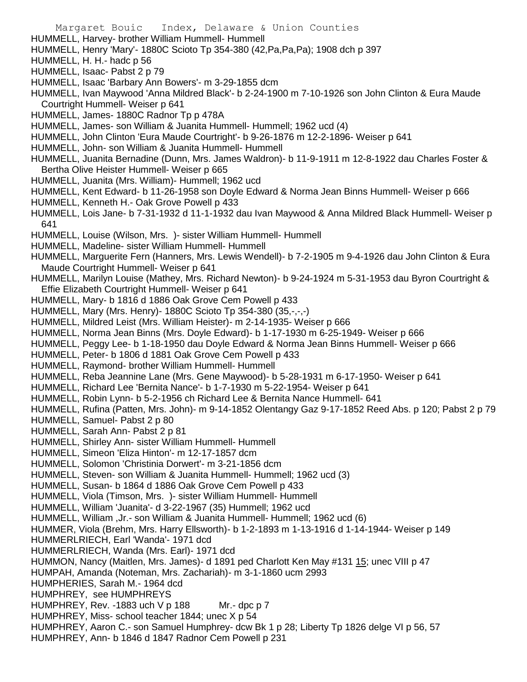HUMMELL, Harvey- brother William Hummell- Hummell

HUMMELL, Henry 'Mary'- 1880C Scioto Tp 354-380 (42,Pa,Pa,Pa); 1908 dch p 397

- HUMMELL, H. H.- hadc p 56
- HUMMELL, Isaac- Pabst 2 p 79
- HUMMELL, Isaac 'Barbary Ann Bowers'- m 3-29-1855 dcm
- HUMMELL, Ivan Maywood 'Anna Mildred Black'- b 2-24-1900 m 7-10-1926 son John Clinton & Eura Maude Courtright Hummell- Weiser p 641
- HUMMELL, James- 1880C Radnor Tp p 478A
- HUMMELL, James- son William & Juanita Hummell- Hummell; 1962 ucd (4)
- HUMMELL, John Clinton 'Eura Maude Courtright'- b 9-26-1876 m 12-2-1896- Weiser p 641
- HUMMELL, John- son William & Juanita Hummell- Hummell
- HUMMELL, Juanita Bernadine (Dunn, Mrs. James Waldron)- b 11-9-1911 m 12-8-1922 dau Charles Foster & Bertha Olive Heister Hummell- Weiser p 665
- HUMMELL, Juanita (Mrs. William)- Hummell; 1962 ucd
- HUMMELL, Kent Edward- b 11-26-1958 son Doyle Edward & Norma Jean Binns Hummell- Weiser p 666
- HUMMELL, Kenneth H.- Oak Grove Powell p 433
- HUMMELL, Lois Jane- b 7-31-1932 d 11-1-1932 dau Ivan Maywood & Anna Mildred Black Hummell- Weiser p 641
- HUMMELL, Louise (Wilson, Mrs. )- sister William Hummell- Hummell
- HUMMELL, Madeline- sister William Hummell- Hummell
- HUMMELL, Marguerite Fern (Hanners, Mrs. Lewis Wendell)- b 7-2-1905 m 9-4-1926 dau John Clinton & Eura Maude Courtright Hummell- Weiser p 641
- HUMMELL, Marilyn Louise (Mathey, Mrs. Richard Newton)- b 9-24-1924 m 5-31-1953 dau Byron Courtright & Effie Elizabeth Courtright Hummell- Weiser p 641
- HUMMELL, Mary- b 1816 d 1886 Oak Grove Cem Powell p 433
- HUMMELL, Mary (Mrs. Henry)- 1880C Scioto Tp 354-380 (35,-,-,-)
- HUMMELL, Mildred Leist (Mrs. William Heister)- m 2-14-1935- Weiser p 666
- HUMMELL, Norma Jean Binns (Mrs. Doyle Edward)- b 1-17-1930 m 6-25-1949- Weiser p 666
- HUMMELL, Peggy Lee- b 1-18-1950 dau Doyle Edward & Norma Jean Binns Hummell- Weiser p 666
- HUMMELL, Peter- b 1806 d 1881 Oak Grove Cem Powell p 433
- HUMMELL, Raymond- brother William Hummell- Hummell
- HUMMELL, Reba Jeannine Lane (Mrs. Gene Maywood)- b 5-28-1931 m 6-17-1950- Weiser p 641
- HUMMELL, Richard Lee 'Bernita Nance'- b 1-7-1930 m 5-22-1954- Weiser p 641
- HUMMELL, Robin Lynn- b 5-2-1956 ch Richard Lee & Bernita Nance Hummell- 641
- HUMMELL, Rufina (Patten, Mrs. John)- m 9-14-1852 Olentangy Gaz 9-17-1852 Reed Abs. p 120; Pabst 2 p 79
- HUMMELL, Samuel- Pabst 2 p 80
- HUMMELL, Sarah Ann- Pabst 2 p 81
- HUMMELL, Shirley Ann- sister William Hummell- Hummell
- HUMMELL, Simeon 'Eliza Hinton'- m 12-17-1857 dcm
- HUMMELL, Solomon 'Christinia Dorwert'- m 3-21-1856 dcm
- HUMMELL, Steven- son William & Juanita Hummell- Hummell; 1962 ucd (3)
- HUMMELL, Susan- b 1864 d 1886 Oak Grove Cem Powell p 433
- HUMMELL, Viola (Timson, Mrs. )- sister William Hummell- Hummell
- HUMMELL, William 'Juanita'- d 3-22-1967 (35) Hummell; 1962 ucd
- HUMMELL, William ,Jr.- son William & Juanita Hummell- Hummell; 1962 ucd (6)
- HUMMER, Viola (Brehm, Mrs. Harry Ellsworth)- b 1-2-1893 m 1-13-1916 d 1-14-1944- Weiser p 149
- HUMMERLRIECH, Earl 'Wanda'- 1971 dcd
- HUMMERLRIECH, Wanda (Mrs. Earl)- 1971 dcd
- HUMMON, Nancy (Maitlen, Mrs. James)- d 1891 ped Charlott Ken May #131 15; unec VIII p 47
- HUMPAH, Amanda (Noteman, Mrs. Zachariah)- m 3-1-1860 ucm 2993
- HUMPHERIES, Sarah M.- 1964 dcd
- HUMPHREY, see HUMPHREYS
- HUMPHREY, Rev. -1883 uch V p 188 Mr.- dpc p 7
- HUMPHREY, Miss- school teacher 1844; unec X p 54
- HUMPHREY, Aaron C.- son Samuel Humphrey- dcw Bk 1 p 28; Liberty Tp 1826 delge VI p 56, 57
- HUMPHREY, Ann- b 1846 d 1847 Radnor Cem Powell p 231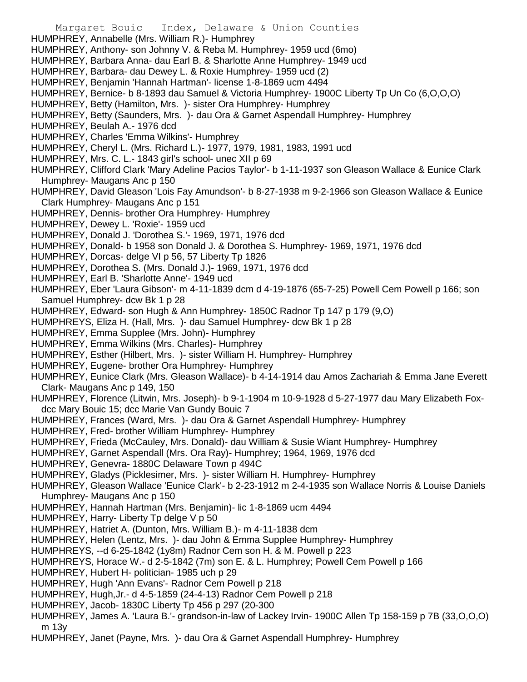- Margaret Bouic Index, Delaware & Union Counties HUMPHREY, Annabelle (Mrs. William R.)- Humphrey HUMPHREY, Anthony- son Johnny V. & Reba M. Humphrey- 1959 ucd (6mo) HUMPHREY, Barbara Anna- dau Earl B. & Sharlotte Anne Humphrey- 1949 ucd HUMPHREY, Barbara- dau Dewey L. & Roxie Humphrey- 1959 ucd (2) HUMPHREY, Benjamin 'Hannah Hartman'- license 1-8-1869 ucm 4494 HUMPHREY, Bernice- b 8-1893 dau Samuel & Victoria Humphrey- 1900C Liberty Tp Un Co (6,O,O,O) HUMPHREY, Betty (Hamilton, Mrs. )- sister Ora Humphrey- Humphrey HUMPHREY, Betty (Saunders, Mrs. )- dau Ora & Garnet Aspendall Humphrey- Humphrey HUMPHREY, Beulah A.- 1976 dcd HUMPHREY, Charles 'Emma Wilkins'- Humphrey HUMPHREY, Cheryl L. (Mrs. Richard L.)- 1977, 1979, 1981, 1983, 1991 ucd HUMPHREY, Mrs. C. L.- 1843 girl's school- unec XII p 69 HUMPHREY, Clifford Clark 'Mary Adeline Pacios Taylor'- b 1-11-1937 son Gleason Wallace & Eunice Clark Humphrey- Maugans Anc p 150 HUMPHREY, David Gleason 'Lois Fay Amundson'- b 8-27-1938 m 9-2-1966 son Gleason Wallace & Eunice Clark Humphrey- Maugans Anc p 151 HUMPHREY, Dennis- brother Ora Humphrey- Humphrey HUMPHREY, Dewey L. 'Roxie'- 1959 ucd HUMPHREY, Donald J. 'Dorothea S.'- 1969, 1971, 1976 dcd HUMPHREY, Donald- b 1958 son Donald J. & Dorothea S. Humphrey- 1969, 1971, 1976 dcd HUMPHREY, Dorcas- delge VI p 56, 57 Liberty Tp 1826 HUMPHREY, Dorothea S. (Mrs. Donald J.)- 1969, 1971, 1976 dcd HUMPHREY, Earl B. 'Sharlotte Anne'- 1949 ucd HUMPHREY, Eber 'Laura Gibson'- m 4-11-1839 dcm d 4-19-1876 (65-7-25) Powell Cem Powell p 166; son Samuel Humphrey- dcw Bk 1 p 28 HUMPHREY, Edward- son Hugh & Ann Humphrey- 1850C Radnor Tp 147 p 179 (9,O) HUMPHREYS, Eliza H. (Hall, Mrs. )- dau Samuel Humphrey- dcw Bk 1 p 28 HUMPHREY, Emma Supplee (Mrs. John)- Humphrey HUMPHREY, Emma Wilkins (Mrs. Charles)- Humphrey HUMPHREY, Esther (Hilbert, Mrs. )- sister William H. Humphrey- Humphrey HUMPHREY, Eugene- brother Ora Humphrey- Humphrey HUMPHREY, Eunice Clark (Mrs. Gleason Wallace)- b 4-14-1914 dau Amos Zachariah & Emma Jane Everett Clark- Maugans Anc p 149, 150 HUMPHREY, Florence (Litwin, Mrs. Joseph)- b 9-1-1904 m 10-9-1928 d 5-27-1977 dau Mary Elizabeth Foxdcc Mary Bouic 15; dcc Marie Van Gundy Bouic 7 HUMPHREY, Frances (Ward, Mrs. )- dau Ora & Garnet Aspendall Humphrey- Humphrey HUMPHREY, Fred- brother William Humphrey- Humphrey HUMPHREY, Frieda (McCauley, Mrs. Donald)- dau William & Susie Wiant Humphrey- Humphrey HUMPHREY, Garnet Aspendall (Mrs. Ora Ray)- Humphrey; 1964, 1969, 1976 dcd HUMPHREY, Genevra- 1880C Delaware Town p 494C HUMPHREY, Gladys (Picklesimer, Mrs. )- sister William H. Humphrey- Humphrey HUMPHREY, Gleason Wallace 'Eunice Clark'- b 2-23-1912 m 2-4-1935 son Wallace Norris & Louise Daniels Humphrey- Maugans Anc p 150 HUMPHREY, Hannah Hartman (Mrs. Benjamin)- lic 1-8-1869 ucm 4494 HUMPHREY, Harry- Liberty Tp delge V p 50 HUMPHREY, Hatriet A. (Dunton, Mrs. William B.)- m 4-11-1838 dcm HUMPHREY, Helen (Lentz, Mrs. )- dau John & Emma Supplee Humphrey- Humphrey HUMPHREYS, --d 6-25-1842 (1y8m) Radnor Cem son H. & M. Powell p 223 HUMPHREYS, Horace W.- d 2-5-1842 (7m) son E. & L. Humphrey; Powell Cem Powell p 166 HUMPHREY, Hubert H- politician- 1985 uch p 29 HUMPHREY, Hugh 'Ann Evans'- Radnor Cem Powell p 218 HUMPHREY, Hugh,Jr.- d 4-5-1859 (24-4-13) Radnor Cem Powell p 218 HUMPHREY, Jacob- 1830C Liberty Tp 456 p 297 (20-300 HUMPHREY, James A. 'Laura B.'- grandson-in-law of Lackey Irvin- 1900C Allen Tp 158-159 p 7B (33,O,O,O) m 13y
- HUMPHREY, Janet (Payne, Mrs. )- dau Ora & Garnet Aspendall Humphrey- Humphrey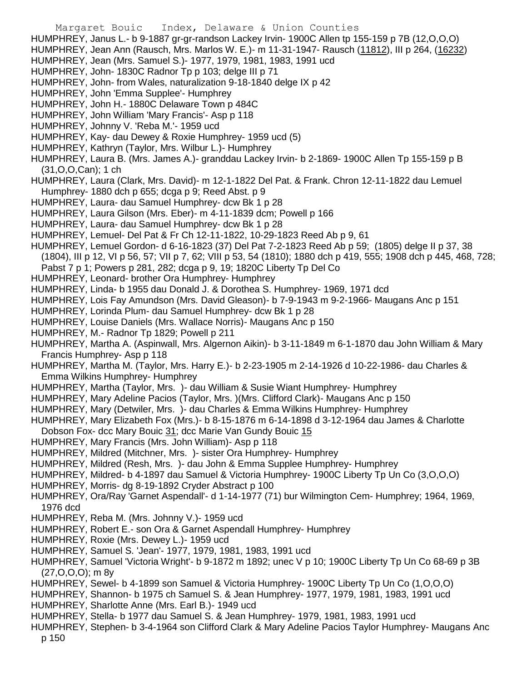- Margaret Bouic Index, Delaware & Union Counties HUMPHREY, Janus L.- b 9-1887 gr-gr-randson Lackey Irvin- 1900C Allen tp 155-159 p 7B (12,O,O,O) HUMPHREY, Jean Ann (Rausch, Mrs. Marlos W. E.)- m 11-31-1947- Rausch (11812), III p 264, (16232) HUMPHREY, Jean (Mrs. Samuel S.)- 1977, 1979, 1981, 1983, 1991 ucd HUMPHREY, John- 1830C Radnor Tp p 103; delge III p 71 HUMPHREY, John- from Wales, naturalization 9-18-1840 delge IX p 42 HUMPHREY, John 'Emma Supplee'- Humphrey HUMPHREY, John H.- 1880C Delaware Town p 484C HUMPHREY, John William 'Mary Francis'- Asp p 118 HUMPHREY, Johnny V. 'Reba M.'- 1959 ucd HUMPHREY, Kay- dau Dewey & Roxie Humphrey- 1959 ucd (5) HUMPHREY, Kathryn (Taylor, Mrs. Wilbur L.)- Humphrey HUMPHREY, Laura B. (Mrs. James A.)- granddau Lackey Irvin- b 2-1869- 1900C Allen Tp 155-159 p B (31,O,O,Can); 1 ch HUMPHREY, Laura (Clark, Mrs. David)- m 12-1-1822 Del Pat. & Frank. Chron 12-11-1822 dau Lemuel Humphrey- 1880 dch p 655; dcga p 9; Reed Abst. p 9 HUMPHREY, Laura- dau Samuel Humphrey- dcw Bk 1 p 28 HUMPHREY, Laura Gilson (Mrs. Eber)- m 4-11-1839 dcm; Powell p 166 HUMPHREY, Laura- dau Samuel Humphrey- dcw Bk 1 p 28 HUMPHREY, Lemuel- Del Pat & Fr Ch 12-11-1822, 10-29-1823 Reed Ab p 9, 61 HUMPHREY, Lemuel Gordon- d 6-16-1823 (37) Del Pat 7-2-1823 Reed Ab p 59; (1805) delge II p 37, 38 (1804), III p 12, VI p 56, 57; VII p 7, 62; VIII p 53, 54 (1810); 1880 dch p 419, 555; 1908 dch p 445, 468, 728; Pabst 7 p 1; Powers p 281, 282; dcga p 9, 19; 1820C Liberty Tp Del Co HUMPHREY, Leonard- brother Ora Humphrey- Humphrey HUMPHREY, Linda- b 1955 dau Donald J. & Dorothea S. Humphrey- 1969, 1971 dcd HUMPHREY, Lois Fay Amundson (Mrs. David Gleason)- b 7-9-1943 m 9-2-1966- Maugans Anc p 151 HUMPHREY, Lorinda Plum- dau Samuel Humphrey- dcw Bk 1 p 28 HUMPHREY, Louise Daniels (Mrs. Wallace Norris)- Maugans Anc p 150 HUMPHREY, M.- Radnor Tp 1829; Powell p 211 HUMPHREY, Martha A. (Aspinwall, Mrs. Algernon Aikin)- b 3-11-1849 m 6-1-1870 dau John William & Mary Francis Humphrey- Asp p 118 HUMPHREY, Martha M. (Taylor, Mrs. Harry E.)- b 2-23-1905 m 2-14-1926 d 10-22-1986- dau Charles & Emma Wilkins Humphrey- Humphrey HUMPHREY, Martha (Taylor, Mrs. )- dau William & Susie Wiant Humphrey- Humphrey HUMPHREY, Mary Adeline Pacios (Taylor, Mrs. )(Mrs. Clifford Clark)- Maugans Anc p 150 HUMPHREY, Mary (Detwiler, Mrs. )- dau Charles & Emma Wilkins Humphrey- Humphrey HUMPHREY, Mary Elizabeth Fox (Mrs.)- b 8-15-1876 m 6-14-1898 d 3-12-1964 dau James & Charlotte Dobson Fox- dcc Mary Bouic 31; dcc Marie Van Gundy Bouic 15 HUMPHREY, Mary Francis (Mrs. John William)- Asp p 118 HUMPHREY, Mildred (Mitchner, Mrs. )- sister Ora Humphrey- Humphrey HUMPHREY, Mildred (Resh, Mrs. )- dau John & Emma Supplee Humphrey- Humphrey HUMPHREY, Mildred- b 4-1897 dau Samuel & Victoria Humphrey- 1900C Liberty Tp Un Co (3,O,O,O) HUMPHREY, Morris- dg 8-19-1892 Cryder Abstract p 100 HUMPHREY, Ora/Ray 'Garnet Aspendall'- d 1-14-1977 (71) bur Wilmington Cem- Humphrey; 1964, 1969, 1976 dcd HUMPHREY, Reba M. (Mrs. Johnny V.)- 1959 ucd HUMPHREY, Robert E.- son Ora & Garnet Aspendall Humphrey- Humphrey HUMPHREY, Roxie (Mrs. Dewey L.)- 1959 ucd HUMPHREY, Samuel S. 'Jean'- 1977, 1979, 1981, 1983, 1991 ucd HUMPHREY, Samuel 'Victoria Wright'- b 9-1872 m 1892; unec V p 10; 1900C Liberty Tp Un Co 68-69 p 3B (27,O,O,O); m 8y HUMPHREY, Sewel- b 4-1899 son Samuel & Victoria Humphrey- 1900C Liberty Tp Un Co (1,O,O,O) HUMPHREY, Shannon- b 1975 ch Samuel S. & Jean Humphrey- 1977, 1979, 1981, 1983, 1991 ucd HUMPHREY, Sharlotte Anne (Mrs. Earl B.)- 1949 ucd
- HUMPHREY, Stella- b 1977 dau Samuel S. & Jean Humphrey- 1979, 1981, 1983, 1991 ucd
- HUMPHREY, Stephen- b 3-4-1964 son Clifford Clark & Mary Adeline Pacios Taylor Humphrey- Maugans Anc p 150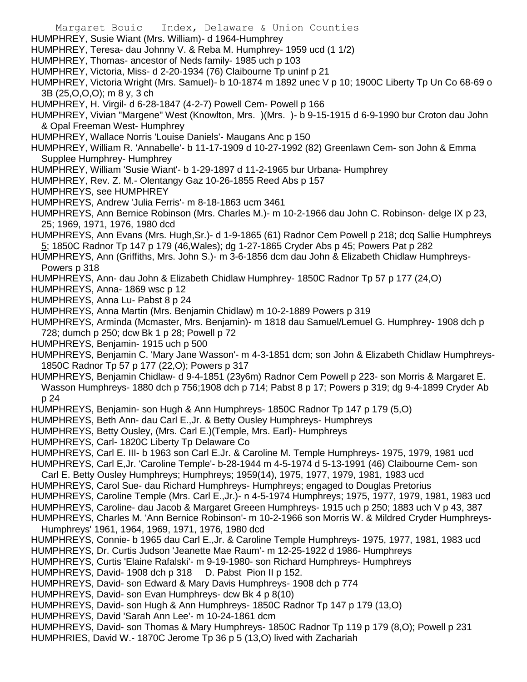- Margaret Bouic Index, Delaware & Union Counties
- HUMPHREY, Susie Wiant (Mrs. William)- d 1964-Humphrey
- HUMPHREY, Teresa- dau Johnny V. & Reba M. Humphrey- 1959 ucd (1 1/2)
- HUMPHREY, Thomas- ancestor of Neds family- 1985 uch p 103
- HUMPHREY, Victoria, Miss- d 2-20-1934 (76) Claibourne Tp uninf p 21
- HUMPHREY, Victoria Wright (Mrs. Samuel)- b 10-1874 m 1892 unec V p 10; 1900C Liberty Tp Un Co 68-69 o 3B (25,O,O,O); m 8 y, 3 ch
- HUMPHREY, H. Virgil- d 6-28-1847 (4-2-7) Powell Cem- Powell p 166
- HUMPHREY, Vivian "Margene" West (Knowlton, Mrs. )(Mrs. )- b 9-15-1915 d 6-9-1990 bur Croton dau John & Opal Freeman West- Humphrey
- HUMPHREY, Wallace Norris 'Louise Daniels'- Maugans Anc p 150
- HUMPHREY, William R. 'Annabelle'- b 11-17-1909 d 10-27-1992 (82) Greenlawn Cem- son John & Emma Supplee Humphrey- Humphrey
- HUMPHREY, William 'Susie Wiant'- b 1-29-1897 d 11-2-1965 bur Urbana- Humphrey
- HUMPHREY, Rev. Z. M.- Olentangy Gaz 10-26-1855 Reed Abs p 157
- HUMPHREYS, see HUMPHREY
- HUMPHREYS, Andrew 'Julia Ferris'- m 8-18-1863 ucm 3461
- HUMPHREYS, Ann Bernice Robinson (Mrs. Charles M.)- m 10-2-1966 dau John C. Robinson- delge IX p 23, 25; 1969, 1971, 1976, 1980 dcd
- HUMPHREYS, Ann Evans (Mrs. Hugh,Sr.)- d 1-9-1865 (61) Radnor Cem Powell p 218; dcq Sallie Humphreys 5; 1850C Radnor Tp 147 p 179 (46, Wales); dg 1-27-1865 Cryder Abs p 45; Powers Pat p 282
- HUMPHREYS, Ann (Griffiths, Mrs. John S.)- m 3-6-1856 dcm dau John & Elizabeth Chidlaw Humphreys-Powers p 318
- HUMPHREYS, Ann- dau John & Elizabeth Chidlaw Humphrey- 1850C Radnor Tp 57 p 177 (24,O)
- HUMPHREYS, Anna- 1869 wsc p 12
- HUMPHREYS, Anna Lu- Pabst 8 p 24
- HUMPHREYS, Anna Martin (Mrs. Benjamin Chidlaw) m 10-2-1889 Powers p 319
- HUMPHREYS, Arminda (Mcmaster, Mrs. Benjamin)- m 1818 dau Samuel/Lemuel G. Humphrey- 1908 dch p 728; dumch p 250; dcw Bk 1 p 28; Powell p 72
- HUMPHREYS, Benjamin- 1915 uch p 500
- HUMPHREYS, Benjamin C. 'Mary Jane Wasson'- m 4-3-1851 dcm; son John & Elizabeth Chidlaw Humphreys-1850C Radnor Tp 57 p 177 (22,O); Powers p 317
- HUMPHREYS, Benjamin Chidlaw- d 9-4-1851 (23y6m) Radnor Cem Powell p 223- son Morris & Margaret E. Wasson Humphreys- 1880 dch p 756;1908 dch p 714; Pabst 8 p 17; Powers p 319; dg 9-4-1899 Cryder Ab p 24
- HUMPHREYS, Benjamin- son Hugh & Ann Humphreys- 1850C Radnor Tp 147 p 179 (5,O)
- HUMPHREYS, Beth Ann- dau Carl E.,Jr. & Betty Ousley Humphreys- Humphreys
- HUMPHREYS, Betty Ousley, (Mrs. Carl E.)(Temple, Mrs. Earl)- Humphreys
- HUMPHREYS, Carl- 1820C Liberty Tp Delaware Co
- HUMPHREYS, Carl E. III- b 1963 son Carl E.Jr. & Caroline M. Temple Humphreys- 1975, 1979, 1981 ucd
- HUMPHREYS, Carl E,Jr. 'Caroline Temple'- b-28-1944 m 4-5-1974 d 5-13-1991 (46) Claibourne Cem- son
- Carl E. Betty Ousley Humphreys; Humphreys; 1959(14), 1975, 1977, 1979, 1981, 1983 ucd
- HUMPHREYS, Carol Sue- dau Richard Humphreys- Humphreys; engaged to Douglas Pretorius
- HUMPHREYS, Caroline Temple (Mrs. Carl E.,Jr.)- n 4-5-1974 Humphreys; 1975, 1977, 1979, 1981, 1983 ucd
- HUMPHREYS, Caroline- dau Jacob & Margaret Greeen Humphreys- 1915 uch p 250; 1883 uch V p 43, 387
- HUMPHREYS, Charles M. 'Ann Bernice Robinson'- m 10-2-1966 son Morris W. & Mildred Cryder Humphreys-Humphreys' 1961, 1964, 1969, 1971, 1976, 1980 dcd
- HUMPHREYS, Connie- b 1965 dau Carl E.,Jr. & Caroline Temple Humphreys- 1975, 1977, 1981, 1983 ucd
- HUMPHREYS, Dr. Curtis Judson 'Jeanette Mae Raum'- m 12-25-1922 d 1986- Humphreys
- HUMPHREYS, Curtis 'Elaine Rafalski'- m 9-19-1980- son Richard Humphreys- Humphreys
- HUMPHREYS, David- 1908 dch p 318 D. Pabst Pion II p 152.
- HUMPHREYS, David- son Edward & Mary Davis Humphreys- 1908 dch p 774
- HUMPHREYS, David- son Evan Humphreys- dcw Bk 4 p 8(10)
- HUMPHREYS, David- son Hugh & Ann Humphreys- 1850C Radnor Tp 147 p 179 (13,O)
- HUMPHREYS, David 'Sarah Ann Lee'- m 10-24-1861 dcm
- HUMPHREYS, David- son Thomas & Mary Humphreys- 1850C Radnor Tp 119 p 179 (8,O); Powell p 231 HUMPHRIES, David W.- 1870C Jerome Tp 36 p 5 (13,O) lived with Zachariah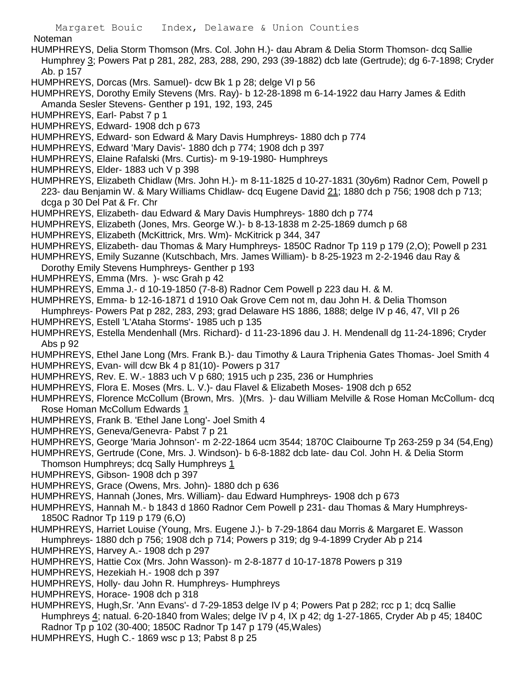Noteman

- HUMPHREYS, Delia Storm Thomson (Mrs. Col. John H.)- dau Abram & Delia Storm Thomson- dcq Sallie Humphrey 3; Powers Pat p 281, 282, 283, 288, 290, 293 (39-1882) dcb late (Gertrude); dg 6-7-1898; Cryder Ab. p 157
- HUMPHREYS, Dorcas (Mrs. Samuel)- dcw Bk 1 p 28; delge VI p 56
- HUMPHREYS, Dorothy Emily Stevens (Mrs. Ray)- b 12-28-1898 m 6-14-1922 dau Harry James & Edith Amanda Sesler Stevens- Genther p 191, 192, 193, 245
- HUMPHREYS, Earl- Pabst 7 p 1
- HUMPHREYS, Edward- 1908 dch p 673
- HUMPHREYS, Edward- son Edward & Mary Davis Humphreys- 1880 dch p 774
- HUMPHREYS, Edward 'Mary Davis'- 1880 dch p 774; 1908 dch p 397
- HUMPHREYS, Elaine Rafalski (Mrs. Curtis)- m 9-19-1980- Humphreys
- HUMPHREYS, Elder- 1883 uch V p 398
- HUMPHREYS, Elizabeth Chidlaw (Mrs. John H.)- m 8-11-1825 d 10-27-1831 (30y6m) Radnor Cem, Powell p 223- dau Benjamin W. & Mary Williams Chidlaw- dcq Eugene David 21; 1880 dch p 756; 1908 dch p 713; dcga p 30 Del Pat & Fr. Chr
- HUMPHREYS, Elizabeth- dau Edward & Mary Davis Humphreys- 1880 dch p 774
- HUMPHREYS, Elizabeth (Jones, Mrs. George W.)- b 8-13-1838 m 2-25-1869 dumch p 68
- HUMPHREYS, Elizabeth (McKittrick, Mrs. Wm)- McKitrick p 344, 347
- HUMPHREYS, Elizabeth- dau Thomas & Mary Humphreys- 1850C Radnor Tp 119 p 179 (2,O); Powell p 231
- HUMPHREYS, Emily Suzanne (Kutschbach, Mrs. James William)- b 8-25-1923 m 2-2-1946 dau Ray &
- Dorothy Emily Stevens Humphreys- Genther p 193
- HUMPHREYS, Emma (Mrs. )- wsc Grah p 42
- HUMPHREYS, Emma J.- d 10-19-1850 (7-8-8) Radnor Cem Powell p 223 dau H. & M.
- HUMPHREYS, Emma- b 12-16-1871 d 1910 Oak Grove Cem not m, dau John H. & Delia Thomson
- Humphreys- Powers Pat p 282, 283, 293; grad Delaware HS 1886, 1888; delge IV p 46, 47, VII p 26
- HUMPHREYS, Estell 'L'Ataha Storms'- 1985 uch p 135
- HUMPHREYS, Estella Mendenhall (Mrs. Richard)- d 11-23-1896 dau J. H. Mendenall dg 11-24-1896; Cryder Abs p 92
- HUMPHREYS, Ethel Jane Long (Mrs. Frank B.)- dau Timothy & Laura Triphenia Gates Thomas- Joel Smith 4
- HUMPHREYS, Evan- will dcw Bk 4 p 81(10)- Powers p 317
- HUMPHREYS, Rev. E. W.- 1883 uch V p 680; 1915 uch p 235, 236 or Humphries
- HUMPHREYS, Flora E. Moses (Mrs. L. V.)- dau Flavel & Elizabeth Moses- 1908 dch p 652
- HUMPHREYS, Florence McCollum (Brown, Mrs. )(Mrs. )- dau William Melville & Rose Homan McCollum- dcq Rose Homan McCollum Edwards 1
- HUMPHREYS, Frank B. 'Ethel Jane Long'- Joel Smith 4
- HUMPHREYS, Geneva/Genevra- Pabst 7 p 21
- HUMPHREYS, George 'Maria Johnson'- m 2-22-1864 ucm 3544; 1870C Claibourne Tp 263-259 p 34 (54,Eng)
- HUMPHREYS, Gertrude (Cone, Mrs. J. Windson)- b 6-8-1882 dcb late- dau Col. John H. & Delia Storm
- Thomson Humphreys; dcq Sally Humphreys 1
- HUMPHREYS, Gibson- 1908 dch p 397
- HUMPHREYS, Grace (Owens, Mrs. John)- 1880 dch p 636
- HUMPHREYS, Hannah (Jones, Mrs. William)- dau Edward Humphreys- 1908 dch p 673
- HUMPHREYS, Hannah M.- b 1843 d 1860 Radnor Cem Powell p 231- dau Thomas & Mary Humphreys-1850C Radnor Tp 119 p 179 (6,O)
- HUMPHREYS, Harriet Louise (Young, Mrs. Eugene J.)- b 7-29-1864 dau Morris & Margaret E. Wasson Humphreys- 1880 dch p 756; 1908 dch p 714; Powers p 319; dg 9-4-1899 Cryder Ab p 214
- HUMPHREYS, Harvey A.- 1908 dch p 297
- HUMPHREYS, Hattie Cox (Mrs. John Wasson)- m 2-8-1877 d 10-17-1878 Powers p 319
- HUMPHREYS, Hezekiah H.- 1908 dch p 397
- HUMPHREYS, Holly- dau John R. Humphreys- Humphreys
- HUMPHREYS, Horace- 1908 dch p 318
- HUMPHREYS, Hugh,Sr. 'Ann Evans'- d 7-29-1853 delge IV p 4; Powers Pat p 282; rcc p 1; dcq Sallie Humphreys 4; natual. 6-20-1840 from Wales; delge IV p 4, IX p 42; dg 1-27-1865, Cryder Ab p 45; 1840C Radnor Tp p 102 (30-400; 1850C Radnor Tp 147 p 179 (45,Wales)
- HUMPHREYS, Hugh C.- 1869 wsc p 13; Pabst 8 p 25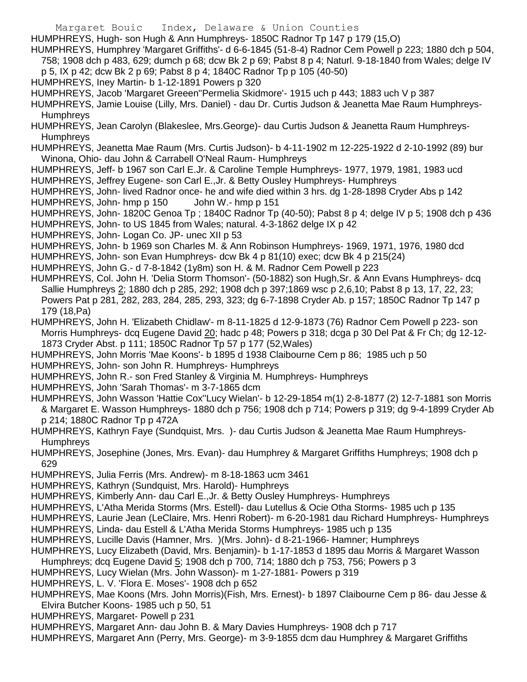HUMPHREYS, Hugh- son Hugh & Ann Humphreys- 1850C Radnor Tp 147 p 179 (15,O)

HUMPHREYS, Humphrey 'Margaret Griffiths'- d 6-6-1845 (51-8-4) Radnor Cem Powell p 223; 1880 dch p 504, 758; 1908 dch p 483, 629; dumch p 68; dcw Bk 2 p 69; Pabst 8 p 4; Naturl. 9-18-1840 from Wales; delge IV p 5, IX p 42; dcw Bk 2 p 69; Pabst 8 p 4; 1840C Radnor Tp p 105 (40-50)

HUMPHREYS, Iney Martin- b 1-12-1891 Powers p 320

HUMPHREYS, Jacob 'Margaret Greeen''Permelia Skidmore'- 1915 uch p 443; 1883 uch V p 387

HUMPHREYS, Jamie Louise (Lilly, Mrs. Daniel) - dau Dr. Curtis Judson & Jeanetta Mae Raum Humphreys-Humphreys

HUMPHREYS, Jean Carolyn (Blakeslee, Mrs.George)- dau Curtis Judson & Jeanetta Raum Humphreys-**Humphreys** 

HUMPHREYS, Jeanetta Mae Raum (Mrs. Curtis Judson)- b 4-11-1902 m 12-225-1922 d 2-10-1992 (89) bur Winona, Ohio- dau John & Carrabell O'Neal Raum- Humphreys

HUMPHREYS, Jeff- b 1967 son Carl E.Jr. & Caroline Temple Humphreys- 1977, 1979, 1981, 1983 ucd HUMPHREYS, Jeffrey Eugene- son Carl E.,Jr. & Betty Ousley Humphreys- Humphreys

HUMPHREYS, John- lived Radnor once- he and wife died within 3 hrs. dg 1-28-1898 Cryder Abs p 142 HUMPHREYS, John- hmp p 150 John W.- hmp p 151

HUMPHREYS, John- 1820C Genoa Tp ; 1840C Radnor Tp (40-50); Pabst 8 p 4; delge IV p 5; 1908 dch p 436

HUMPHREYS, John- to US 1845 from Wales; natural. 4-3-1862 delge IX p 42

HUMPHREYS, John- Logan Co. JP- unec XII p 53

HUMPHREYS, John- b 1969 son Charles M. & Ann Robinson Humphreys- 1969, 1971, 1976, 1980 dcd

HUMPHREYS, John- son Evan Humphreys- dcw Bk 4 p 81(10) exec; dcw Bk 4 p 215(24)

HUMPHREYS, John G.- d 7-8-1842 (1y8m) son H. & M. Radnor Cem Powell p 223

HUMPHREYS, Col. John H. 'Delia Storm Thomson'- (50-1882) son Hugh,Sr. & Ann Evans Humphreys- dcq Sallie Humphreys 2; 1880 dch p 285, 292; 1908 dch p 397;1869 wsc p 2,6,10; Pabst 8 p 13, 17, 22, 23; Powers Pat p 281, 282, 283, 284, 285, 293, 323; dg 6-7-1898 Cryder Ab. p 157; 1850C Radnor Tp 147 p 179 (18,Pa)

HUMPHREYS, John H. 'Elizabeth Chidlaw'- m 8-11-1825 d 12-9-1873 (76) Radnor Cem Powell p 223- son Morris Humphreys- dcq Eugene David 20; hadc p 48; Powers p 318; dcga p 30 Del Pat & Fr Ch; dg 12-12- 1873 Cryder Abst. p 111; 1850C Radnor Tp 57 p 177 (52,Wales)

HUMPHREYS, John Morris 'Mae Koons'- b 1895 d 1938 Claibourne Cem p 86; 1985 uch p 50

HUMPHREYS, John- son John R. Humphreys- Humphreys

HUMPHREYS, John R.- son Fred Stanley & Virginia M. Humphreys- Humphreys

HUMPHREYS, John 'Sarah Thomas'- m 3-7-1865 dcm

HUMPHREYS, John Wasson 'Hattie Cox''Lucy Wielan'- b 12-29-1854 m(1) 2-8-1877 (2) 12-7-1881 son Morris & Margaret E. Wasson Humphreys- 1880 dch p 756; 1908 dch p 714; Powers p 319; dg 9-4-1899 Cryder Ab p 214; 1880C Radnor Tp p 472A

HUMPHREYS, Kathryn Faye (Sundquist, Mrs. )- dau Curtis Judson & Jeanetta Mae Raum Humphreys-**Humphreys** 

HUMPHREYS, Josephine (Jones, Mrs. Evan)- dau Humphrey & Margaret Griffiths Humphreys; 1908 dch p 629

HUMPHREYS, Julia Ferris (Mrs. Andrew)- m 8-18-1863 ucm 3461

HUMPHREYS, Kathryn (Sundquist, Mrs. Harold)- Humphreys

HUMPHREYS, Kimberly Ann- dau Carl E.,Jr. & Betty Ousley Humphreys- Humphreys

HUMPHREYS, L'Atha Merida Storms (Mrs. Estell)- dau Lutellus & Ocie Otha Storms- 1985 uch p 135

HUMPHREYS, Laurie Jean (LeClaire, Mrs. Henri Robert)- m 6-20-1981 dau Richard Humphreys- Humphreys

HUMPHREYS, Linda- dau Estell & L'Atha Merida Storms Humphreys- 1985 uch p 135

HUMPHREYS, Lucille Davis (Hamner, Mrs. )(Mrs. John)- d 8-21-1966- Hamner; Humphreys

HUMPHREYS, Lucy Elizabeth (David, Mrs. Benjamin)- b 1-17-1853 d 1895 dau Morris & Margaret Wasson

Humphreys; dcq Eugene David 5; 1908 dch p 700, 714; 1880 dch p 753, 756; Powers p 3

HUMPHREYS, Lucy Wielan (Mrs. John Wasson)- m 1-27-1881- Powers p 319

HUMPHREYS, L. V. 'Flora E. Moses'- 1908 dch p 652

HUMPHREYS, Mae Koons (Mrs. John Morris)(Fish, Mrs. Ernest)- b 1897 Claibourne Cem p 86- dau Jesse & Elvira Butcher Koons- 1985 uch p 50, 51

HUMPHREYS, Margaret- Powell p 231

HUMPHREYS, Margaret Ann- dau John B. & Mary Davies Humphreys- 1908 dch p 717

HUMPHREYS, Margaret Ann (Perry, Mrs. George)- m 3-9-1855 dcm dau Humphrey & Margaret Griffiths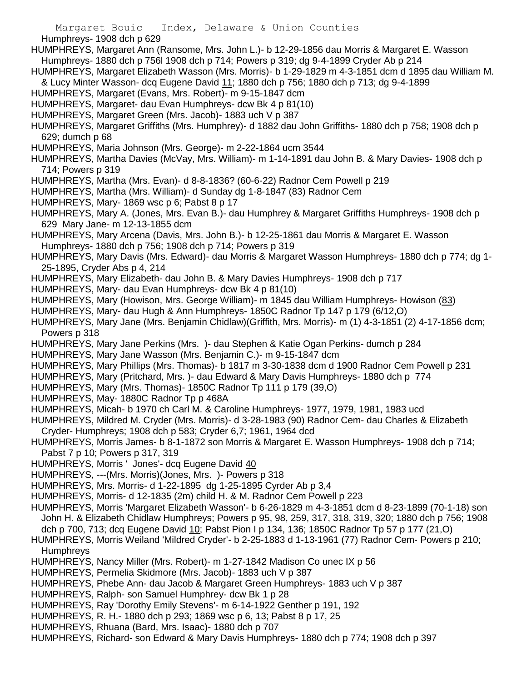Margaret Bouic Index, Delaware & Union Counties Humphreys- 1908 dch p 629 HUMPHREYS, Margaret Ann (Ransome, Mrs. John L.)- b 12-29-1856 dau Morris & Margaret E. Wasson Humphreys- 1880 dch p 756l 1908 dch p 714; Powers p 319; dg 9-4-1899 Cryder Ab p 214 HUMPHREYS, Margaret Elizabeth Wasson (Mrs. Morris)- b 1-29-1829 m 4-3-1851 dcm d 1895 dau William M. & Lucy Minter Wasson- dcq Eugene David 11; 1880 dch p 756; 1880 dch p 713; dg 9-4-1899 HUMPHREYS, Margaret (Evans, Mrs. Robert)- m 9-15-1847 dcm HUMPHREYS, Margaret- dau Evan Humphreys- dcw Bk 4 p 81(10) HUMPHREYS, Margaret Green (Mrs. Jacob)- 1883 uch V p 387 HUMPHREYS, Margaret Griffiths (Mrs. Humphrey)- d 1882 dau John Griffiths- 1880 dch p 758; 1908 dch p 629; dumch p 68 HUMPHREYS, Maria Johnson (Mrs. George)- m 2-22-1864 ucm 3544 HUMPHREYS, Martha Davies (McVay, Mrs. William)- m 1-14-1891 dau John B. & Mary Davies- 1908 dch p 714; Powers p 319 HUMPHREYS, Martha (Mrs. Evan)- d 8-8-1836? (60-6-22) Radnor Cem Powell p 219 HUMPHREYS, Martha (Mrs. William)- d Sunday dg 1-8-1847 (83) Radnor Cem HUMPHREYS, Mary- 1869 wsc p 6; Pabst 8 p 17 HUMPHREYS, Mary A. (Jones, Mrs. Evan B.)- dau Humphrey & Margaret Griffiths Humphreys- 1908 dch p 629 Mary Jane- m 12-13-1855 dcm HUMPHREYS, Mary Arcena (Davis, Mrs. John B.)- b 12-25-1861 dau Morris & Margaret E. Wasson Humphreys- 1880 dch p 756; 1908 dch p 714; Powers p 319 HUMPHREYS, Mary Davis (Mrs. Edward)- dau Morris & Margaret Wasson Humphreys- 1880 dch p 774; dg 1- 25-1895, Cryder Abs p 4, 214 HUMPHREYS, Mary Elizabeth- dau John B. & Mary Davies Humphreys- 1908 dch p 717 HUMPHREYS, Mary- dau Evan Humphreys- dcw Bk 4 p 81(10) HUMPHREYS, Mary (Howison, Mrs. George William)- m 1845 dau William Humphreys- Howison (83) HUMPHREYS, Mary- dau Hugh & Ann Humphreys- 1850C Radnor Tp 147 p 179 (6/12,O) HUMPHREYS, Mary Jane (Mrs. Benjamin Chidlaw)(Griffith, Mrs. Morris)- m (1) 4-3-1851 (2) 4-17-1856 dcm; Powers p 318 HUMPHREYS, Mary Jane Perkins (Mrs. )- dau Stephen & Katie Ogan Perkins- dumch p 284

HUMPHREYS, Mary Jane Wasson (Mrs. Benjamin C.)- m 9-15-1847 dcm

HUMPHREYS, Mary Phillips (Mrs. Thomas)- b 1817 m 3-30-1838 dcm d 1900 Radnor Cem Powell p 231

HUMPHREYS, Mary (Pritchard, Mrs. )- dau Edward & Mary Davis Humphreys- 1880 dch p 774

HUMPHREYS, Mary (Mrs. Thomas)- 1850C Radnor Tp 111 p 179 (39,O)

HUMPHREYS, May- 1880C Radnor Tp p 468A

HUMPHREYS, Micah- b 1970 ch Carl M. & Caroline Humphreys- 1977, 1979, 1981, 1983 ucd

HUMPHREYS, Mildred M. Cryder (Mrs. Morris)- d 3-28-1983 (90) Radnor Cem- dau Charles & Elizabeth Cryder- Humphreys; 1908 dch p 583; Cryder 6,7; 1961, 1964 dcd

HUMPHREYS, Morris James- b 8-1-1872 son Morris & Margaret E. Wasson Humphreys- 1908 dch p 714; Pabst 7 p 10; Powers p 317, 319

HUMPHREYS, Morris ' Jones'- dcq Eugene David 40

HUMPHREYS, ---(Mrs. Morris)(Jones, Mrs. )- Powers p 318

HUMPHREYS, Mrs. Morris- d 1-22-1895 dg 1-25-1895 Cyrder Ab p 3,4

HUMPHREYS, Morris- d 12-1835 (2m) child H. & M. Radnor Cem Powell p 223

HUMPHREYS, Morris 'Margaret Elizabeth Wasson'- b 6-26-1829 m 4-3-1851 dcm d 8-23-1899 (70-1-18) son John H. & Elizabeth Chidlaw Humphreys; Powers p 95, 98, 259, 317, 318, 319, 320; 1880 dch p 756; 1908 dch p 700, 713; dcq Eugene David 10; Pabst Pion I p 134, 136; 1850C Radnor Tp 57 p 177 (21,O)

HUMPHREYS, Morris Weiland 'Mildred Cryder'- b 2-25-1883 d 1-13-1961 (77) Radnor Cem- Powers p 210; **Humphreys** 

HUMPHREYS, Nancy Miller (Mrs. Robert)- m 1-27-1842 Madison Co unec IX p 56

HUMPHREYS, Permelia Skidmore (Mrs. Jacob)- 1883 uch V p 387

- HUMPHREYS, Phebe Ann- dau Jacob & Margaret Green Humphreys- 1883 uch V p 387
- HUMPHREYS, Ralph- son Samuel Humphrey- dcw Bk 1 p 28
- HUMPHREYS, Ray 'Dorothy Emily Stevens'- m 6-14-1922 Genther p 191, 192
- HUMPHREYS, R. H.- 1880 dch p 293; 1869 wsc p 6, 13; Pabst 8 p 17, 25
- HUMPHREYS, Rhuana (Bard, Mrs. Isaac)- 1880 dch p 707

HUMPHREYS, Richard- son Edward & Mary Davis Humphreys- 1880 dch p 774; 1908 dch p 397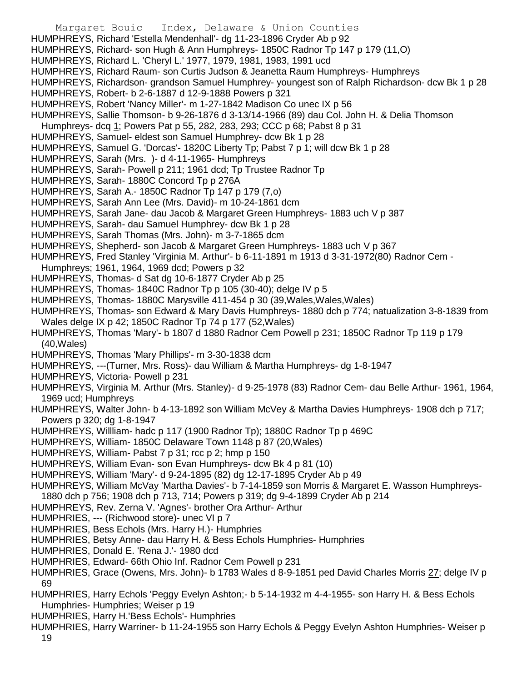- Margaret Bouic Index, Delaware & Union Counties HUMPHREYS, Richard 'Estella Mendenhall'- dg 11-23-1896 Cryder Ab p 92 HUMPHREYS, Richard- son Hugh & Ann Humphreys- 1850C Radnor Tp 147 p 179 (11,O) HUMPHREYS, Richard L. 'Cheryl L.' 1977, 1979, 1981, 1983, 1991 ucd HUMPHREYS, Richard Raum- son Curtis Judson & Jeanetta Raum Humphreys- Humphreys HUMPHREYS, Richardson- grandson Samuel Humphrey- youngest son of Ralph Richardson- dcw Bk 1 p 28 HUMPHREYS, Robert- b 2-6-1887 d 12-9-1888 Powers p 321 HUMPHREYS, Robert 'Nancy Miller'- m 1-27-1842 Madison Co unec IX p 56 HUMPHREYS, Sallie Thomson- b 9-26-1876 d 3-13/14-1966 (89) dau Col. John H. & Delia Thomson Humphreys- dcq 1; Powers Pat p 55, 282, 283, 293; CCC p 68; Pabst 8 p 31 HUMPHREYS, Samuel- eldest son Samuel Humphrey- dcw Bk 1 p 28 HUMPHREYS, Samuel G. 'Dorcas'- 1820C Liberty Tp; Pabst 7 p 1; will dcw Bk 1 p 28 HUMPHREYS, Sarah (Mrs. )- d 4-11-1965- Humphreys HUMPHREYS, Sarah- Powell p 211; 1961 dcd; Tp Trustee Radnor Tp HUMPHREYS, Sarah- 1880C Concord Tp p 276A HUMPHREYS, Sarah A.- 1850C Radnor Tp 147 p 179 (7,o) HUMPHREYS, Sarah Ann Lee (Mrs. David)- m 10-24-1861 dcm HUMPHREYS, Sarah Jane- dau Jacob & Margaret Green Humphreys- 1883 uch V p 387 HUMPHREYS, Sarah- dau Samuel Humphrey- dcw Bk 1 p 28 HUMPHREYS, Sarah Thomas (Mrs. John)- m 3-7-1865 dcm HUMPHREYS, Shepherd- son Jacob & Margaret Green Humphreys- 1883 uch V p 367 HUMPHREYS, Fred Stanley 'Virginia M. Arthur'- b 6-11-1891 m 1913 d 3-31-1972(80) Radnor Cem - Humphreys; 1961, 1964, 1969 dcd; Powers p 32 HUMPHREYS, Thomas- d Sat dg 10-6-1877 Cryder Ab p 25 HUMPHREYS, Thomas- 1840C Radnor Tp p 105 (30-40); delge IV p 5 HUMPHREYS, Thomas- 1880C Marysville 411-454 p 30 (39,Wales,Wales,Wales) HUMPHREYS, Thomas- son Edward & Mary Davis Humphreys- 1880 dch p 774; natualization 3-8-1839 from Wales delge IX p 42; 1850C Radnor Tp 74 p 177 (52,Wales) HUMPHREYS, Thomas 'Mary'- b 1807 d 1880 Radnor Cem Powell p 231; 1850C Radnor Tp 119 p 179 (40,Wales) HUMPHREYS, Thomas 'Mary Phillips'- m 3-30-1838 dcm HUMPHREYS, ---(Turner, Mrs. Ross)- dau William & Martha Humphreys- dg 1-8-1947 HUMPHREYS, Victoria- Powell p 231 HUMPHREYS, Virginia M. Arthur (Mrs. Stanley)- d 9-25-1978 (83) Radnor Cem- dau Belle Arthur- 1961, 1964, 1969 ucd; Humphreys HUMPHREYS, Walter John- b 4-13-1892 son William McVey & Martha Davies Humphreys- 1908 dch p 717; Powers p 320; dg 1-8-1947 HUMPHREYS, Willliam- hadc p 117 (1900 Radnor Tp); 1880C Radnor Tp p 469C HUMPHREYS, William- 1850C Delaware Town 1148 p 87 (20,Wales) HUMPHREYS, William- Pabst 7 p 31; rcc p 2; hmp p 150 HUMPHREYS, William Evan- son Evan Humphreys- dcw Bk 4 p 81 (10) HUMPHREYS, William 'Mary'- d 9-24-1895 (82) dg 12-17-1895 Cryder Ab p 49 HUMPHREYS, William McVay 'Martha Davies'- b 7-14-1859 son Morris & Margaret E. Wasson Humphreys-1880 dch p 756; 1908 dch p 713, 714; Powers p 319; dg 9-4-1899 Cryder Ab p 214 HUMPHREYS, Rev. Zerna V. 'Agnes'- brother Ora Arthur- Arthur HUMPHRIES, --- (Richwood store)- unec VI p 7 HUMPHRIES, Bess Echols (Mrs. Harry H.)- Humphries HUMPHRIES, Betsy Anne- dau Harry H. & Bess Echols Humphries- Humphries HUMPHRIES, Donald E. 'Rena J.'- 1980 dcd
- HUMPHRIES, Edward- 66th Ohio Inf. Radnor Cem Powell p 231
- HUMPHRIES, Grace (Owens, Mrs. John)- b 1783 Wales d 8-9-1851 ped David Charles Morris 27; delge IV p 69
- HUMPHRIES, Harry Echols 'Peggy Evelyn Ashton;- b 5-14-1932 m 4-4-1955- son Harry H. & Bess Echols Humphries- Humphries; Weiser p 19
- HUMPHRIES, Harry H.'Bess Echols'- Humphries
- HUMPHRIES, Harry Warriner- b 11-24-1955 son Harry Echols & Peggy Evelyn Ashton Humphries- Weiser p 19